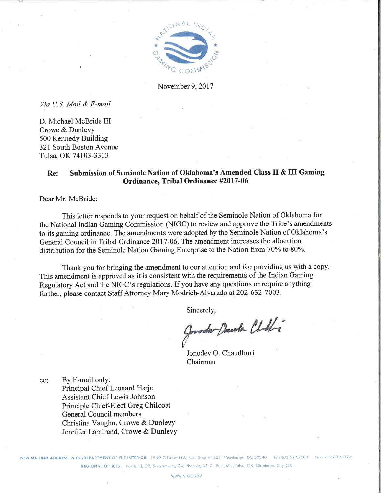

November 9, 2017

Via U.S. Mail & E-mail

D. Michael McBride III Crowe & Dunlevy 500 Kennedy Building 321 South Boston Avenue Tulsa, OK 74103-3313

#### Submission of Seminole Nation of Oklahoma's Amended Class II & III Gaming Re: Ordinance, Tribal Ordinance #2017-06

Dear Mr. McBride:

This letter responds to your request on behalf of the Seminole Nation of Oklahoma for the National Indian Gaming Commission (NIGC) to review and approve the Tribe's amendments to its gaming ordinance. The amendments were adopted by the Seminole Nation of Oklahoma's General Council in Tribal Ordinance 2017-06. The amendment increases the allocation distribution for the Seminole Nation Gaming Enterprise to the Nation from 70% to 80%.

Thank you for bringing the amendment to our attention and for providing us with a copy. This amendment is approved as it is consistent with the requirements of the Indian Gaming Regulatory Act and the NIGC's regulations. If you have any questions or require anything further, please contact Staff Attorney Mary Modrich-Alvarado at 202-632-7003.

Sincerely,

moder Decola Chili

Jonodev O. Chaudhuri Chairman

By E-mail only: cc: Principal Chief Leonard Harjo **Assistant Chief Lewis Johnson** Principle Chief-Elect Greg Chilcoat General Council members Christina Vaughn, Crowe & Dunlevy Jennifer Lamirand, Crowe & Dunlevy

NEW MAILING ADDRESS: NIGC/DEPARTMENT OF THE INTERIOR 1849 C Street NW, Mail Stop #1621 Washington, DC 20240 Tel: 202.632.7003 REGIONAL OFFICES Portland, OR; Sacramento, CA; Phoenix, AZ; St. Paul, MN; Fulsa, OK; Oklahoma City, OK

WWW NIGC GOV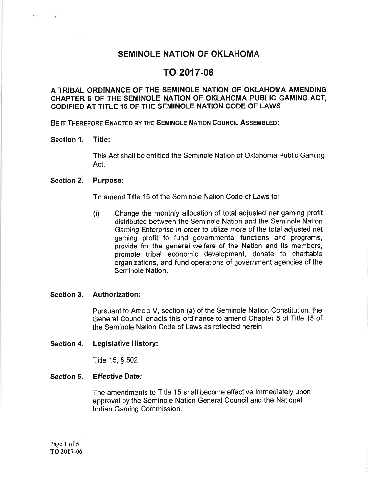## **SEMINOLE NATION OF OKLAHOMA**

# TO 2017-06

#### A TRIBAL ORDINANCE OF THE SEMINOLE NATION OF OKLAHOMA AMENDING CHAPTER 5 OF THE SEMINOLE NATION OF OKLAHOMA PUBLIC GAMING ACT. CODIFIED AT TITLE 15 OF THE SEMINOLE NATION CODE OF LAWS

BE IT THEREFORE ENACTED BY THE SEMINOLE NATION COUNCIL ASSEMBLED:

#### Title: Section 1.

This Act shall be entitled the Seminole Nation of Oklahoma Public Gaming Act.

#### Section 2. **Purpose:**

To amend Title 15 of the Seminole Nation Code of Laws to:

Change the monthly allocation of total adjusted net gaming profit  $(i)$ distributed between the Seminole Nation and the Seminole Nation Gaming Enterprise in order to utilize more of the total adjusted net gaming profit to fund governmental functions and programs, provide for the general welfare of the Nation and its members, promote tribal economic development, donate to charitable organizations, and fund operations of government agencies of the Seminole Nation.

#### Section 3. Authorization:

Pursuant to Article V, section (a) of the Seminole Nation Constitution, the General Council enacts this ordinance to amend Chapter 5 of Title 15 of the Seminole Nation Code of Laws as reflected herein.

#### Section 4. Legislative History:

Title 15, § 502

#### Section 5. **Effective Date:**

The amendments to Title 15 shall become effective immediately upon approval by the Seminole Nation General Council and the National Indian Gaming Commission.

Page 1 of 5 TO 2017-06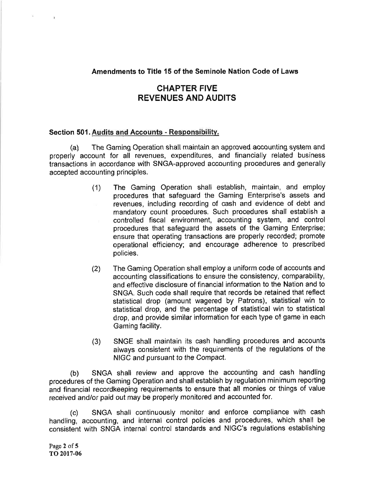#### Amendments to Title 15 of the Seminole Nation Code of Laws

# **CHAPTER FIVE REVENUES AND AUDITS**

#### Section 501. Audits and Accounts - Responsibility.

The Gaming Operation shall maintain an approved accounting system and  $(a)$ properly account for all revenues, expenditures, and financially related business transactions in accordance with SNGA-approved accounting procedures and generally accepted accounting principles.

- The Gaming Operation shall establish, maintain, and employ  $(1)$ procedures that safequard the Gaming Enterprise's assets and revenues, including recording of cash and evidence of debt and mandatory count procedures. Such procedures shall establish a controlled fiscal environment, accounting system, and control procedures that safeguard the assets of the Gaming Enterprise; ensure that operating transactions are properly recorded; promote operational efficiency; and encourage adherence to prescribed policies.
- The Gaming Operation shall employ a uniform code of accounts and  $(2)$ accounting classifications to ensure the consistency, comparability. and effective disclosure of financial information to the Nation and to SNGA. Such code shall require that records be retained that reflect statistical drop (amount wagered by Patrons), statistical win to statistical drop, and the percentage of statistical win to statistical drop, and provide similar information for each type of game in each Gaming facility.
- SNGE shall maintain its cash handling procedures and accounts  $(3)$ always consistent with the requirements of the regulations of the NIGC and pursuant to the Compact.

SNGA shall review and approve the accounting and cash handling  $(b)$ procedures of the Gaming Operation and shall establish by regulation minimum reporting and financial recordkeeping requirements to ensure that all monies or things of value received and/or paid out may be properly monitored and accounted for.

SNGA shall continuously monitor and enforce compliance with cash  $(c)$ handling, accounting, and internal control policies and procedures, which shall be consistent with SNGA internal control standards and NIGC's regulations establishing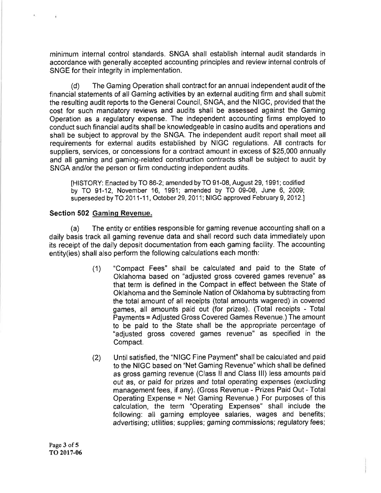minimum internal control standards. SNGA shall establish internal audit standards in accordance with generally accepted accounting principles and review internal controls of SNGE for their integrity in implementation.

 $(d)$ The Gaming Operation shall contract for an annual independent audit of the financial statements of all Gaming activities by an external auditing firm and shall submit the resulting audit reports to the General Council, SNGA, and the NIGC, provided that the cost for such mandatory reviews and audits shall be assessed against the Gaming Operation as a regulatory expense. The independent accounting firms employed to conduct such financial audits shall be knowledgeable in casino audits and operations and shall be subject to approval by the SNGA. The independent audit report shall meet all requirements for external audits established by NIGC regulations. All contracts for suppliers, services, or concessions for a contract amount in excess of \$25,000 annually and all gaming and gaming-related construction contracts shall be subject to audit by SNGA and/or the person or firm conducting independent audits.

[HISTORY: Enacted by TO 86-2; amended by TO 91-08, August 29, 1991; codified by TO 91-12, November 16, 1991; amended by TO 09-08, June 6, 2009; superseded by TO 2011-11, October 29, 2011; NIGC approved February 9, 2012.]

#### Section 502 Gaming Revenue.

The entity or entities responsible for gaming revenue accounting shall on a  $(a)$ daily basis track all gaming revenue data and shall record such data immediately upon its receipt of the daily deposit documentation from each gaming facility. The accounting entity(ies) shall also perform the following calculations each month:

- "Compact Fees" shall be calculated and paid to the State of  $(1)$ Oklahoma based on "adjusted gross covered games revenue" as that term is defined in the Compact in effect between the State of Oklahoma and the Seminole Nation of Oklahoma by subtracting from the total amount of all receipts (total amounts wagered) in covered games, all amounts paid out (for prizes). (Total receipts - Total Payments = Adjusted Gross Covered Games Revenue.) The amount to be paid to the State shall be the appropriate percentage of "adjusted gross covered games revenue" as specified in the Compact.
- Until satisfied, the "NIGC Fine Payment" shall be calculated and paid  $(2)$ to the NIGC based on "Net Gaming Revenue" which shall be defined as gross gaming revenue (Class II and Class III) less amounts paid out as, or paid for prizes and total operating expenses (excluding management fees, if any). (Gross Revenue - Prizes Paid Out - Total Operating Expense = Net Gaming Revenue.) For purposes of this calculation, the term "Operating Expenses" shall include the following: all gaming employee salaries, wages and benefits; advertising; utilities; supplies; gaming commissions; regulatory fees;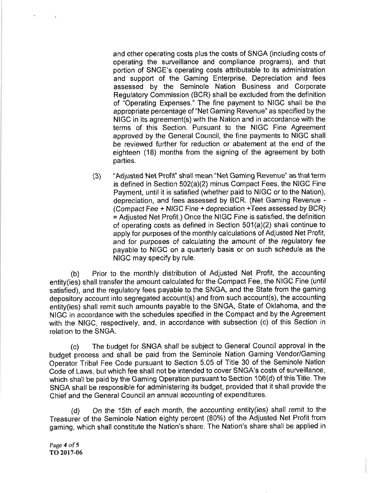and other operating costs plus the costs of SNGA (including costs of operating the surveillance and compliance programs), and that portion of SNGE's operating costs attributable to its administration and support of the Gaming Enterprise. Depreciation and fees assessed by the Seminole Nation Business and Corporate Regulatory Commission (BCR) shall be excluded from the definition of "Operating Expenses." The fine payment to NIGC shall be the appropriate percentage of "Net Gaming Revenue" as specified by the NIGC in its agreement(s) with the Nation and in accordance with the terms of this Section. Pursuant to the NIGC Fine Agreement approved by the General Council, the fine payments to NIGC shall be reviewed further for reduction or abatement at the end of the eighteen (18) months from the signing of the agreement by both parties.

"Adjusted Net Profit" shall mean "Net Gaming Revenue" as that term  $(3)$ is defined in Section 502(a)(2) minus Compact Fees, the NIGC Fine Payment, until it is satisfied (whether paid to NIGC or to the Nation), depreciation, and fees assessed by BCR. (Net Gaming Revenue -(Compact Fee + NIGC Fine + depreciation + Tees assessed by BCR) = Adjusted Net Profit.) Once the NIGC Fine is satisfied, the definition of operating costs as defined in Section 501(a)(2) shall continue to apply for purposes of the monthly calculations of Adjusted Net Profit, and for purposes of calculating the amount of the requlatory fee payable to NIGC on a quarterly basis or on such schedule as the NIGC may specify by rule.

Prior to the monthly distribution of Adjusted Net Profit, the accounting  $(b)$ entity(ies) shall transfer the amount calculated for the Compact Fee, the NIGC Fine (until satisfied), and the regulatory fees payable to the SNGA, and the State from the gaming depository account into segregated account(s) and from such account(s), the accounting entity(ies) shall remit such amounts payable to the SNGA, State of Oklahoma, and the NIGC in accordance with the schedules specified in the Compact and by the Agreement with the NIGC, respectively, and, in accordance with subsection (c) of this Section in relation to the SNGA.

The budget for SNGA shall be subject to General Council approval in the  $(c)$ budget process and shall be paid from the Seminole Nation Gaming Vendor/Gaming Operator Tribal Fee Code pursuant to Section 5.05 of Title 30 of the Seminole Nation Code of Laws, but which fee shall not be intended to cover SNGA's costs of surveillance, which shall be paid by the Gaming Operation pursuant to Section 106(d) of this Title. The SNGA shall be responsible for administering its budget, provided that it shall provide the Chief and the General Council an annual accounting of expenditures.

On the 15th of each month, the accounting entity(ies) shall remit to the  $(d)$ Treasurer of the Seminole Nation eighty percent (80%) of the Adjusted Net Profit from gaming, which shall constitute the Nation's share. The Nation's share shall be applied in

Page 4 of 5 TO 2017-06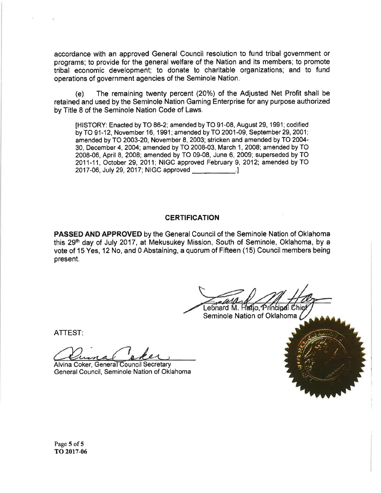accordance with an approved General Council resolution to fund tribal government or programs; to provide for the general welfare of the Nation and its members; to promote tribal economic development; to donate to charitable organizations; and to fund operations of government agencies of the Seminole Nation.

The remaining twenty percent (20%) of the Adjusted Net Profit shall be  $(e)$ retained and used by the Seminole Nation Gaming Enterprise for any purpose authorized by Title 8 of the Seminole Nation Code of Laws.

IHISTORY: Enacted by TO 86-2; amended by TO 91-08, August 29, 1991; codified by TO 91-12, November 16, 1991; amended by TO 2001-09, September 29, 2001; amended by TO 2003-20, November 8, 2003; stricken and amended by TO 2004-30, December 4, 2004; amended by TO 2008-03, March 1, 2008; amended by TO 2008-06. April 8, 2008; amended by TO 09-08. June 6, 2009; superseded by TO 2011-11. October 29, 2011; NIGC approved February 9, 2012; amended by TO 2017-06, July 29, 2017; NIGC approved [2017-06]

#### **CERTIFICATION**

**PASSED AND APPROVED** by the General Council of the Seminole Nation of Oklahoma this 29th day of July 2017, at Mekusukey Mission, South of Seminole, Oklahoma, by a vote of 15 Yes, 12 No. and 0 Abstaining, a guorum of Fifteen (15) Council members being present.

Leónard M. Hafjo, Príncinal Chiel Seminole Nation of Oklahoma /

**ATTEST:** 

Alvina Coker, General Council Secretary General Council, Seminole Nation of Oklahoma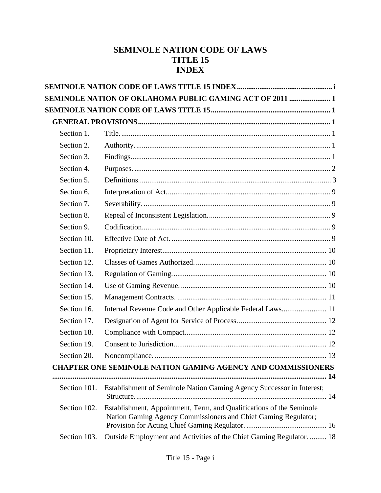# **SEMINOLE NATION CODE OF LAWS TITLE 15 INDEX**

|              | <b>SEMINOLE NATION OF OKLAHOMA PUBLIC GAMING ACT OF 2011  1</b>                                                                        |
|--------------|----------------------------------------------------------------------------------------------------------------------------------------|
|              |                                                                                                                                        |
|              |                                                                                                                                        |
| Section 1.   |                                                                                                                                        |
| Section 2.   |                                                                                                                                        |
| Section 3.   |                                                                                                                                        |
| Section 4.   |                                                                                                                                        |
| Section 5.   |                                                                                                                                        |
| Section 6.   |                                                                                                                                        |
| Section 7.   |                                                                                                                                        |
| Section 8.   |                                                                                                                                        |
| Section 9.   |                                                                                                                                        |
| Section 10.  |                                                                                                                                        |
| Section 11.  |                                                                                                                                        |
| Section 12.  |                                                                                                                                        |
| Section 13.  |                                                                                                                                        |
| Section 14.  |                                                                                                                                        |
| Section 15.  |                                                                                                                                        |
| Section 16.  |                                                                                                                                        |
| Section 17.  |                                                                                                                                        |
| Section 18.  |                                                                                                                                        |
| Section 19.  |                                                                                                                                        |
| Section 20.  |                                                                                                                                        |
|              | <b>CHAPTER ONE SEMINOLE NATION GAMING AGENCY AND COMMISSIONERS</b>                                                                     |
| Section 101. | Establishment of Seminole Nation Gaming Agency Successor in Interest;                                                                  |
| Section 102. | Establishment, Appointment, Term, and Qualifications of the Seminole<br>Nation Gaming Agency Commissioners and Chief Gaming Regulator; |
| Section 103. | Outside Employment and Activities of the Chief Gaming Regulator.  18                                                                   |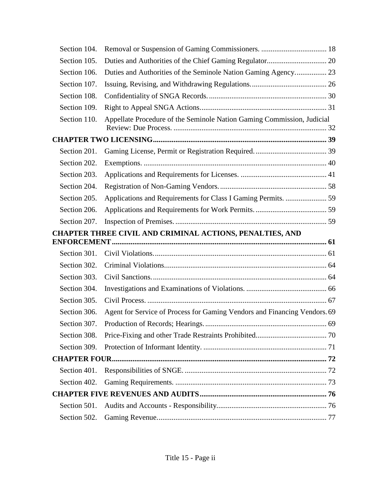| Section 104. |                                                                           |  |
|--------------|---------------------------------------------------------------------------|--|
| Section 105. |                                                                           |  |
| Section 106. |                                                                           |  |
| Section 107. |                                                                           |  |
| Section 108. |                                                                           |  |
| Section 109. |                                                                           |  |
| Section 110. | Appellate Procedure of the Seminole Nation Gaming Commission, Judicial    |  |
|              |                                                                           |  |
| Section 201. |                                                                           |  |
| Section 202. |                                                                           |  |
| Section 203. |                                                                           |  |
| Section 204. |                                                                           |  |
| Section 205. |                                                                           |  |
| Section 206. |                                                                           |  |
| Section 207. |                                                                           |  |
|              | <b>CHAPTER THREE CIVIL AND CRIMINAL ACTIONS, PENALTIES, AND</b>           |  |
|              |                                                                           |  |
| Section 301. |                                                                           |  |
| Section 302. |                                                                           |  |
| Section 303. |                                                                           |  |
| Section 304. |                                                                           |  |
| Section 305. |                                                                           |  |
| Section 306. | Agent for Service of Process for Gaming Vendors and Financing Vendors. 69 |  |
| Section 307. |                                                                           |  |
| Section 308. |                                                                           |  |
| Section 309. |                                                                           |  |
|              |                                                                           |  |
| Section 401. |                                                                           |  |
| Section 402. |                                                                           |  |
|              |                                                                           |  |
| Section 501. |                                                                           |  |
| Section 502. |                                                                           |  |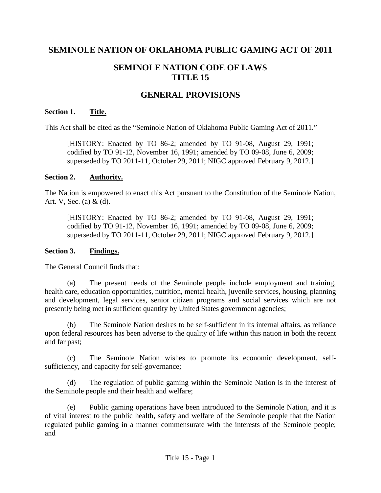# **SEMINOLE NATION OF OKLAHOMA PUBLIC GAMING ACT OF 2011**

# **SEMINOLE NATION CODE OF LAWS TITLE 15**

# **GENERAL PROVISIONS**

### **Section 1. Title.**

This Act shall be cited as the "Seminole Nation of Oklahoma Public Gaming Act of 2011."

[HISTORY: Enacted by TO 86-2; amended by TO 91-08, August 29, 1991; codified by TO 91-12, November 16, 1991; amended by TO 09-08, June 6, 2009; superseded by TO 2011-11, October 29, 2011; NIGC approved February 9, 2012.]

#### **Section 2. Authority.**

The Nation is empowered to enact this Act pursuant to the Constitution of the Seminole Nation, Art. V, Sec. (a) & (d).

[HISTORY: Enacted by TO 86-2; amended by TO 91-08, August 29, 1991; codified by TO 91-12, November 16, 1991; amended by TO 09-08, June 6, 2009; superseded by TO 2011-11, October 29, 2011; NIGC approved February 9, 2012.]

#### **Section 3. Findings.**

The General Council finds that:

(a) The present needs of the Seminole people include employment and training, health care, education opportunities, nutrition, mental health, juvenile services, housing, planning and development, legal services, senior citizen programs and social services which are not presently being met in sufficient quantity by United States government agencies;

(b) The Seminole Nation desires to be self-sufficient in its internal affairs, as reliance upon federal resources has been adverse to the quality of life within this nation in both the recent and far past;

(c) The Seminole Nation wishes to promote its economic development, selfsufficiency, and capacity for self-governance;

(d) The regulation of public gaming within the Seminole Nation is in the interest of the Seminole people and their health and welfare;

(e) Public gaming operations have been introduced to the Seminole Nation, and it is of vital interest to the public health, safety and welfare of the Seminole people that the Nation regulated public gaming in a manner commensurate with the interests of the Seminole people; and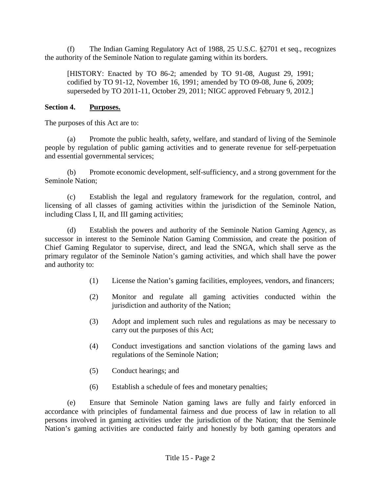(f) The Indian Gaming Regulatory Act of 1988, 25 U.S.C. §2701 et seq., recognizes the authority of the Seminole Nation to regulate gaming within its borders.

[HISTORY: Enacted by TO 86-2; amended by TO 91-08, August 29, 1991; codified by TO 91-12, November 16, 1991; amended by TO 09-08, June 6, 2009; superseded by TO 2011-11, October 29, 2011; NIGC approved February 9, 2012.]

## **Section 4. Purposes.**

The purposes of this Act are to:

(a) Promote the public health, safety, welfare, and standard of living of the Seminole people by regulation of public gaming activities and to generate revenue for self-perpetuation and essential governmental services;

(b) Promote economic development, self-sufficiency, and a strong government for the Seminole Nation;

(c) Establish the legal and regulatory framework for the regulation, control, and licensing of all classes of gaming activities within the jurisdiction of the Seminole Nation, including Class I, II, and III gaming activities;

(d) Establish the powers and authority of the Seminole Nation Gaming Agency, as successor in interest to the Seminole Nation Gaming Commission, and create the position of Chief Gaming Regulator to supervise, direct, and lead the SNGA, which shall serve as the primary regulator of the Seminole Nation's gaming activities, and which shall have the power and authority to:

- (1) License the Nation's gaming facilities, employees, vendors, and financers;
- (2) Monitor and regulate all gaming activities conducted within the jurisdiction and authority of the Nation;
- (3) Adopt and implement such rules and regulations as may be necessary to carry out the purposes of this Act;
- (4) Conduct investigations and sanction violations of the gaming laws and regulations of the Seminole Nation;
- (5) Conduct hearings; and
- (6) Establish a schedule of fees and monetary penalties;

(e) Ensure that Seminole Nation gaming laws are fully and fairly enforced in accordance with principles of fundamental fairness and due process of law in relation to all persons involved in gaming activities under the jurisdiction of the Nation; that the Seminole Nation's gaming activities are conducted fairly and honestly by both gaming operators and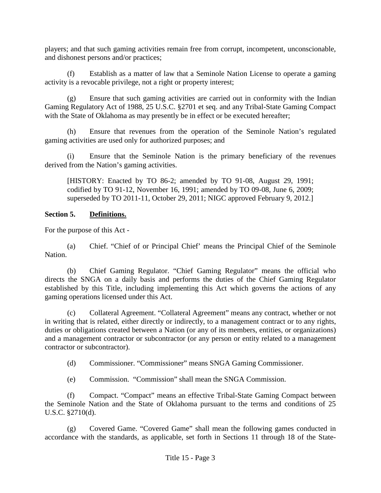players; and that such gaming activities remain free from corrupt, incompetent, unconscionable, and dishonest persons and/or practices;

(f) Establish as a matter of law that a Seminole Nation License to operate a gaming activity is a revocable privilege, not a right or property interest;

(g) Ensure that such gaming activities are carried out in conformity with the Indian Gaming Regulatory Act of 1988, 25 U.S.C. §2701 et seq. and any Tribal-State Gaming Compact with the State of Oklahoma as may presently be in effect or be executed hereafter;

(h) Ensure that revenues from the operation of the Seminole Nation's regulated gaming activities are used only for authorized purposes; and

(i) Ensure that the Seminole Nation is the primary beneficiary of the revenues derived from the Nation's gaming activities.

[HISTORY: Enacted by TO 86-2; amended by TO 91-08, August 29, 1991; codified by TO 91-12, November 16, 1991; amended by TO 09-08, June 6, 2009; superseded by TO 2011-11, October 29, 2011; NIGC approved February 9, 2012.]

# **Section 5. Definitions.**

For the purpose of this Act -

(a) Chief. "Chief of or Principal Chief' means the Principal Chief of the Seminole Nation.

(b) Chief Gaming Regulator. "Chief Gaming Regulator" means the official who directs the SNGA on a daily basis and performs the duties of the Chief Gaming Regulator established by this Title, including implementing this Act which governs the actions of any gaming operations licensed under this Act.

(c) Collateral Agreement. "Collateral Agreement" means any contract, whether or not in writing that is related, either directly or indirectly, to a management contract or to any rights, duties or obligations created between a Nation (or any of its members, entities, or organizations) and a management contractor or subcontractor (or any person or entity related to a management contractor or subcontractor).

(d) Commissioner. "Commissioner" means SNGA Gaming Commissioner.

(e) Commission. "Commission" shall mean the SNGA Commission.

(f) Compact. "Compact" means an effective Tribal-State Gaming Compact between the Seminole Nation and the State of Oklahoma pursuant to the terms and conditions of 25 U.S.C. §2710(d).

(g) Covered Game. "Covered Game" shall mean the following games conducted in accordance with the standards, as applicable, set forth in Sections 11 through 18 of the State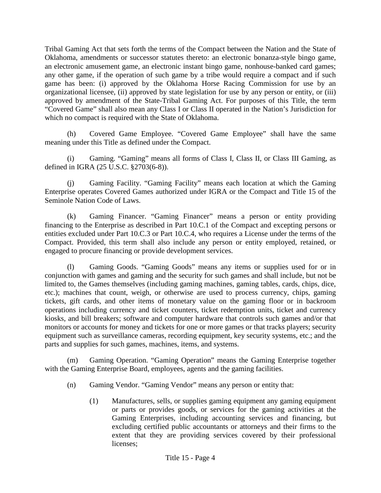Tribal Gaming Act that sets forth the terms of the Compact between the Nation and the State of Oklahoma, amendments or successor statutes thereto: an electronic bonanza-style bingo game, an electronic amusement game, an electronic instant bingo game, nonhouse-banked card games; any other game, if the operation of such game by a tribe would require a compact and if such game has been: (i) approved by the Oklahoma Horse Racing Commission for use by an organizational licensee, (ii) approved by state legislation for use by any person or entity, or (iii) approved by amendment of the State-Tribal Gaming Act. For purposes of this Title, the term "Covered Game" shall also mean any Class I or Class II operated in the Nation's Jurisdiction for which no compact is required with the State of Oklahoma.

(h) Covered Game Employee. "Covered Game Employee" shall have the same meaning under this Title as defined under the Compact.

(i) Gaming. "Gaming" means all forms of Class I, Class II, or Class III Gaming, as defined in IGRA (25 U.S.C. §2703(6-8)).

(j) Gaming Facility. "Gaming Facility" means each location at which the Gaming Enterprise operates Covered Games authorized under IGRA or the Compact and Title 15 of the Seminole Nation Code of Laws.

(k) Gaming Financer. "Gaming Financer" means a person or entity providing financing to the Enterprise as described in Part 10.C.1 of the Compact and excepting persons or entities excluded under Part 10.C.3 or Part 10.C.4, who requires a License under the terms of the Compact. Provided, this term shall also include any person or entity employed, retained, or engaged to procure financing or provide development services.

(l) Gaming Goods. "Gaming Goods" means any items or supplies used for or in conjunction with games and gaming and the security for such games and shall include, but not be limited to, the Games themselves (including gaming machines, gaming tables, cards, chips, dice, etc.); machines that count, weigh, or otherwise are used to process currency, chips, gaming tickets, gift cards, and other items of monetary value on the gaming floor or in backroom operations including currency and ticket counters, ticket redemption units, ticket and currency kiosks, and bill breakers; software and computer hardware that controls such games and/or that monitors or accounts for money and tickets for one or more games or that tracks players; security equipment such as surveillance cameras, recording equipment, key security systems, etc.; and the parts and supplies for such games, machines, items, and systems.

(m) Gaming Operation. "Gaming Operation" means the Gaming Enterprise together with the Gaming Enterprise Board, employees, agents and the gaming facilities.

- (n) Gaming Vendor. "Gaming Vendor" means any person or entity that:
	- (1) Manufactures, sells, or supplies gaming equipment any gaming equipment or parts or provides goods, or services for the gaming activities at the Gaming Enterprises, including accounting services and financing, but excluding certified public accountants or attorneys and their firms to the extent that they are providing services covered by their professional licenses;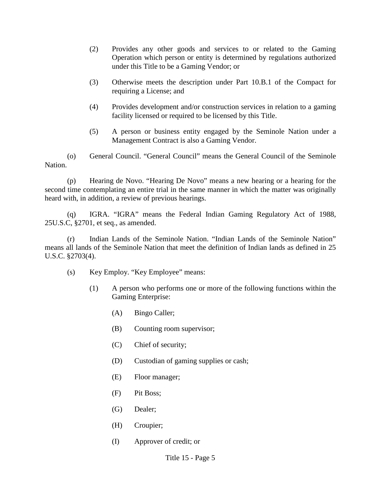- (2) Provides any other goods and services to or related to the Gaming Operation which person or entity is determined by regulations authorized under this Title to be a Gaming Vendor; or
- (3) Otherwise meets the description under Part 10.B.1 of the Compact for requiring a License; and
- (4) Provides development and/or construction services in relation to a gaming facility licensed or required to be licensed by this Title.
- (5) A person or business entity engaged by the Seminole Nation under a Management Contract is also a Gaming Vendor.

(o) General Council. "General Council" means the General Council of the Seminole Nation.

(p) Hearing de Novo. "Hearing De Novo" means a new hearing or a hearing for the second time contemplating an entire trial in the same manner in which the matter was originally heard with, in addition, a review of previous hearings.

(q) IGRA. "IGRA" means the Federal Indian Gaming Regulatory Act of 1988, 25U.S.C, §2701, et seq., as amended.

(r) Indian Lands of the Seminole Nation. "Indian Lands of the Seminole Nation" means all lands of the Seminole Nation that meet the definition of Indian lands as defined in 25 U.S.C. §2703(4).

- (s) Key Employ. "Key Employee" means:
	- (1) A person who performs one or more of the following functions within the Gaming Enterprise:
		- (A) Bingo Caller;
		- (B) Counting room supervisor;
		- (C) Chief of security;
		- (D) Custodian of gaming supplies or cash;
		- (E) Floor manager;
		- (F) Pit Boss;
		- (G) Dealer;
		- (H) Croupier;
		- (I) Approver of credit; or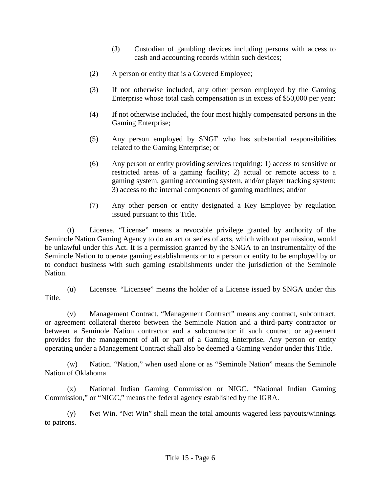- (J) Custodian of gambling devices including persons with access to cash and accounting records within such devices;
- (2) A person or entity that is a Covered Employee;
- (3) If not otherwise included, any other person employed by the Gaming Enterprise whose total cash compensation is in excess of \$50,000 per year;
- (4) If not otherwise included, the four most highly compensated persons in the Gaming Enterprise;
- (5) Any person employed by SNGE who has substantial responsibilities related to the Gaming Enterprise; or
- (6) Any person or entity providing services requiring: 1) access to sensitive or restricted areas of a gaming facility; 2) actual or remote access to a gaming system, gaming accounting system, and/or player tracking system; 3) access to the internal components of gaming machines; and/or
- (7) Any other person or entity designated a Key Employee by regulation issued pursuant to this Title.

(t) License. "License" means a revocable privilege granted by authority of the Seminole Nation Gaming Agency to do an act or series of acts, which without permission, would be unlawful under this Act. It is a permission granted by the SNGA to an instrumentality of the Seminole Nation to operate gaming establishments or to a person or entity to be employed by or to conduct business with such gaming establishments under the jurisdiction of the Seminole Nation.

(v) Management Contract. "Management Contract" means any contract, subcontract, or agreement collateral thereto between the Seminole Nation and a third-party contractor or between a Seminole Nation contractor and a subcontractor if such contract or agreement provides for the management of all or part of a Gaming Enterprise. Any person or entity operating under a Management Contract shall also be deemed a Gaming vendor under this Title.

(w) Nation. "Nation," when used alone or as "Seminole Nation" means the Seminole Nation of Oklahoma.

(x) National Indian Gaming Commission or NIGC. "National Indian Gaming Commission," or "NIGC," means the federal agency established by the IGRA.

(y) Net Win. "Net Win" shall mean the total amounts wagered less payouts/winnings to patrons.

<sup>(</sup>u) Licensee. "Licensee" means the holder of a License issued by SNGA under this Title.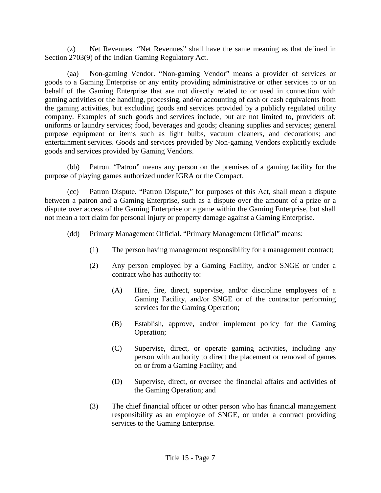(z) Net Revenues. "Net Revenues" shall have the same meaning as that defined in Section 2703(9) of the Indian Gaming Regulatory Act.

(aa) Non-gaming Vendor. "Non-gaming Vendor" means a provider of services or goods to a Gaming Enterprise or any entity providing administrative or other services to or on behalf of the Gaming Enterprise that are not directly related to or used in connection with gaming activities or the handling, processing, and/or accounting of cash or cash equivalents from the gaming activities, but excluding goods and services provided by a publicly regulated utility company. Examples of such goods and services include, but are not limited to, providers of: uniforms or laundry services; food, beverages and goods; cleaning supplies and services; general purpose equipment or items such as light bulbs, vacuum cleaners, and decorations; and entertainment services. Goods and services provided by Non-gaming Vendors explicitly exclude goods and services provided by Gaming Vendors.

(bb) Patron. "Patron" means any person on the premises of a gaming facility for the purpose of playing games authorized under IGRA or the Compact.

(cc) Patron Dispute. "Patron Dispute," for purposes of this Act, shall mean a dispute between a patron and a Gaming Enterprise, such as a dispute over the amount of a prize or a dispute over access of the Gaming Enterprise or a game within the Gaming Enterprise, but shall not mean a tort claim for personal injury or property damage against a Gaming Enterprise.

- (dd) Primary Management Official. "Primary Management Official" means:
	- (1) The person having management responsibility for a management contract;
	- (2) Any person employed by a Gaming Facility, and/or SNGE or under a contract who has authority to:
		- (A) Hire, fire, direct, supervise, and/or discipline employees of a Gaming Facility, and/or SNGE or of the contractor performing services for the Gaming Operation;
		- (B) Establish, approve, and/or implement policy for the Gaming Operation;
		- (C) Supervise, direct, or operate gaming activities, including any person with authority to direct the placement or removal of games on or from a Gaming Facility; and
		- (D) Supervise, direct, or oversee the financial affairs and activities of the Gaming Operation; and
	- (3) The chief financial officer or other person who has financial management responsibility as an employee of SNGE, or under a contract providing services to the Gaming Enterprise.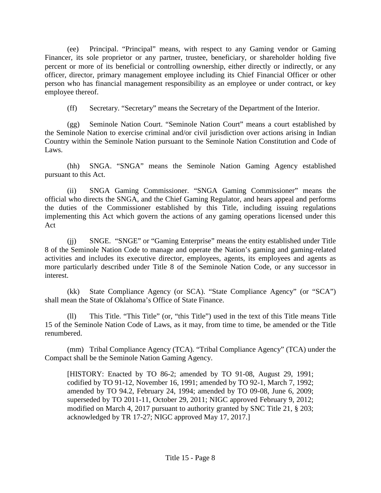(ee) Principal. "Principal" means, with respect to any Gaming vendor or Gaming Financer, its sole proprietor or any partner, trustee, beneficiary, or shareholder holding five percent or more of its beneficial or controlling ownership, either directly or indirectly, or any officer, director, primary management employee including its Chief Financial Officer or other person who has financial management responsibility as an employee or under contract, or key employee thereof.

(ff) Secretary. "Secretary" means the Secretary of the Department of the Interior.

(gg) Seminole Nation Court. "Seminole Nation Court" means a court established by the Seminole Nation to exercise criminal and/or civil jurisdiction over actions arising in Indian Country within the Seminole Nation pursuant to the Seminole Nation Constitution and Code of Laws.

(hh) SNGA. "SNGA" means the Seminole Nation Gaming Agency established pursuant to this Act.

(ii) SNGA Gaming Commissioner. "SNGA Gaming Commissioner" means the official who directs the SNGA, and the Chief Gaming Regulator, and hears appeal and performs the duties of the Commissioner established by this Title, including issuing regulations implementing this Act which govern the actions of any gaming operations licensed under this Act

(jj) SNGE. "SNGE" or "Gaming Enterprise" means the entity established under Title 8 of the Seminole Nation Code to manage and operate the Nation's gaming and gaming-related activities and includes its executive director, employees, agents, its employees and agents as more particularly described under Title 8 of the Seminole Nation Code, or any successor in interest.

(kk) State Compliance Agency (or SCA). "State Compliance Agency" (or "SCA") shall mean the State of Oklahoma's Office of State Finance.

(ll) This Title. "This Title" (or, "this Title") used in the text of this Title means Title 15 of the Seminole Nation Code of Laws, as it may, from time to time, be amended or the Title renumbered.

(mm) Tribal Compliance Agency (TCA). "Tribal Compliance Agency" (TCA) under the Compact shall be the Seminole Nation Gaming Agency.

[HISTORY: Enacted by TO 86-2; amended by TO 91-08, August 29, 1991; codified by TO 91-12, November 16, 1991; amended by TO 92-1, March 7, 1992; amended by TO 94.2, February 24, 1994; amended by TO 09-08, June 6, 2009; superseded by TO 2011-11, October 29, 2011; NIGC approved February 9, 2012; modified on March 4, 2017 pursuant to authority granted by SNC Title 21, § 203; acknowledged by TR 17-27; NIGC approved May 17, 2017.]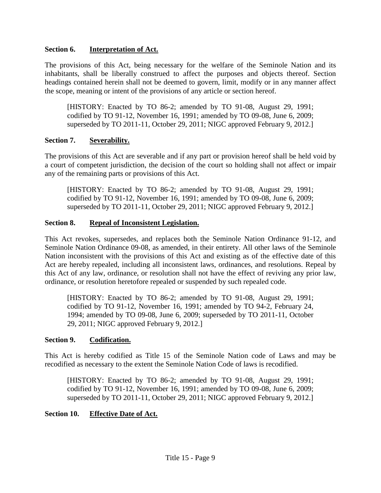### **Section 6. Interpretation of Act.**

The provisions of this Act, being necessary for the welfare of the Seminole Nation and its inhabitants, shall be liberally construed to affect the purposes and objects thereof. Section headings contained herein shall not be deemed to govern, limit, modify or in any manner affect the scope, meaning or intent of the provisions of any article or section hereof.

[HISTORY: Enacted by TO 86-2; amended by TO 91-08, August 29, 1991; codified by TO 91-12, November 16, 1991; amended by TO 09-08, June 6, 2009; superseded by TO 2011-11, October 29, 2011; NIGC approved February 9, 2012.]

# **Section 7. Severability.**

The provisions of this Act are severable and if any part or provision hereof shall be held void by a court of competent jurisdiction, the decision of the court so holding shall not affect or impair any of the remaining parts or provisions of this Act.

[HISTORY: Enacted by TO 86-2; amended by TO 91-08, August 29, 1991; codified by TO 91-12, November 16, 1991; amended by TO 09-08, June 6, 2009; superseded by TO 2011-11, October 29, 2011; NIGC approved February 9, 2012.]

### **Section 8. Repeal of Inconsistent Legislation.**

This Act revokes, supersedes, and replaces both the Seminole Nation Ordinance 91-12, and Seminole Nation Ordinance 09-08, as amended, in their entirety. All other laws of the Seminole Nation inconsistent with the provisions of this Act and existing as of the effective date of this Act are hereby repealed, including all inconsistent laws, ordinances, and resolutions. Repeal by this Act of any law, ordinance, or resolution shall not have the effect of reviving any prior law, ordinance, or resolution heretofore repealed or suspended by such repealed code.

[HISTORY: Enacted by TO 86-2; amended by TO 91-08, August 29, 1991; codified by TO 91-12, November 16, 1991; amended by TO 94-2, February 24, 1994; amended by TO 09-08, June 6, 2009; superseded by TO 2011-11, October 29, 2011; NIGC approved February 9, 2012.]

### **Section 9. Codification.**

This Act is hereby codified as Title 15 of the Seminole Nation code of Laws and may be recodified as necessary to the extent the Seminole Nation Code of laws is recodified.

[HISTORY: Enacted by TO 86-2; amended by TO 91-08, August 29, 1991; codified by TO 91-12, November 16, 1991; amended by TO 09-08, June 6, 2009; superseded by TO 2011-11, October 29, 2011; NIGC approved February 9, 2012.]

# **Section 10. Effective Date of Act.**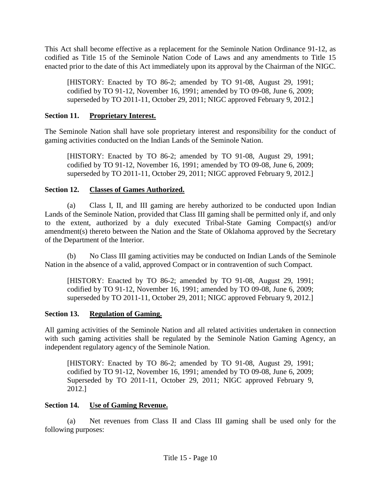This Act shall become effective as a replacement for the Seminole Nation Ordinance 91-12, as codified as Title 15 of the Seminole Nation Code of Laws and any amendments to Title 15 enacted prior to the date of this Act immediately upon its approval by the Chairman of the NIGC.

[HISTORY: Enacted by TO 86-2; amended by TO 91-08, August 29, 1991; codified by TO 91-12, November 16, 1991; amended by TO 09-08, June 6, 2009; superseded by TO 2011-11, October 29, 2011; NIGC approved February 9, 2012.]

## **Section 11. Proprietary Interest.**

The Seminole Nation shall have sole proprietary interest and responsibility for the conduct of gaming activities conducted on the Indian Lands of the Seminole Nation.

[HISTORY: Enacted by TO 86-2; amended by TO 91-08, August 29, 1991; codified by TO 91-12, November 16, 1991; amended by TO 09-08, June 6, 2009; superseded by TO 2011-11, October 29, 2011; NIGC approved February 9, 2012.]

## **Section 12. Classes of Games Authorized.**

(a) Class I, II, and III gaming are hereby authorized to be conducted upon Indian Lands of the Seminole Nation, provided that Class III gaming shall be permitted only if, and only to the extent, authorized by a duly executed Tribal-State Gaming Compact(s) and/or amendment(s) thereto between the Nation and the State of Oklahoma approved by the Secretary of the Department of the Interior.

(b) No Class III gaming activities may be conducted on Indian Lands of the Seminole Nation in the absence of a valid, approved Compact or in contravention of such Compact.

[HISTORY: Enacted by TO 86-2; amended by TO 91-08, August 29, 1991; codified by TO 91-12, November 16, 1991; amended by TO 09-08, June 6, 2009; superseded by TO 2011-11, October 29, 2011; NIGC approved February 9, 2012.]

### **Section 13. Regulation of Gaming.**

All gaming activities of the Seminole Nation and all related activities undertaken in connection with such gaming activities shall be regulated by the Seminole Nation Gaming Agency, an independent regulatory agency of the Seminole Nation.

[HISTORY: Enacted by TO 86-2; amended by TO 91-08, August 29, 1991; codified by TO 91-12, November 16, 1991; amended by TO 09-08, June 6, 2009; Superseded by TO 2011-11, October 29, 2011; NIGC approved February 9, 2012.]

# **Section 14. Use of Gaming Revenue.**

(a) Net revenues from Class II and Class III gaming shall be used only for the following purposes: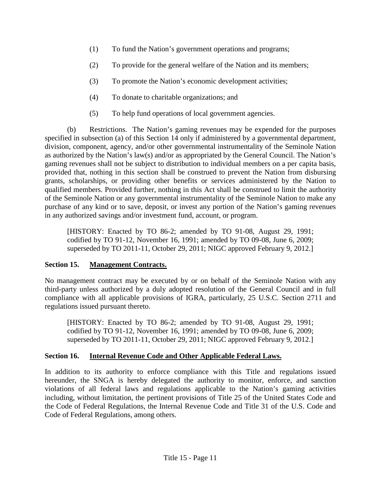- (1) To fund the Nation's government operations and programs;
- (2) To provide for the general welfare of the Nation and its members;
- (3) To promote the Nation's economic development activities;
- (4) To donate to charitable organizations; and
- (5) To help fund operations of local government agencies.

(b) Restrictions. The Nation's gaming revenues may be expended for the purposes specified in subsection (a) of this Section 14 only if administered by a governmental department, division, component, agency, and/or other governmental instrumentality of the Seminole Nation as authorized by the Nation's law(s) and/or as appropriated by the General Council. The Nation's gaming revenues shall not be subject to distribution to individual members on a per capita basis, provided that, nothing in this section shall be construed to prevent the Nation from disbursing grants, scholarships, or providing other benefits or services administered by the Nation to qualified members. Provided further, nothing in this Act shall be construed to limit the authority of the Seminole Nation or any governmental instrumentality of the Seminole Nation to make any purchase of any kind or to save, deposit, or invest any portion of the Nation's gaming revenues in any authorized savings and/or investment fund, account, or program.

[HISTORY: Enacted by TO 86-2; amended by TO 91-08, August 29, 1991; codified by TO 91-12, November 16, 1991; amended by TO 09-08, June 6, 2009; superseded by TO 2011-11, October 29, 2011; NIGC approved February 9, 2012.]

# **Section 15. Management Contracts.**

No management contract may be executed by or on behalf of the Seminole Nation with any third-party unless authorized by a duly adopted resolution of the General Council and in full compliance with all applicable provisions of IGRA, particularly, 25 U.S.C. Section 2711 and regulations issued pursuant thereto.

[HISTORY: Enacted by TO 86-2; amended by TO 91-08, August 29, 1991; codified by TO 91-12, November 16, 1991; amended by TO 09-08, June 6, 2009; superseded by TO 2011-11, October 29, 2011; NIGC approved February 9, 2012.]

# **Section 16. Internal Revenue Code and Other Applicable Federal Laws.**

In addition to its authority to enforce compliance with this Title and regulations issued hereunder, the SNGA is hereby delegated the authority to monitor, enforce, and sanction violations of all federal laws and regulations applicable to the Nation's gaming activities including, without limitation, the pertinent provisions of Title 25 of the United States Code and the Code of Federal Regulations, the Internal Revenue Code and Title 31 of the U.S. Code and Code of Federal Regulations, among others.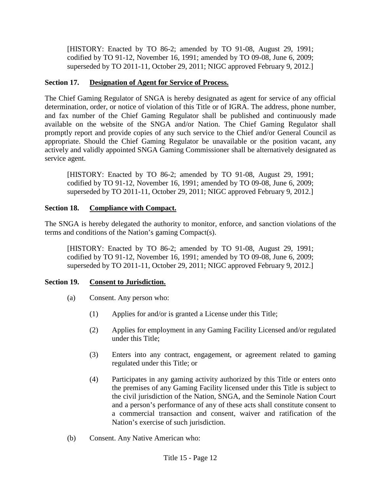[HISTORY: Enacted by TO 86-2; amended by TO 91-08, August 29, 1991; codified by TO 91-12, November 16, 1991; amended by TO 09-08, June 6, 2009; superseded by TO 2011-11, October 29, 2011; NIGC approved February 9, 2012.]

# **Section 17. Designation of Agent for Service of Process.**

The Chief Gaming Regulator of SNGA is hereby designated as agent for service of any official determination, order, or notice of violation of this Title or of IGRA. The address, phone number, and fax number of the Chief Gaming Regulator shall be published and continuously made available on the website of the SNGA and/or Nation. The Chief Gaming Regulator shall promptly report and provide copies of any such service to the Chief and/or General Council as appropriate. Should the Chief Gaming Regulator be unavailable or the position vacant, any actively and validly appointed SNGA Gaming Commissioner shall be alternatively designated as service agent.

[HISTORY: Enacted by TO 86-2; amended by TO 91-08, August 29, 1991; codified by TO 91-12, November 16, 1991; amended by TO 09-08, June 6, 2009; superseded by TO 2011-11, October 29, 2011; NIGC approved February 9, 2012.]

# **Section 18. Compliance with Compact.**

The SNGA is hereby delegated the authority to monitor, enforce, and sanction violations of the terms and conditions of the Nation's gaming Compact(s).

[HISTORY: Enacted by TO 86-2; amended by TO 91-08, August 29, 1991; codified by TO 91-12, November 16, 1991; amended by TO 09-08, June 6, 2009; superseded by TO 2011-11, October 29, 2011; NIGC approved February 9, 2012.]

# **Section 19. Consent to Jurisdiction.**

- (a) Consent. Any person who:
	- (1) Applies for and/or is granted a License under this Title;
	- (2) Applies for employment in any Gaming Facility Licensed and/or regulated under this Title;
	- (3) Enters into any contract, engagement, or agreement related to gaming regulated under this Title; or
	- (4) Participates in any gaming activity authorized by this Title or enters onto the premises of any Gaming Facility licensed under this Title is subject to the civil jurisdiction of the Nation, SNGA, and the Seminole Nation Court and a person's performance of any of these acts shall constitute consent to a commercial transaction and consent, waiver and ratification of the Nation's exercise of such jurisdiction.
- (b) Consent. Any Native American who: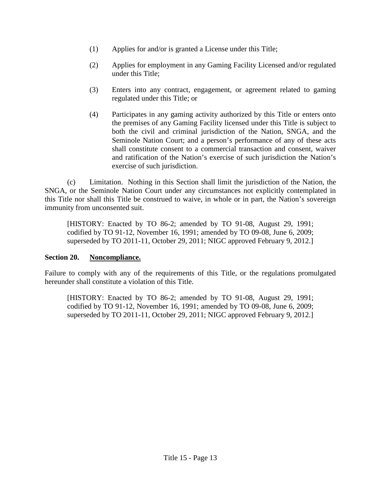- (1) Applies for and/or is granted a License under this Title;
- (2) Applies for employment in any Gaming Facility Licensed and/or regulated under this Title;
- (3) Enters into any contract, engagement, or agreement related to gaming regulated under this Title; or
- (4) Participates in any gaming activity authorized by this Title or enters onto the premises of any Gaming Facility licensed under this Title is subject to both the civil and criminal jurisdiction of the Nation, SNGA, and the Seminole Nation Court; and a person's performance of any of these acts shall constitute consent to a commercial transaction and consent, waiver and ratification of the Nation's exercise of such jurisdiction the Nation's exercise of such jurisdiction.

(c) Limitation. Nothing in this Section shall limit the jurisdiction of the Nation, the SNGA, or the Seminole Nation Court under any circumstances not explicitly contemplated in this Title nor shall this Title be construed to waive, in whole or in part, the Nation's sovereign immunity from unconsented suit.

[HISTORY: Enacted by TO 86-2; amended by TO 91-08, August 29, 1991; codified by TO 91-12, November 16, 1991; amended by TO 09-08, June 6, 2009; superseded by TO 2011-11, October 29, 2011; NIGC approved February 9, 2012.]

# **Section 20. Noncompliance.**

Failure to comply with any of the requirements of this Title, or the regulations promulgated hereunder shall constitute a violation of this Title.

[HISTORY: Enacted by TO 86-2; amended by TO 91-08, August 29, 1991; codified by TO 91-12, November 16, 1991; amended by TO 09-08, June 6, 2009; superseded by TO 2011-11, October 29, 2011; NIGC approved February 9, 2012.]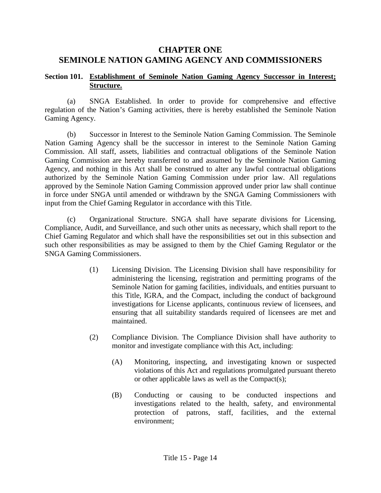# **CHAPTER ONE SEMINOLE NATION GAMING AGENCY AND COMMISSIONERS**

### **Section 101. Establishment of Seminole Nation Gaming Agency Successor in Interest; Structure.**

(a) SNGA Established. In order to provide for comprehensive and effective regulation of the Nation's Gaming activities, there is hereby established the Seminole Nation Gaming Agency.

(b) Successor in Interest to the Seminole Nation Gaming Commission. The Seminole Nation Gaming Agency shall be the successor in interest to the Seminole Nation Gaming Commission. All staff, assets, liabilities and contractual obligations of the Seminole Nation Gaming Commission are hereby transferred to and assumed by the Seminole Nation Gaming Agency, and nothing in this Act shall be construed to alter any lawful contractual obligations authorized by the Seminole Nation Gaming Commission under prior law. All regulations approved by the Seminole Nation Gaming Commission approved under prior law shall continue in force under SNGA until amended or withdrawn by the SNGA Gaming Commissioners with input from the Chief Gaming Regulator in accordance with this Title.

(c) Organizational Structure. SNGA shall have separate divisions for Licensing, Compliance, Audit, and Surveillance, and such other units as necessary, which shall report to the Chief Gaming Regulator and which shall have the responsibilities set out in this subsection and such other responsibilities as may be assigned to them by the Chief Gaming Regulator or the SNGA Gaming Commissioners.

- (1) Licensing Division. The Licensing Division shall have responsibility for administering the licensing, registration and permitting programs of the Seminole Nation for gaming facilities, individuals, and entities pursuant to this Title, IGRA, and the Compact, including the conduct of background investigations for License applicants, continuous review of licensees, and ensuring that all suitability standards required of licensees are met and maintained.
- (2) Compliance Division. The Compliance Division shall have authority to monitor and investigate compliance with this Act, including:
	- (A) Monitoring, inspecting, and investigating known or suspected violations of this Act and regulations promulgated pursuant thereto or other applicable laws as well as the Compact(s);
	- (B) Conducting or causing to be conducted inspections and investigations related to the health, safety, and environmental protection of patrons, staff, facilities, and the external environment;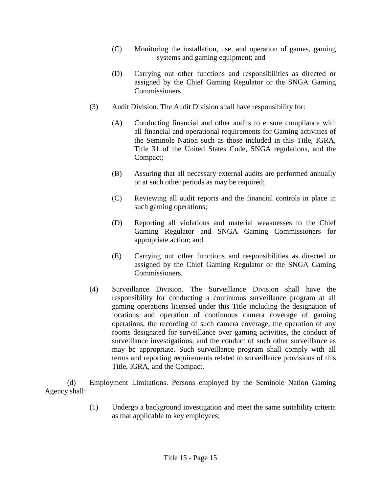- (C) Monitoring the installation, use, and operation of games, gaming systems and gaming equipment; and
- (D) Carrying out other functions and responsibilities as directed or assigned by the Chief Gaming Regulator or the SNGA Gaming Commissioners.
- (3) Audit Division. The Audit Division shall have responsibility for:
	- (A) Conducting financial and other audits to ensure compliance with all financial and operational requirements for Gaming activities of the Seminole Nation such as those included in this Title, IGRA, Title 31 of the United States Code, SNGA regulations, and the Compact;
	- (B) Assuring that all necessary external audits are performed annually or at such other periods as may be required;
	- (C) Reviewing all audit reports and the financial controls in place in such gaming operations;
	- (D) Reporting all violations and material weaknesses to the Chief Gaming Regulator and SNGA Gaming Commissioners for appropriate action; and
	- (E) Carrying out other functions and responsibilities as directed or assigned by the Chief Gaming Regulator or the SNGA Gaming Commissioners.
- (4) Surveillance Division. The Surveillance Division shall have the responsibility for conducting a continuous surveillance program at all gaming operations licensed under this Title including the designation of locations and operation of continuous camera coverage of gaming operations, the recording of such camera coverage, the operation of any rooms designated for surveillance over gaming activities, the conduct of surveillance investigations, and the conduct of such other surveillance as may be appropriate. Such surveillance program shall comply with all terms and reporting requirements related to surveillance provisions of this Title, IGRA, and the Compact.

(d) Employment Limitations. Persons employed by the Seminole Nation Gaming Agency shall:

> (1) Undergo a background investigation and meet the same suitability criteria as that applicable to key employees;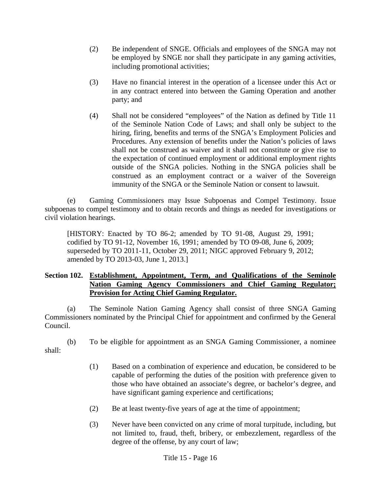- (2) Be independent of SNGE. Officials and employees of the SNGA may not be employed by SNGE nor shall they participate in any gaming activities, including promotional activities;
- (3) Have no financial interest in the operation of a licensee under this Act or in any contract entered into between the Gaming Operation and another party; and
- (4) Shall not be considered "employees" of the Nation as defined by Title 11 of the Seminole Nation Code of Laws; and shall only be subject to the hiring, firing, benefits and terms of the SNGA's Employment Policies and Procedures. Any extension of benefits under the Nation's policies of laws shall not be construed as waiver and it shall not constitute or give rise to the expectation of continued employment or additional employment rights outside of the SNGA policies. Nothing in the SNGA policies shall be construed as an employment contract or a waiver of the Sovereign immunity of the SNGA or the Seminole Nation or consent to lawsuit.

(e) Gaming Commissioners may Issue Subpoenas and Compel Testimony. Issue subpoenas to compel testimony and to obtain records and things as needed for investigations or civil violation hearings.

[HISTORY: Enacted by TO 86-2; amended by TO 91-08, August 29, 1991; codified by TO 91-12, November 16, 1991; amended by TO 09-08, June 6, 2009; superseded by TO 2011-11, October 29, 2011; NIGC approved February 9, 2012; amended by TO 2013-03, June 1, 2013.]

#### **Section 102. Establishment, Appointment, Term, and Qualifications of the Seminole Nation Gaming Agency Commissioners and Chief Gaming Regulator; Provision for Acting Chief Gaming Regulator.**

(a) The Seminole Nation Gaming Agency shall consist of three SNGA Gaming Commissioners nominated by the Principal Chief for appointment and confirmed by the General Council.

(b) To be eligible for appointment as an SNGA Gaming Commissioner, a nominee shall:

- (1) Based on a combination of experience and education, be considered to be capable of performing the duties of the position with preference given to those who have obtained an associate's degree, or bachelor's degree, and have significant gaming experience and certifications;
- (2) Be at least twenty-five years of age at the time of appointment;
- (3) Never have been convicted on any crime of moral turpitude, including, but not limited to, fraud, theft, bribery, or embezzlement, regardless of the degree of the offense, by any court of law;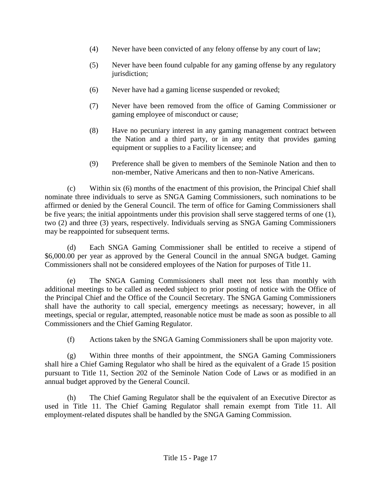- (4) Never have been convicted of any felony offense by any court of law;
- (5) Never have been found culpable for any gaming offense by any regulatory jurisdiction;
- (6) Never have had a gaming license suspended or revoked;
- (7) Never have been removed from the office of Gaming Commissioner or gaming employee of misconduct or cause;
- (8) Have no pecuniary interest in any gaming management contract between the Nation and a third party, or in any entity that provides gaming equipment or supplies to a Facility licensee; and
- (9) Preference shall be given to members of the Seminole Nation and then to non-member, Native Americans and then to non-Native Americans.

(c) Within six (6) months of the enactment of this provision, the Principal Chief shall nominate three individuals to serve as SNGA Gaming Commissioners, such nominations to be affirmed or denied by the General Council. The term of office for Gaming Commissioners shall be five years; the initial appointments under this provision shall serve staggered terms of one (1), two (2) and three (3) years, respectively. Individuals serving as SNGA Gaming Commissioners may be reappointed for subsequent terms.

(d) Each SNGA Gaming Commissioner shall be entitled to receive a stipend of \$6,000.00 per year as approved by the General Council in the annual SNGA budget. Gaming Commissioners shall not be considered employees of the Nation for purposes of Title 11.

(e) The SNGA Gaming Commissioners shall meet not less than monthly with additional meetings to be called as needed subject to prior posting of notice with the Office of the Principal Chief and the Office of the Council Secretary. The SNGA Gaming Commissioners shall have the authority to call special, emergency meetings as necessary; however, in all meetings, special or regular, attempted, reasonable notice must be made as soon as possible to all Commissioners and the Chief Gaming Regulator.

(f) Actions taken by the SNGA Gaming Commissioners shall be upon majority vote.

(g) Within three months of their appointment, the SNGA Gaming Commissioners shall hire a Chief Gaming Regulator who shall be hired as the equivalent of a Grade 15 position pursuant to Title 11, Section 202 of the Seminole Nation Code of Laws or as modified in an annual budget approved by the General Council.

(h) The Chief Gaming Regulator shall be the equivalent of an Executive Director as used in Title 11. The Chief Gaming Regulator shall remain exempt from Title 11. All employment-related disputes shall be handled by the SNGA Gaming Commission.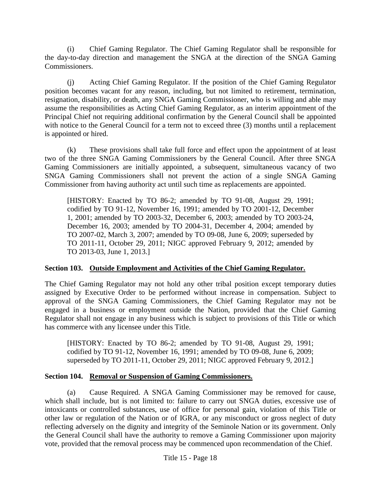(i) Chief Gaming Regulator. The Chief Gaming Regulator shall be responsible for the day-to-day direction and management the SNGA at the direction of the SNGA Gaming Commissioners.

(j) Acting Chief Gaming Regulator. If the position of the Chief Gaming Regulator position becomes vacant for any reason, including, but not limited to retirement, termination, resignation, disability, or death, any SNGA Gaming Commissioner, who is willing and able may assume the responsibilities as Acting Chief Gaming Regulator, as an interim appointment of the Principal Chief not requiring additional confirmation by the General Council shall be appointed with notice to the General Council for a term not to exceed three (3) months until a replacement is appointed or hired.

(k) These provisions shall take full force and effect upon the appointment of at least two of the three SNGA Gaming Commissioners by the General Council. After three SNGA Gaming Commissioners are initially appointed, a subsequent, simultaneous vacancy of two SNGA Gaming Commissioners shall not prevent the action of a single SNGA Gaming Commissioner from having authority act until such time as replacements are appointed.

[HISTORY: Enacted by TO 86-2; amended by TO 91-08, August 29, 1991; codified by TO 91-12, November 16, 1991; amended by TO 2001-12, December 1, 2001; amended by TO 2003-32, December 6, 2003; amended by TO 2003-24, December 16, 2003; amended by TO 2004-31, December 4, 2004; amended by TO 2007-02, March 3, 2007; amended by TO 09-08, June 6, 2009; superseded by TO 2011-11, October 29, 2011; NIGC approved February 9, 2012; amended by TO 2013-03, June 1, 2013.]

### **Section 103. Outside Employment and Activities of the Chief Gaming Regulator.**

The Chief Gaming Regulator may not hold any other tribal position except temporary duties assigned by Executive Order to be performed without increase in compensation. Subject to approval of the SNGA Gaming Commissioners, the Chief Gaming Regulator may not be engaged in a business or employment outside the Nation, provided that the Chief Gaming Regulator shall not engage in any business which is subject to provisions of this Title or which has commerce with any licensee under this Title.

[HISTORY: Enacted by TO 86-2; amended by TO 91-08, August 29, 1991; codified by TO 91-12, November 16, 1991; amended by TO 09-08, June 6, 2009; superseded by TO 2011-11, October 29, 2011; NIGC approved February 9, 2012.]

# **Section 104. Removal or Suspension of Gaming Commissioners.**

(a) Cause Required. A SNGA Gaming Commissioner may be removed for cause, which shall include, but is not limited to: failure to carry out SNGA duties, excessive use of intoxicants or controlled substances, use of office for personal gain, violation of this Title or other law or regulation of the Nation or of IGRA, or any misconduct or gross neglect of duty reflecting adversely on the dignity and integrity of the Seminole Nation or its government. Only the General Council shall have the authority to remove a Gaming Commissioner upon majority vote, provided that the removal process may be commenced upon recommendation of the Chief.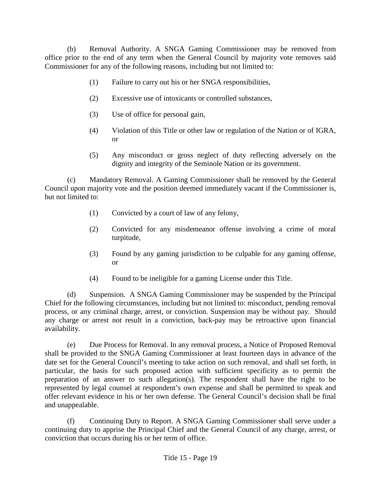(b) Removal Authority. A SNGA Gaming Commissioner may be removed from office prior to the end of any term when the General Council by majority vote removes said Commissioner for any of the following reasons, including but not limited to:

- (1) Failure to carry out his or her SNGA responsibilities,
- (2) Excessive use of intoxicants or controlled substances,
- (3) Use of office for personal gain,
- (4) Violation of this Title or other law or regulation of the Nation or of IGRA, or
- (5) Any misconduct or gross neglect of duty reflecting adversely on the dignity and integrity of the Seminole Nation or its government.

(c) Mandatory Removal. A Gaming Commissioner shall be removed by the General Council upon majority vote and the position deemed immediately vacant if the Commissioner is, but not limited to:

- (1) Convicted by a court of law of any felony,
- (2) Convicted for any misdemeanor offense involving a crime of moral turpitude,
- (3) Found by any gaming jurisdiction to be culpable for any gaming offense, or
- (4) Found to be ineligible for a gaming License under this Title.

(d) Suspension. A SNGA Gaming Commissioner may be suspended by the Principal Chief for the following circumstances, including but not limited to: misconduct, pending removal process, or any criminal charge, arrest, or conviction. Suspension may be without pay. Should any charge or arrest not result in a conviction, back-pay may be retroactive upon financial availability.

(e) Due Process for Removal. In any removal process, a Notice of Proposed Removal shall be provided to the SNGA Gaming Commissioner at least fourteen days in advance of the date set for the General Council's meeting to take action on such removal, and shall set forth, in particular, the basis for such proposed action with sufficient specificity as to permit the preparation of an answer to such allegation(s). The respondent shall have the right to be represented by legal counsel at respondent's own expense and shall be permitted to speak and offer relevant evidence in his or her own defense. The General Council's decision shall be final and unappealable.

(f) Continuing Duty to Report. A SNGA Gaming Commissioner shall serve under a continuing duty to apprise the Principal Chief and the General Council of any charge, arrest, or conviction that occurs during his or her term of office.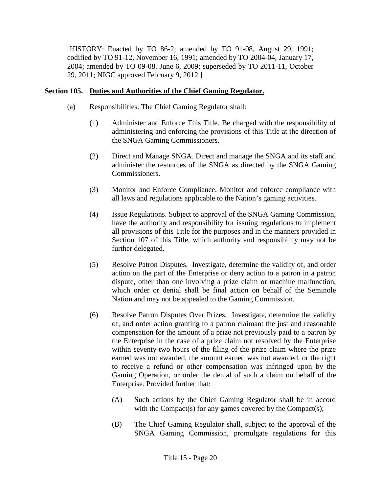[HISTORY: Enacted by TO 86-2; amended by TO 91-08, August 29, 1991; codified by TO 91-12, November 16, 1991; amended by TO 2004-04, January 17, 2004; amended by TO 09-08, June 6, 2009; superseded by TO 2011-11, October 29, 2011; NIGC approved February 9, 2012.]

### **Section 105. Duties and Authorities of the Chief Gaming Regulator.**

- (a) Responsibilities. The Chief Gaming Regulator shall:
	- (1) Administer and Enforce This Title. Be charged with the responsibility of administering and enforcing the provisions of this Title at the direction of the SNGA Gaming Commissioners.
	- (2) Direct and Manage SNGA. Direct and manage the SNGA and its staff and administer the resources of the SNGA as directed by the SNGA Gaming Commissioners.
	- (3) Monitor and Enforce Compliance. Monitor and enforce compliance with all laws and regulations applicable to the Nation's gaming activities.
	- (4) Issue Regulations. Subject to approval of the SNGA Gaming Commission, have the authority and responsibility for issuing regulations to implement all provisions of this Title for the purposes and in the manners provided in Section 107 of this Title, which authority and responsibility may not be further delegated.
	- (5) Resolve Patron Disputes. Investigate, determine the validity of, and order action on the part of the Enterprise or deny action to a patron in a patron dispute, other than one involving a prize claim or machine malfunction, which order or denial shall be final action on behalf of the Seminole Nation and may not be appealed to the Gaming Commission.
	- (6) Resolve Patron Disputes Over Prizes. Investigate, determine the validity of, and order action granting to a patron claimant the just and reasonable compensation for the amount of a prize not previously paid to a patron by the Enterprise in the case of a prize claim not resolved by the Enterprise within seventy-two hours of the filing of the prize claim where the prize earned was not awarded, the amount earned was not awarded, or the right to receive a refund or other compensation was infringed upon by the Gaming Operation, or order the denial of such a claim on behalf of the Enterprise. Provided further that:
		- (A) Such actions by the Chief Gaming Regulator shall be in accord with the Compact(s) for any games covered by the Compact(s);
		- (B) The Chief Gaming Regulator shall, subject to the approval of the SNGA Gaming Commission, promulgate regulations for this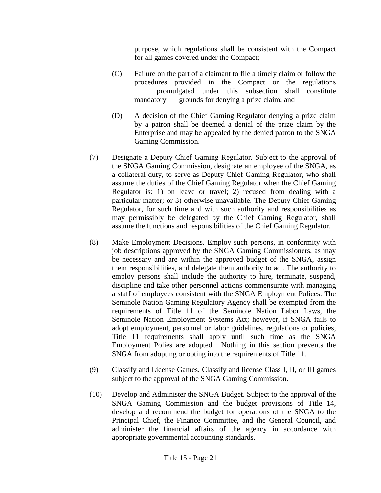purpose, which regulations shall be consistent with the Compact for all games covered under the Compact;

- (C) Failure on the part of a claimant to file a timely claim or follow the procedures provided in the Compact or the regulations promulgated under this subsection shall constitute mandatory grounds for denying a prize claim; and
- (D) A decision of the Chief Gaming Regulator denying a prize claim by a patron shall be deemed a denial of the prize claim by the Enterprise and may be appealed by the denied patron to the SNGA Gaming Commission.
- (7) Designate a Deputy Chief Gaming Regulator. Subject to the approval of the SNGA Gaming Commission, designate an employee of the SNGA, as a collateral duty, to serve as Deputy Chief Gaming Regulator, who shall assume the duties of the Chief Gaming Regulator when the Chief Gaming Regulator is: 1) on leave or travel; 2) recused from dealing with a particular matter; or 3) otherwise unavailable. The Deputy Chief Gaming Regulator, for such time and with such authority and responsibilities as may permissibly be delegated by the Chief Gaming Regulator, shall assume the functions and responsibilities of the Chief Gaming Regulator.
- (8) Make Employment Decisions. Employ such persons, in conformity with job descriptions approved by the SNGA Gaming Commissioners, as may be necessary and are within the approved budget of the SNGA, assign them responsibilities, and delegate them authority to act. The authority to employ persons shall include the authority to hire, terminate, suspend, discipline and take other personnel actions commensurate with managing a staff of employees consistent with the SNGA Employment Polices. The Seminole Nation Gaming Regulatory Agency shall be exempted from the requirements of Title 11 of the Seminole Nation Labor Laws, the Seminole Nation Employment Systems Act; however, if SNGA fails to adopt employment, personnel or labor guidelines, regulations or policies, Title 11 requirements shall apply until such time as the SNGA Employment Polies are adopted. Nothing in this section prevents the SNGA from adopting or opting into the requirements of Title 11.
- (9) Classify and License Games. Classify and license Class I, II, or III games subject to the approval of the SNGA Gaming Commission.
- (10) Develop and Administer the SNGA Budget. Subject to the approval of the SNGA Gaming Commission and the budget provisions of Title 14, develop and recommend the budget for operations of the SNGA to the Principal Chief, the Finance Committee, and the General Council, and administer the financial affairs of the agency in accordance with appropriate governmental accounting standards.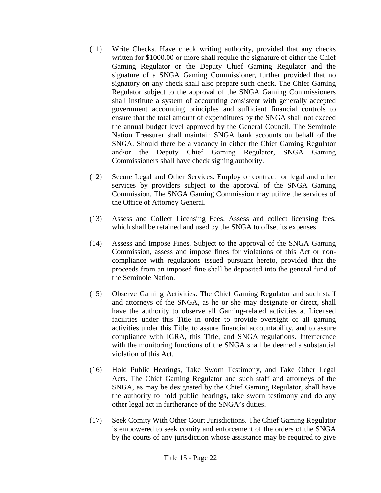- (11) Write Checks. Have check writing authority, provided that any checks written for \$1000.00 or more shall require the signature of either the Chief Gaming Regulator or the Deputy Chief Gaming Regulator and the signature of a SNGA Gaming Commissioner, further provided that no signatory on any check shall also prepare such check. The Chief Gaming Regulator subject to the approval of the SNGA Gaming Commissioners shall institute a system of accounting consistent with generally accepted government accounting principles and sufficient financial controls to ensure that the total amount of expenditures by the SNGA shall not exceed the annual budget level approved by the General Council. The Seminole Nation Treasurer shall maintain SNGA bank accounts on behalf of the SNGA. Should there be a vacancy in either the Chief Gaming Regulator and/or the Deputy Chief Gaming Regulator, SNGA Gaming Commissioners shall have check signing authority.
- (12) Secure Legal and Other Services. Employ or contract for legal and other services by providers subject to the approval of the SNGA Gaming Commission. The SNGA Gaming Commission may utilize the services of the Office of Attorney General.
- (13) Assess and Collect Licensing Fees. Assess and collect licensing fees, which shall be retained and used by the SNGA to offset its expenses.
- (14) Assess and Impose Fines. Subject to the approval of the SNGA Gaming Commission, assess and impose fines for violations of this Act or noncompliance with regulations issued pursuant hereto, provided that the proceeds from an imposed fine shall be deposited into the general fund of the Seminole Nation.
- (15) Observe Gaming Activities. The Chief Gaming Regulator and such staff and attorneys of the SNGA, as he or she may designate or direct, shall have the authority to observe all Gaming-related activities at Licensed facilities under this Title in order to provide oversight of all gaming activities under this Title, to assure financial accountability, and to assure compliance with IGRA, this Title, and SNGA regulations. Interference with the monitoring functions of the SNGA shall be deemed a substantial violation of this Act.
- (16) Hold Public Hearings, Take Sworn Testimony, and Take Other Legal Acts. The Chief Gaming Regulator and such staff and attorneys of the SNGA, as may be designated by the Chief Gaming Regulator, shall have the authority to hold public hearings, take sworn testimony and do any other legal act in furtherance of the SNGA's duties.
- (17) Seek Comity With Other Court Jurisdictions. The Chief Gaming Regulator is empowered to seek comity and enforcement of the orders of the SNGA by the courts of any jurisdiction whose assistance may be required to give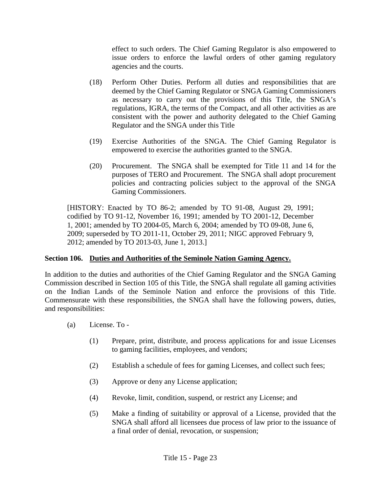effect to such orders. The Chief Gaming Regulator is also empowered to issue orders to enforce the lawful orders of other gaming regulatory agencies and the courts.

- (18) Perform Other Duties. Perform all duties and responsibilities that are deemed by the Chief Gaming Regulator or SNGA Gaming Commissioners as necessary to carry out the provisions of this Title, the SNGA's regulations, IGRA, the terms of the Compact, and all other activities as are consistent with the power and authority delegated to the Chief Gaming Regulator and the SNGA under this Title
- (19) Exercise Authorities of the SNGA. The Chief Gaming Regulator is empowered to exercise the authorities granted to the SNGA.
- (20) Procurement. The SNGA shall be exempted for Title 11 and 14 for the purposes of TERO and Procurement. The SNGA shall adopt procurement policies and contracting policies subject to the approval of the SNGA Gaming Commissioners.

[HISTORY: Enacted by TO 86-2; amended by TO 91-08, August 29, 1991; codified by TO 91-12, November 16, 1991; amended by TO 2001-12, December 1, 2001; amended by TO 2004-05, March 6, 2004; amended by TO 09-08, June 6, 2009; superseded by TO 2011-11, October 29, 2011; NIGC approved February 9, 2012; amended by TO 2013-03, June 1, 2013.]

# **Section 106. Duties and Authorities of the Seminole Nation Gaming Agency.**

In addition to the duties and authorities of the Chief Gaming Regulator and the SNGA Gaming Commission described in Section 105 of this Title, the SNGA shall regulate all gaming activities on the Indian Lands of the Seminole Nation and enforce the provisions of this Title. Commensurate with these responsibilities, the SNGA shall have the following powers, duties, and responsibilities:

- (a) License. To
	- (1) Prepare, print, distribute, and process applications for and issue Licenses to gaming facilities, employees, and vendors;
	- (2) Establish a schedule of fees for gaming Licenses, and collect such fees;
	- (3) Approve or deny any License application;
	- (4) Revoke, limit, condition, suspend, or restrict any License; and
	- (5) Make a finding of suitability or approval of a License, provided that the SNGA shall afford all licensees due process of law prior to the issuance of a final order of denial, revocation, or suspension;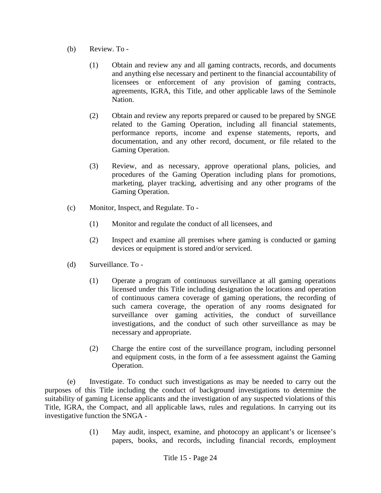- (b) Review. To
	- (1) Obtain and review any and all gaming contracts, records, and documents and anything else necessary and pertinent to the financial accountability of licensees or enforcement of any provision of gaming contracts, agreements, IGRA, this Title, and other applicable laws of the Seminole Nation.
	- (2) Obtain and review any reports prepared or caused to be prepared by SNGE related to the Gaming Operation, including all financial statements, performance reports, income and expense statements, reports, and documentation, and any other record, document, or file related to the Gaming Operation.
	- (3) Review, and as necessary, approve operational plans, policies, and procedures of the Gaming Operation including plans for promotions, marketing, player tracking, advertising and any other programs of the Gaming Operation.
- (c) Monitor, Inspect, and Regulate. To
	- (1) Monitor and regulate the conduct of all licensees, and
	- (2) Inspect and examine all premises where gaming is conducted or gaming devices or equipment is stored and/or serviced.
- (d) Surveillance. To
	- (1) Operate a program of continuous surveillance at all gaming operations licensed under this Title including designation the locations and operation of continuous camera coverage of gaming operations, the recording of such camera coverage, the operation of any rooms designated for surveillance over gaming activities, the conduct of surveillance investigations, and the conduct of such other surveillance as may be necessary and appropriate.
	- (2) Charge the entire cost of the surveillance program, including personnel and equipment costs, in the form of a fee assessment against the Gaming Operation.

(e) Investigate. To conduct such investigations as may be needed to carry out the purposes of this Title including the conduct of background investigations to determine the suitability of gaming License applicants and the investigation of any suspected violations of this Title, IGRA, the Compact, and all applicable laws, rules and regulations. In carrying out its investigative function the SNGA -

> (1) May audit, inspect, examine, and photocopy an applicant's or licensee's papers, books, and records, including financial records, employment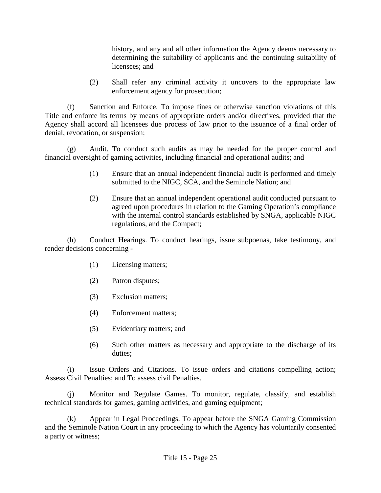history, and any and all other information the Agency deems necessary to determining the suitability of applicants and the continuing suitability of licensees; and

(2) Shall refer any criminal activity it uncovers to the appropriate law enforcement agency for prosecution;

(f) Sanction and Enforce. To impose fines or otherwise sanction violations of this Title and enforce its terms by means of appropriate orders and/or directives, provided that the Agency shall accord all licensees due process of law prior to the issuance of a final order of denial, revocation, or suspension;

(g) Audit. To conduct such audits as may be needed for the proper control and financial oversight of gaming activities, including financial and operational audits; and

- (1) Ensure that an annual independent financial audit is performed and timely submitted to the NIGC, SCA, and the Seminole Nation; and
- (2) Ensure that an annual independent operational audit conducted pursuant to agreed upon procedures in relation to the Gaming Operation's compliance with the internal control standards established by SNGA, applicable NIGC regulations, and the Compact;

(h) Conduct Hearings. To conduct hearings, issue subpoenas, take testimony, and render decisions concerning -

- (1) Licensing matters;
- (2) Patron disputes;
- (3) Exclusion matters;
- (4) Enforcement matters;
- (5) Evidentiary matters; and
- (6) Such other matters as necessary and appropriate to the discharge of its duties;

(i) Issue Orders and Citations. To issue orders and citations compelling action; Assess Civil Penalties; and To assess civil Penalties.

(j) Monitor and Regulate Games. To monitor, regulate, classify, and establish technical standards for games, gaming activities, and gaming equipment;

(k) Appear in Legal Proceedings. To appear before the SNGA Gaming Commission and the Seminole Nation Court in any proceeding to which the Agency has voluntarily consented a party or witness;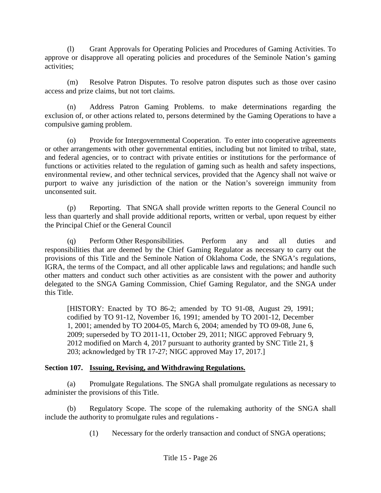(l) Grant Approvals for Operating Policies and Procedures of Gaming Activities. To approve or disapprove all operating policies and procedures of the Seminole Nation's gaming activities;

(m) Resolve Patron Disputes. To resolve patron disputes such as those over casino access and prize claims, but not tort claims.

(n) Address Patron Gaming Problems. to make determinations regarding the exclusion of, or other actions related to, persons determined by the Gaming Operations to have a compulsive gaming problem.

(o) Provide for Intergovernmental Cooperation. To enter into cooperative agreements or other arrangements with other governmental entities, including but not limited to tribal, state, and federal agencies, or to contract with private entities or institutions for the performance of functions or activities related to the regulation of gaming such as health and safety inspections, environmental review, and other technical services, provided that the Agency shall not waive or purport to waive any jurisdiction of the nation or the Nation's sovereign immunity from unconsented suit.

(p) Reporting. That SNGA shall provide written reports to the General Council no less than quarterly and shall provide additional reports, written or verbal, upon request by either the Principal Chief or the General Council

(q) Perform Other Responsibilities. Perform any and all duties and responsibilities that are deemed by the Chief Gaming Regulator as necessary to carry out the provisions of this Title and the Seminole Nation of Oklahoma Code, the SNGA's regulations, IGRA, the terms of the Compact, and all other applicable laws and regulations; and handle such other matters and conduct such other activities as are consistent with the power and authority delegated to the SNGA Gaming Commission, Chief Gaming Regulator, and the SNGA under this Title.

[HISTORY: Enacted by TO 86-2; amended by TO 91-08, August 29, 1991; codified by TO 91-12, November 16, 1991; amended by TO 2001-12, December 1, 2001; amended by TO 2004-05, March 6, 2004; amended by TO 09-08, June 6, 2009; superseded by TO 2011-11, October 29, 2011; NIGC approved February 9, 2012 modified on March 4, 2017 pursuant to authority granted by SNC Title 21, § 203; acknowledged by TR 17-27; NIGC approved May 17, 2017.]

# **Section 107. Issuing, Revising, and Withdrawing Regulations.**

(a) Promulgate Regulations. The SNGA shall promulgate regulations as necessary to administer the provisions of this Title.

(b) Regulatory Scope. The scope of the rulemaking authority of the SNGA shall include the authority to promulgate rules and regulations -

(1) Necessary for the orderly transaction and conduct of SNGA operations;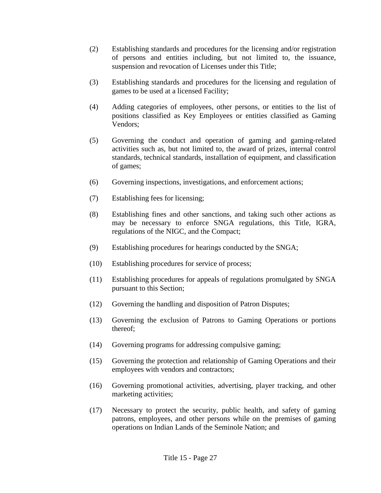- (2) Establishing standards and procedures for the licensing and/or registration of persons and entities including, but not limited to, the issuance, suspension and revocation of Licenses under this Title;
- (3) Establishing standards and procedures for the licensing and regulation of games to be used at a licensed Facility;
- (4) Adding categories of employees, other persons, or entities to the list of positions classified as Key Employees or entities classified as Gaming Vendors;
- (5) Governing the conduct and operation of gaming and gaming-related activities such as, but not limited to, the award of prizes, internal control standards, technical standards, installation of equipment, and classification of games;
- (6) Governing inspections, investigations, and enforcement actions;
- (7) Establishing fees for licensing;
- (8) Establishing fines and other sanctions, and taking such other actions as may be necessary to enforce SNGA regulations, this Title, IGRA, regulations of the NIGC, and the Compact;
- (9) Establishing procedures for hearings conducted by the SNGA;
- (10) Establishing procedures for service of process;
- (11) Establishing procedures for appeals of regulations promulgated by SNGA pursuant to this Section;
- (12) Governing the handling and disposition of Patron Disputes;
- (13) Governing the exclusion of Patrons to Gaming Operations or portions thereof;
- (14) Governing programs for addressing compulsive gaming;
- (15) Governing the protection and relationship of Gaming Operations and their employees with vendors and contractors;
- (16) Governing promotional activities, advertising, player tracking, and other marketing activities;
- (17) Necessary to protect the security, public health, and safety of gaming patrons, employees, and other persons while on the premises of gaming operations on Indian Lands of the Seminole Nation; and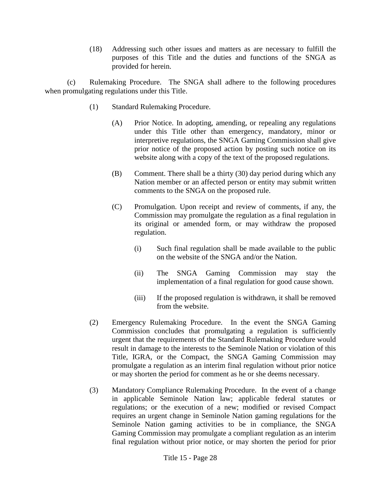(18) Addressing such other issues and matters as are necessary to fulfill the purposes of this Title and the duties and functions of the SNGA as provided for herein.

(c) Rulemaking Procedure. The SNGA shall adhere to the following procedures when promulgating regulations under this Title.

- (1) Standard Rulemaking Procedure.
	- (A) Prior Notice. In adopting, amending, or repealing any regulations under this Title other than emergency, mandatory, minor or interpretive regulations, the SNGA Gaming Commission shall give prior notice of the proposed action by posting such notice on its website along with a copy of the text of the proposed regulations.
	- (B) Comment. There shall be a thirty (30) day period during which any Nation member or an affected person or entity may submit written comments to the SNGA on the proposed rule.
	- (C) Promulgation. Upon receipt and review of comments, if any, the Commission may promulgate the regulation as a final regulation in its original or amended form, or may withdraw the proposed regulation.
		- (i) Such final regulation shall be made available to the public on the website of the SNGA and/or the Nation.
		- (ii) The SNGA Gaming Commission may stay the implementation of a final regulation for good cause shown.
		- (iii) If the proposed regulation is withdrawn, it shall be removed from the website.
- (2) Emergency Rulemaking Procedure. In the event the SNGA Gaming Commission concludes that promulgating a regulation is sufficiently urgent that the requirements of the Standard Rulemaking Procedure would result in damage to the interests to the Seminole Nation or violation of this Title, IGRA, or the Compact, the SNGA Gaming Commission may promulgate a regulation as an interim final regulation without prior notice or may shorten the period for comment as he or she deems necessary.
- (3) Mandatory Compliance Rulemaking Procedure. In the event of a change in applicable Seminole Nation law; applicable federal statutes or regulations; or the execution of a new; modified or revised Compact requires an urgent change in Seminole Nation gaming regulations for the Seminole Nation gaming activities to be in compliance, the SNGA Gaming Commission may promulgate a compliant regulation as an interim final regulation without prior notice, or may shorten the period for prior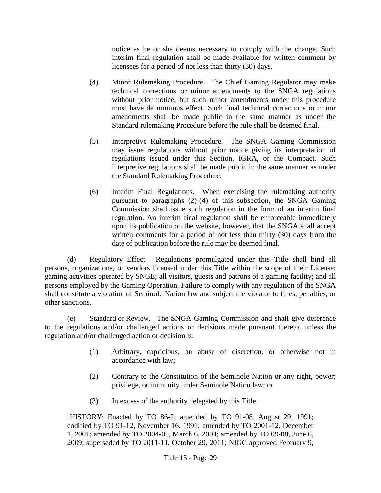notice as he or she deems necessary to comply with the change. Such interim final regulation shall be made available for written comment by licensees for a period of not less than thirty (30) days.

- (4) Minor Rulemaking Procedure. The Chief Gaming Regulator may make technical corrections or minor amendments to the SNGA regulations without prior notice, but such minor amendments under this procedure must have de minimus effect. Such final technical corrections or minor amendments shall be made public in the same manner as under the Standard rulemaking Procedure before the rule shall be deemed final.
- (5) Interpretive Rulemaking Procedure. The SNGA Gaming Commission may issue regulations without prior notice giving its interpretation of regulations issued under this Section, IGRA, or the Compact. Such interpretive regulations shall be made public in the same manner as under the Standard Rulemaking Procedure.
- (6) Interim Final Regulations. When exercising the rulemaking authority pursuant to paragraphs (2)-(4) of this subsection, the SNGA Gaming Commission shall issue such regulation in the form of an interim final regulation. An interim final regulation shall be enforceable immediately upon its publication on the website, however, that the SNGA shall accept written comments for a period of not less than thirty (30) days from the date of publication before the rule may be deemed final.

(d) Regulatory Effect. Regulations promulgated under this Title shall bind all persons, organizations, or vendors licensed under this Title within the scope of their License; gaming activities operated by SNGE; all visitors, guests and patrons of a gaming facility; and all persons employed by the Gaming Operation. Failure to comply with any regulation of the SNGA shall constitute a violation of Seminole Nation law and subject the violator to fines, penalties, or other sanctions.

(e) Standard of Review. The SNGA Gaming Commission and shall give deference to the regulations and/or challenged actions or decisions made pursuant thereto, unless the regulation and/or challenged action or decision is:

- (1) Arbitrary, capricious, an abuse of discretion, or otherwise not in accordance with law;
- (2) Contrary to the Constitution of the Seminole Nation or any right, power; privilege, or immunity under Seminole Nation law; or
- (3) In excess of the authority delegated by this Title.

[HISTORY: Enacted by TO 86-2; amended by TO 91-08, August 29, 1991; codified by TO 91-12, November 16, 1991; amended by TO 2001-12, December 1, 2001; amended by TO 2004-05, March 6, 2004; amended by TO 09-08, June 6, 2009; superseded by TO 2011-11, October 29, 2011; NIGC approved February 9,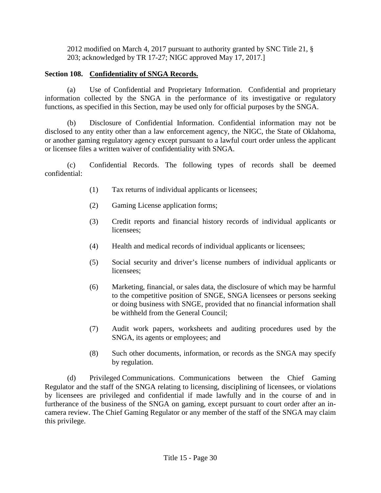2012 modified on March 4, 2017 pursuant to authority granted by SNC Title 21, § 203; acknowledged by TR 17-27; NIGC approved May 17, 2017.]

## **Section 108. Confidentiality of SNGA Records.**

(a) Use of Confidential and Proprietary Information. Confidential and proprietary information collected by the SNGA in the performance of its investigative or regulatory functions, as specified in this Section, may be used only for official purposes by the SNGA.

(b) Disclosure of Confidential Information. Confidential information may not be disclosed to any entity other than a law enforcement agency, the NIGC, the State of Oklahoma, or another gaming regulatory agency except pursuant to a lawful court order unless the applicant or licensee files a written waiver of confidentiality with SNGA.

(c) Confidential Records. The following types of records shall be deemed confidential:

- (1) Tax returns of individual applicants or licensees;
- (2) Gaming License application forms;
- (3) Credit reports and financial history records of individual applicants or licensees;
- (4) Health and medical records of individual applicants or licensees;
- (5) Social security and driver's license numbers of individual applicants or licensees;
- (6) Marketing, financial, or sales data, the disclosure of which may be harmful to the competitive position of SNGE, SNGA licensees or persons seeking or doing business with SNGE, provided that no financial information shall be withheld from the General Council;
- (7) Audit work papers, worksheets and auditing procedures used by the SNGA, its agents or employees; and
- (8) Such other documents, information, or records as the SNGA may specify by regulation.

(d) Privileged Communications. Communications between the Chief Gaming Regulator and the staff of the SNGA relating to licensing, disciplining of licensees, or violations by licensees are privileged and confidential if made lawfully and in the course of and in furtherance of the business of the SNGA on gaming, except pursuant to court order after an incamera review. The Chief Gaming Regulator or any member of the staff of the SNGA may claim this privilege.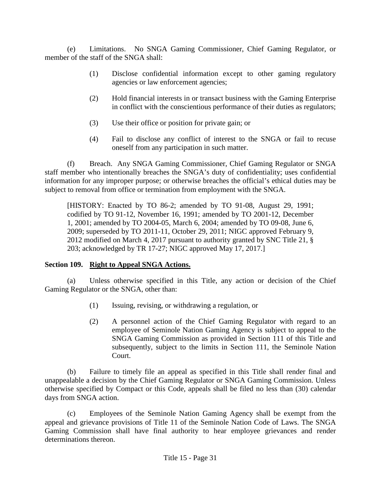(e) Limitations. No SNGA Gaming Commissioner, Chief Gaming Regulator, or member of the staff of the SNGA shall:

- (1) Disclose confidential information except to other gaming regulatory agencies or law enforcement agencies;
- (2) Hold financial interests in or transact business with the Gaming Enterprise in conflict with the conscientious performance of their duties as regulators;
- (3) Use their office or position for private gain; or
- (4) Fail to disclose any conflict of interest to the SNGA or fail to recuse oneself from any participation in such matter.

(f) Breach. Any SNGA Gaming Commissioner, Chief Gaming Regulator or SNGA staff member who intentionally breaches the SNGA's duty of confidentiality; uses confidential information for any improper purpose; or otherwise breaches the official's ethical duties may be subject to removal from office or termination from employment with the SNGA.

[HISTORY: Enacted by TO 86-2; amended by TO 91-08, August 29, 1991; codified by TO 91-12, November 16, 1991; amended by TO 2001-12, December 1, 2001; amended by TO 2004-05, March 6, 2004; amended by TO 09-08, June 6, 2009; superseded by TO 2011-11, October 29, 2011; NIGC approved February 9, 2012 modified on March 4, 2017 pursuant to authority granted by SNC Title 21, § 203; acknowledged by TR 17-27; NIGC approved May 17, 2017.]

## **Section 109. Right to Appeal SNGA Actions.**

(a) Unless otherwise specified in this Title, any action or decision of the Chief Gaming Regulator or the SNGA, other than:

- (1) Issuing, revising, or withdrawing a regulation, or
- (2) A personnel action of the Chief Gaming Regulator with regard to an employee of Seminole Nation Gaming Agency is subject to appeal to the SNGA Gaming Commission as provided in Section 111 of this Title and subsequently, subject to the limits in Section 111, the Seminole Nation Court.

(b) Failure to timely file an appeal as specified in this Title shall render final and unappealable a decision by the Chief Gaming Regulator or SNGA Gaming Commission. Unless otherwise specified by Compact or this Code, appeals shall be filed no less than (30) calendar days from SNGA action.

(c) Employees of the Seminole Nation Gaming Agency shall be exempt from the appeal and grievance provisions of Title 11 of the Seminole Nation Code of Laws. The SNGA Gaming Commission shall have final authority to hear employee grievances and render determinations thereon.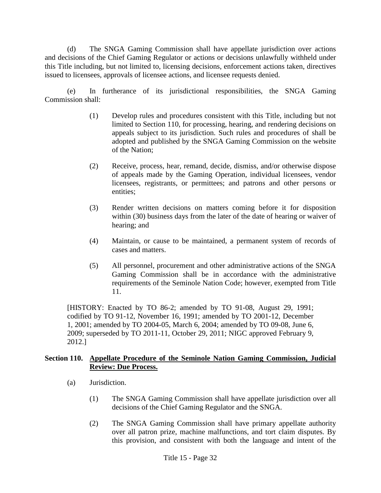(d) The SNGA Gaming Commission shall have appellate jurisdiction over actions and decisions of the Chief Gaming Regulator or actions or decisions unlawfully withheld under this Title including, but not limited to, licensing decisions, enforcement actions taken, directives issued to licensees, approvals of licensee actions, and licensee requests denied.

(e) In furtherance of its jurisdictional responsibilities, the SNGA Gaming Commission shall:

- (1) Develop rules and procedures consistent with this Title, including but not limited to Section 110, for processing, hearing, and rendering decisions on appeals subject to its jurisdiction. Such rules and procedures of shall be adopted and published by the SNGA Gaming Commission on the website of the Nation;
- (2) Receive, process, hear, remand, decide, dismiss, and/or otherwise dispose of appeals made by the Gaming Operation, individual licensees, vendor licensees, registrants, or permittees; and patrons and other persons or entities;
- (3) Render written decisions on matters coming before it for disposition within (30) business days from the later of the date of hearing or waiver of hearing; and
- (4) Maintain, or cause to be maintained, a permanent system of records of cases and matters.
- (5) All personnel, procurement and other administrative actions of the SNGA Gaming Commission shall be in accordance with the administrative requirements of the Seminole Nation Code; however, exempted from Title 11.

[HISTORY: Enacted by TO 86-2; amended by TO 91-08, August 29, 1991; codified by TO 91-12, November 16, 1991; amended by TO 2001-12, December 1, 2001; amended by TO 2004-05, March 6, 2004; amended by TO 09-08, June 6, 2009; superseded by TO 2011-11, October 29, 2011; NIGC approved February 9, 2012.]

#### **Section 110. Appellate Procedure of the Seminole Nation Gaming Commission, Judicial Review: Due Process.**

- (a) Jurisdiction.
	- (1) The SNGA Gaming Commission shall have appellate jurisdiction over all decisions of the Chief Gaming Regulator and the SNGA.
	- (2) The SNGA Gaming Commission shall have primary appellate authority over all patron prize, machine malfunctions, and tort claim disputes. By this provision, and consistent with both the language and intent of the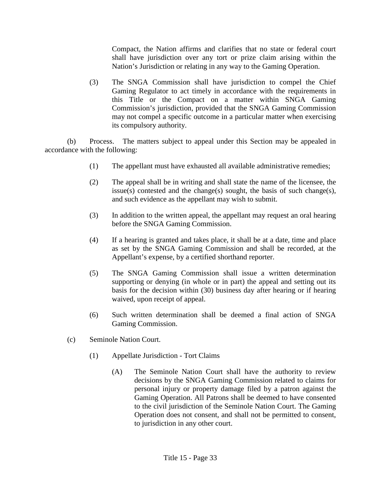Compact, the Nation affirms and clarifies that no state or federal court shall have jurisdiction over any tort or prize claim arising within the Nation's Jurisdiction or relating in any way to the Gaming Operation.

(3) The SNGA Commission shall have jurisdiction to compel the Chief Gaming Regulator to act timely in accordance with the requirements in this Title or the Compact on a matter within SNGA Gaming Commission's jurisdiction, provided that the SNGA Gaming Commission may not compel a specific outcome in a particular matter when exercising its compulsory authority.

(b) Process. The matters subject to appeal under this Section may be appealed in accordance with the following:

- (1) The appellant must have exhausted all available administrative remedies;
- (2) The appeal shall be in writing and shall state the name of the licensee, the issue(s) contested and the change(s) sought, the basis of such change(s), and such evidence as the appellant may wish to submit.
- (3) In addition to the written appeal, the appellant may request an oral hearing before the SNGA Gaming Commission.
- (4) If a hearing is granted and takes place, it shall be at a date, time and place as set by the SNGA Gaming Commission and shall be recorded, at the Appellant's expense, by a certified shorthand reporter.
- (5) The SNGA Gaming Commission shall issue a written determination supporting or denying (in whole or in part) the appeal and setting out its basis for the decision within (30) business day after hearing or if hearing waived, upon receipt of appeal.
- (6) Such written determination shall be deemed a final action of SNGA Gaming Commission.
- (c) Seminole Nation Court.
	- (1) Appellate Jurisdiction Tort Claims
		- (A) The Seminole Nation Court shall have the authority to review decisions by the SNGA Gaming Commission related to claims for personal injury or property damage filed by a patron against the Gaming Operation. All Patrons shall be deemed to have consented to the civil jurisdiction of the Seminole Nation Court. The Gaming Operation does not consent, and shall not be permitted to consent, to jurisdiction in any other court.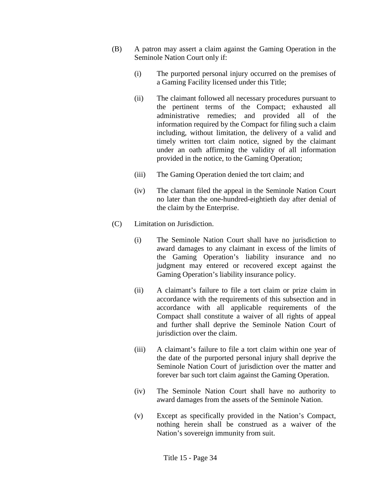- (B) A patron may assert a claim against the Gaming Operation in the Seminole Nation Court only if:
	- (i) The purported personal injury occurred on the premises of a Gaming Facility licensed under this Title;
	- (ii) The claimant followed all necessary procedures pursuant to the pertinent terms of the Compact; exhausted all administrative remedies; and provided all of the information required by the Compact for filing such a claim including, without limitation, the delivery of a valid and timely written tort claim notice, signed by the claimant under an oath affirming the validity of all information provided in the notice, to the Gaming Operation;
	- (iii) The Gaming Operation denied the tort claim; and
	- (iv) The clamant filed the appeal in the Seminole Nation Court no later than the one-hundred-eightieth day after denial of the claim by the Enterprise.
- (C) Limitation on Jurisdiction.
	- (i) The Seminole Nation Court shall have no jurisdiction to award damages to any claimant in excess of the limits of the Gaming Operation's liability insurance and no judgment may entered or recovered except against the Gaming Operation's liability insurance policy.
	- (ii) A claimant's failure to file a tort claim or prize claim in accordance with the requirements of this subsection and in accordance with all applicable requirements of the Compact shall constitute a waiver of all rights of appeal and further shall deprive the Seminole Nation Court of jurisdiction over the claim.
	- (iii) A claimant's failure to file a tort claim within one year of the date of the purported personal injury shall deprive the Seminole Nation Court of jurisdiction over the matter and forever bar such tort claim against the Gaming Operation.
	- (iv) The Seminole Nation Court shall have no authority to award damages from the assets of the Seminole Nation.
	- (v) Except as specifically provided in the Nation's Compact, nothing herein shall be construed as a waiver of the Nation's sovereign immunity from suit.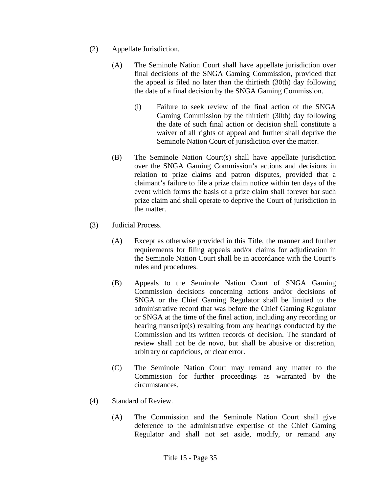- (2) Appellate Jurisdiction.
	- (A) The Seminole Nation Court shall have appellate jurisdiction over final decisions of the SNGA Gaming Commission, provided that the appeal is filed no later than the thirtieth (30th) day following the date of a final decision by the SNGA Gaming Commission.
		- (i) Failure to seek review of the final action of the SNGA Gaming Commission by the thirtieth (30th) day following the date of such final action or decision shall constitute a waiver of all rights of appeal and further shall deprive the Seminole Nation Court of jurisdiction over the matter.
	- (B) The Seminole Nation Court(s) shall have appellate jurisdiction over the SNGA Gaming Commission's actions and decisions in relation to prize claims and patron disputes, provided that a claimant's failure to file a prize claim notice within ten days of the event which forms the basis of a prize claim shall forever bar such prize claim and shall operate to deprive the Court of jurisdiction in the matter.
- (3) Judicial Process.
	- (A) Except as otherwise provided in this Title, the manner and further requirements for filing appeals and/or claims for adjudication in the Seminole Nation Court shall be in accordance with the Court's rules and procedures.
	- (B) Appeals to the Seminole Nation Court of SNGA Gaming Commission decisions concerning actions and/or decisions of SNGA or the Chief Gaming Regulator shall be limited to the administrative record that was before the Chief Gaming Regulator or SNGA at the time of the final action, including any recording or hearing transcript(s) resulting from any hearings conducted by the Commission and its written records of decision. The standard of review shall not be de novo, but shall be abusive or discretion, arbitrary or capricious, or clear error.
	- (C) The Seminole Nation Court may remand any matter to the Commission for further proceedings as warranted by the circumstances.
- (4) Standard of Review.
	- (A) The Commission and the Seminole Nation Court shall give deference to the administrative expertise of the Chief Gaming Regulator and shall not set aside, modify, or remand any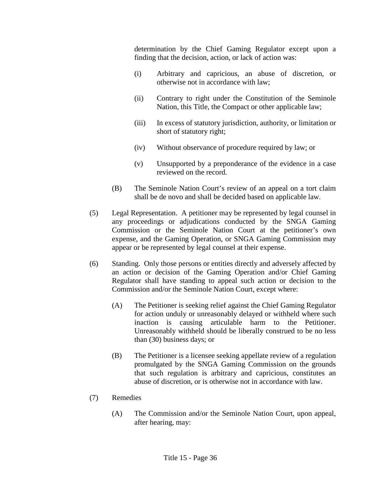determination by the Chief Gaming Regulator except upon a finding that the decision, action, or lack of action was:

- (i) Arbitrary and capricious, an abuse of discretion, or otherwise not in accordance with law;
- (ii) Contrary to right under the Constitution of the Seminole Nation, this Title, the Compact or other applicable law;
- (iii) In excess of statutory jurisdiction, authority, or limitation or short of statutory right;
- (iv) Without observance of procedure required by law; or
- (v) Unsupported by a preponderance of the evidence in a case reviewed on the record.
- (B) The Seminole Nation Court's review of an appeal on a tort claim shall be de novo and shall be decided based on applicable law.
- (5) Legal Representation. A petitioner may be represented by legal counsel in any proceedings or adjudications conducted by the SNGA Gaming Commission or the Seminole Nation Court at the petitioner's own expense, and the Gaming Operation, or SNGA Gaming Commission may appear or be represented by legal counsel at their expense.
- (6) Standing. Only those persons or entities directly and adversely affected by an action or decision of the Gaming Operation and/or Chief Gaming Regulator shall have standing to appeal such action or decision to the Commission and/or the Seminole Nation Court, except where:
	- (A) The Petitioner is seeking relief against the Chief Gaming Regulator for action unduly or unreasonably delayed or withheld where such inaction is causing articulable harm to the Petitioner. Unreasonably withheld should be liberally construed to be no less than (30) business days; or
	- (B) The Petitioner is a licensee seeking appellate review of a regulation promulgated by the SNGA Gaming Commission on the grounds that such regulation is arbitrary and capricious, constitutes an abuse of discretion, or is otherwise not in accordance with law.
- (7) Remedies
	- (A) The Commission and/or the Seminole Nation Court, upon appeal, after hearing, may: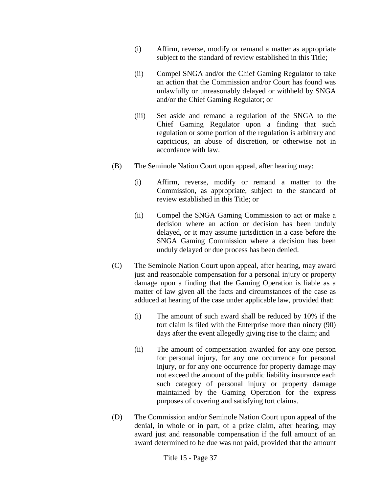- (i) Affirm, reverse, modify or remand a matter as appropriate subject to the standard of review established in this Title;
- (ii) Compel SNGA and/or the Chief Gaming Regulator to take an action that the Commission and/or Court has found was unlawfully or unreasonably delayed or withheld by SNGA and/or the Chief Gaming Regulator; or
- (iii) Set aside and remand a regulation of the SNGA to the Chief Gaming Regulator upon a finding that such regulation or some portion of the regulation is arbitrary and capricious, an abuse of discretion, or otherwise not in accordance with law.
- (B) The Seminole Nation Court upon appeal, after hearing may:
	- (i) Affirm, reverse, modify or remand a matter to the Commission, as appropriate, subject to the standard of review established in this Title; or
	- (ii) Compel the SNGA Gaming Commission to act or make a decision where an action or decision has been unduly delayed, or it may assume jurisdiction in a case before the SNGA Gaming Commission where a decision has been unduly delayed or due process has been denied.
- (C) The Seminole Nation Court upon appeal, after hearing, may award just and reasonable compensation for a personal injury or property damage upon a finding that the Gaming Operation is liable as a matter of law given all the facts and circumstances of the case as adduced at hearing of the case under applicable law, provided that:
	- (i) The amount of such award shall be reduced by 10% if the tort claim is filed with the Enterprise more than ninety (90) days after the event allegedly giving rise to the claim; and
	- (ii) The amount of compensation awarded for any one person for personal injury, for any one occurrence for personal injury, or for any one occurrence for property damage may not exceed the amount of the public liability insurance each such category of personal injury or property damage maintained by the Gaming Operation for the express purposes of covering and satisfying tort claims.
- (D) The Commission and/or Seminole Nation Court upon appeal of the denial, in whole or in part, of a prize claim, after hearing, may award just and reasonable compensation if the full amount of an award determined to be due was not paid, provided that the amount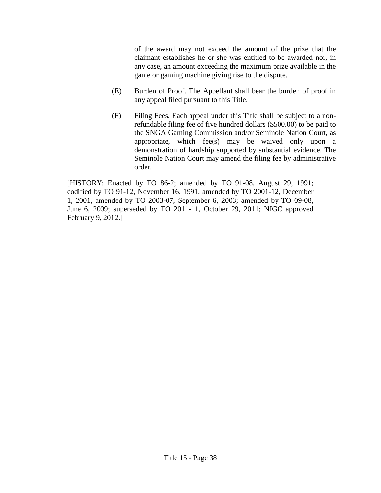of the award may not exceed the amount of the prize that the claimant establishes he or she was entitled to be awarded nor, in any case, an amount exceeding the maximum prize available in the game or gaming machine giving rise to the dispute.

- (E) Burden of Proof. The Appellant shall bear the burden of proof in any appeal filed pursuant to this Title.
- (F) Filing Fees. Each appeal under this Title shall be subject to a nonrefundable filing fee of five hundred dollars (\$500.00) to be paid to the SNGA Gaming Commission and/or Seminole Nation Court, as appropriate, which fee(s) may be waived only upon a demonstration of hardship supported by substantial evidence. The Seminole Nation Court may amend the filing fee by administrative order.

[HISTORY: Enacted by TO 86-2; amended by TO 91-08, August 29, 1991; codified by TO 91-12, November 16, 1991, amended by TO 2001-12, December 1, 2001, amended by TO 2003-07, September 6, 2003; amended by TO 09-08, June 6, 2009; superseded by TO 2011-11, October 29, 2011; NIGC approved February 9, 2012.]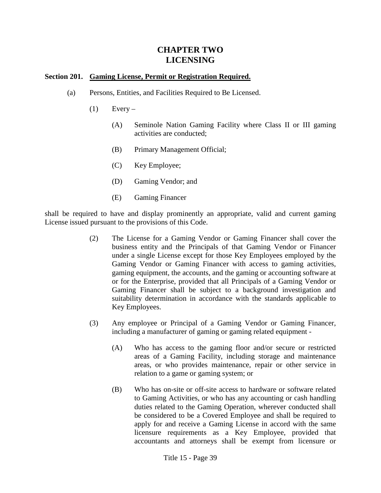# **CHAPTER TWO LICENSING**

#### **Section 201. Gaming License, Permit or Registration Required.**

- (a) Persons, Entities, and Facilities Required to Be Licensed.
	- $(1)$  Every
		- (A) Seminole Nation Gaming Facility where Class II or III gaming activities are conducted;
		- (B) Primary Management Official;
		- (C) Key Employee;
		- (D) Gaming Vendor; and
		- (E) Gaming Financer

shall be required to have and display prominently an appropriate, valid and current gaming License issued pursuant to the provisions of this Code.

- (2) The License for a Gaming Vendor or Gaming Financer shall cover the business entity and the Principals of that Gaming Vendor or Financer under a single License except for those Key Employees employed by the Gaming Vendor or Gaming Financer with access to gaming activities, gaming equipment, the accounts, and the gaming or accounting software at or for the Enterprise, provided that all Principals of a Gaming Vendor or Gaming Financer shall be subject to a background investigation and suitability determination in accordance with the standards applicable to Key Employees.
- (3) Any employee or Principal of a Gaming Vendor or Gaming Financer, including a manufacturer of gaming or gaming related equipment -
	- (A) Who has access to the gaming floor and/or secure or restricted areas of a Gaming Facility, including storage and maintenance areas, or who provides maintenance, repair or other service in relation to a game or gaming system; or
	- (B) Who has on-site or off-site access to hardware or software related to Gaming Activities, or who has any accounting or cash handling duties related to the Gaming Operation, wherever conducted shall be considered to be a Covered Employee and shall be required to apply for and receive a Gaming License in accord with the same licensure requirements as a Key Employee, provided that accountants and attorneys shall be exempt from licensure or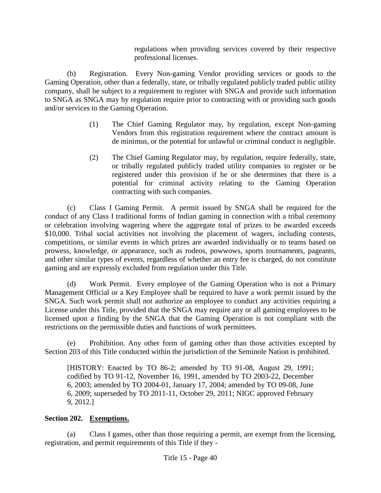regulations when providing services covered by their respective professional licenses.

(b) Registration. Every Non-gaming Vendor providing services or goods to the Gaming Operation, other than a federally, state, or tribally regulated publicly traded public utility company, shall be subject to a requirement to register with SNGA and provide such information to SNGA as SNGA may by regulation require prior to contracting with or providing such goods and/or services to the Gaming Operation.

- (1) The Chief Gaming Regulator may, by regulation, except Non-gaming Vendors from this registration requirement where the contract amount is de minimus, or the potential for unlawful or criminal conduct is negligible.
- (2) The Chief Gaming Regulator may, by regulation, require federally, state, or tribally regulated publicly traded utility companies to register or be registered under this provision if he or she determines that there is a potential for criminal activity relating to the Gaming Operation contracting with such companies.

(c) Class I Gaming Permit. A permit issued by SNGA shall be required for the conduct of any Class I traditional forms of Indian gaming in connection with a tribal ceremony or celebration involving wagering where the aggregate total of prizes to be awarded exceeds \$10,000. Tribal social activities not involving the placement of wagers, including contests, competitions, or similar events in which prizes are awarded individually or to teams based on prowess, knowledge, or appearance, such as rodeos, powwows, sports tournaments, pageants, and other similar types of events, regardless of whether an entry fee is charged, do not constitute gaming and are expressly excluded from regulation under this Title.

(d) Work Permit. Every employee of the Gaming Operation who is not a Primary Management Official or a Key Employee shall be required to have a work permit issued by the SNGA. Such work permit shall not authorize an employee to conduct any activities requiring a License under this Title, provided that the SNGA may require any or all gaming employees to be licensed upon a finding by the SNGA that the Gaming Operation is not compliant with the restrictions on the permissible duties and functions of work permittees.

(e) Prohibition. Any other form of gaming other than those activities excepted by Section 203 of this Title conducted within the jurisdiction of the Seminole Nation is prohibited.

[HISTORY: Enacted by TO 86-2; amended by TO 91-08, August 29, 1991; codified by TO 91-12, November 16, 1991, amended by TO 2003-22, December 6, 2003; amended by TO 2004-01, January 17, 2004; amended by TO 09-08, June 6, 2009; superseded by TO 2011-11, October 29, 2011; NIGC approved February 9, 2012.]

## **Section 202. Exemptions.**

(a) Class I games, other than those requiring a permit, are exempt from the licensing, registration, and permit requirements of this Title if they -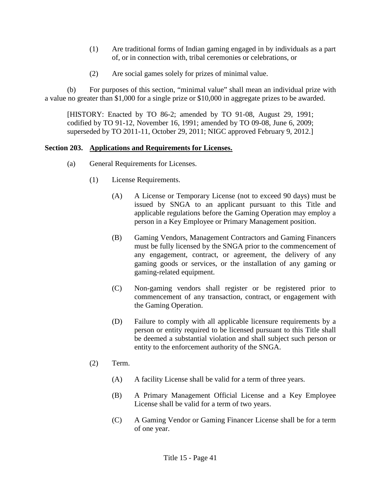- (1) Are traditional forms of Indian gaming engaged in by individuals as a part of, or in connection with, tribal ceremonies or celebrations, or
- (2) Are social games solely for prizes of minimal value.

(b) For purposes of this section, "minimal value" shall mean an individual prize with a value no greater than \$1,000 for a single prize or \$10,000 in aggregate prizes to be awarded.

[HISTORY: Enacted by TO 86-2; amended by TO 91-08, August 29, 1991; codified by TO 91-12, November 16, 1991; amended by TO 09-08, June 6, 2009; superseded by TO 2011-11, October 29, 2011; NIGC approved February 9, 2012.]

#### **Section 203. Applications and Requirements for Licenses.**

- (a) General Requirements for Licenses.
	- (1) License Requirements.
		- (A) A License or Temporary License (not to exceed 90 days) must be issued by SNGA to an applicant pursuant to this Title and applicable regulations before the Gaming Operation may employ a person in a Key Employee or Primary Management position.
		- (B) Gaming Vendors, Management Contractors and Gaming Financers must be fully licensed by the SNGA prior to the commencement of any engagement, contract, or agreement, the delivery of any gaming goods or services, or the installation of any gaming or gaming-related equipment.
		- (C) Non-gaming vendors shall register or be registered prior to commencement of any transaction, contract, or engagement with the Gaming Operation.
		- (D) Failure to comply with all applicable licensure requirements by a person or entity required to be licensed pursuant to this Title shall be deemed a substantial violation and shall subject such person or entity to the enforcement authority of the SNGA.
	- (2) Term.
		- (A) A facility License shall be valid for a term of three years.
		- (B) A Primary Management Official License and a Key Employee License shall be valid for a term of two years.
		- (C) A Gaming Vendor or Gaming Financer License shall be for a term of one year.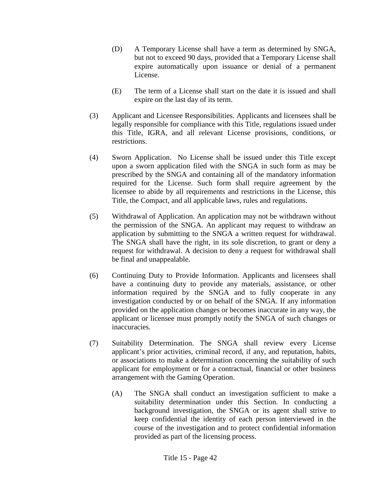- (D) A Temporary License shall have a term as determined by SNGA, but not to exceed 90 days, provided that a Temporary License shall expire automatically upon issuance or denial of a permanent License.
- (E) The term of a License shall start on the date it is issued and shall expire on the last day of its term.
- (3) Applicant and Licensee Responsibilities. Applicants and licensees shall be legally responsible for compliance with this Title, regulations issued under this Title, IGRA, and all relevant License provisions, conditions, or restrictions.
- (4) Sworn Application. No License shall be issued under this Title except upon a sworn application filed with the SNGA in such form as may be prescribed by the SNGA and containing all of the mandatory information required for the License. Such form shall require agreement by the licensee to abide by all requirements and restrictions in the License, this Title, the Compact, and all applicable laws, rules and regulations.
- (5) Withdrawal of Application. An application may not be withdrawn without the permission of the SNGA. An applicant may request to withdraw an application by submitting to the SNGA a written request for withdrawal. The SNGA shall have the right, in its sole discretion, to grant or deny a request for withdrawal. A decision to deny a request for withdrawal shall be final and unappealable.
- (6) Continuing Duty to Provide Information. Applicants and licensees shall have a continuing duty to provide any materials, assistance, or other information required by the SNGA and to fully cooperate in any investigation conducted by or on behalf of the SNGA. If any information provided on the application changes or becomes inaccurate in any way, the applicant or licensee must promptly notify the SNGA of such changes or inaccuracies.
- (7) Suitability Determination. The SNGA shall review every License applicant's prior activities, criminal record, if any, and reputation, habits, or associations to make a determination concerning the suitability of such applicant for employment or for a contractual, financial or other business arrangement with the Gaming Operation.
	- (A) The SNGA shall conduct an investigation sufficient to make a suitability determination under this Section. In conducting a background investigation, the SNGA or its agent shall strive to keep confidential the identity of each person interviewed in the course of the investigation and to protect confidential information provided as part of the licensing process.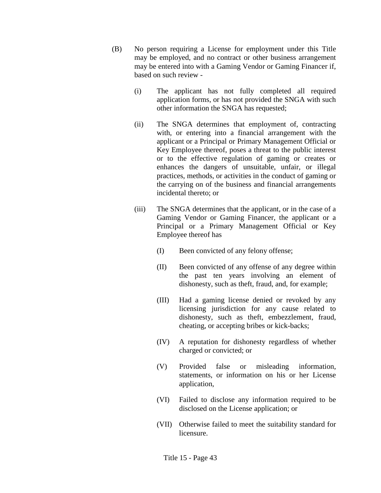- (B) No person requiring a License for employment under this Title may be employed, and no contract or other business arrangement may be entered into with a Gaming Vendor or Gaming Financer if, based on such review -
	- (i) The applicant has not fully completed all required application forms, or has not provided the SNGA with such other information the SNGA has requested;
	- (ii) The SNGA determines that employment of, contracting with, or entering into a financial arrangement with the applicant or a Principal or Primary Management Official or Key Employee thereof, poses a threat to the public interest or to the effective regulation of gaming or creates or enhances the dangers of unsuitable, unfair, or illegal practices, methods, or activities in the conduct of gaming or the carrying on of the business and financial arrangements incidental thereto; or
	- (iii) The SNGA determines that the applicant, or in the case of a Gaming Vendor or Gaming Financer, the applicant or a Principal or a Primary Management Official or Key Employee thereof has
		- (I) Been convicted of any felony offense;
		- (II) Been convicted of any offense of any degree within the past ten years involving an element of dishonesty, such as theft, fraud, and, for example;
		- (III) Had a gaming license denied or revoked by any licensing jurisdiction for any cause related to dishonesty, such as theft, embezzlement, fraud, cheating, or accepting bribes or kick-backs;
		- (IV) A reputation for dishonesty regardless of whether charged or convicted; or
		- (V) Provided false or misleading information, statements, or information on his or her License application,
		- (VI) Failed to disclose any information required to be disclosed on the License application; or
		- (VII) Otherwise failed to meet the suitability standard for licensure.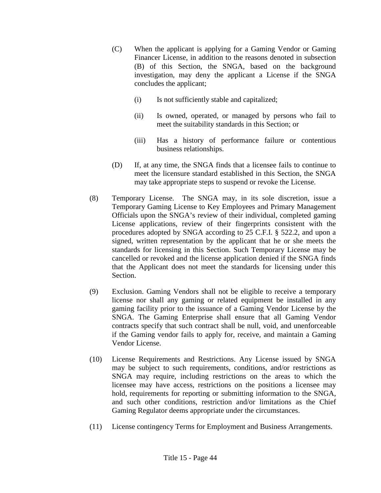- (C) When the applicant is applying for a Gaming Vendor or Gaming Financer License, in addition to the reasons denoted in subsection (B) of this Section, the SNGA, based on the background investigation, may deny the applicant a License if the SNGA concludes the applicant;
	- (i) Is not sufficiently stable and capitalized;
	- (ii) Is owned, operated, or managed by persons who fail to meet the suitability standards in this Section; or
	- (iii) Has a history of performance failure or contentious business relationships.
- (D) If, at any time, the SNGA finds that a licensee fails to continue to meet the licensure standard established in this Section, the SNGA may take appropriate steps to suspend or revoke the License.
- (8) Temporary License. The SNGA may, in its sole discretion, issue a Temporary Gaming License to Key Employees and Primary Management Officials upon the SNGA's review of their individual, completed gaming License applications, review of their fingerprints consistent with the procedures adopted by SNGA according to 25 C.F.I. § 522.2, and upon a signed, written representation by the applicant that he or she meets the standards for licensing in this Section. Such Temporary License may be cancelled or revoked and the license application denied if the SNGA finds that the Applicant does not meet the standards for licensing under this Section.
- (9) Exclusion. Gaming Vendors shall not be eligible to receive a temporary license nor shall any gaming or related equipment be installed in any gaming facility prior to the issuance of a Gaming Vendor License by the SNGA. The Gaming Enterprise shall ensure that all Gaming Vendor contracts specify that such contract shall be null, void, and unenforceable if the Gaming vendor fails to apply for, receive, and maintain a Gaming Vendor License.
- (10) License Requirements and Restrictions. Any License issued by SNGA may be subject to such requirements, conditions, and/or restrictions as SNGA may require, including restrictions on the areas to which the licensee may have access, restrictions on the positions a licensee may hold, requirements for reporting or submitting information to the SNGA, and such other conditions, restriction and/or limitations as the Chief Gaming Regulator deems appropriate under the circumstances.
- (11) License contingency Terms for Employment and Business Arrangements.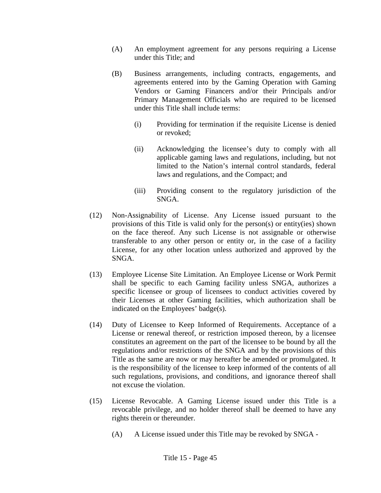- (A) An employment agreement for any persons requiring a License under this Title; and
- (B) Business arrangements, including contracts, engagements, and agreements entered into by the Gaming Operation with Gaming Vendors or Gaming Financers and/or their Principals and/or Primary Management Officials who are required to be licensed under this Title shall include terms:
	- (i) Providing for termination if the requisite License is denied or revoked;
	- (ii) Acknowledging the licensee's duty to comply with all applicable gaming laws and regulations, including, but not limited to the Nation's internal control standards, federal laws and regulations, and the Compact; and
	- (iii) Providing consent to the regulatory jurisdiction of the SNGA.
- (12) Non-Assignability of License. Any License issued pursuant to the provisions of this Title is valid only for the person(s) or entity(ies) shown on the face thereof. Any such License is not assignable or otherwise transferable to any other person or entity or, in the case of a facility License, for any other location unless authorized and approved by the SNGA.
- (13) Employee License Site Limitation. An Employee License or Work Permit shall be specific to each Gaming facility unless SNGA, authorizes a specific licensee or group of licensees to conduct activities covered by their Licenses at other Gaming facilities, which authorization shall be indicated on the Employees' badge(s).
- (14) Duty of Licensee to Keep Informed of Requirements. Acceptance of a License or renewal thereof, or restriction imposed thereon, by a licensee constitutes an agreement on the part of the licensee to be bound by all the regulations and/or restrictions of the SNGA and by the provisions of this Title as the same are now or may hereafter be amended or promulgated. It is the responsibility of the licensee to keep informed of the contents of all such regulations, provisions, and conditions, and ignorance thereof shall not excuse the violation.
- (15) License Revocable. A Gaming License issued under this Title is a revocable privilege, and no holder thereof shall be deemed to have any rights therein or thereunder.
	- (A) A License issued under this Title may be revoked by SNGA -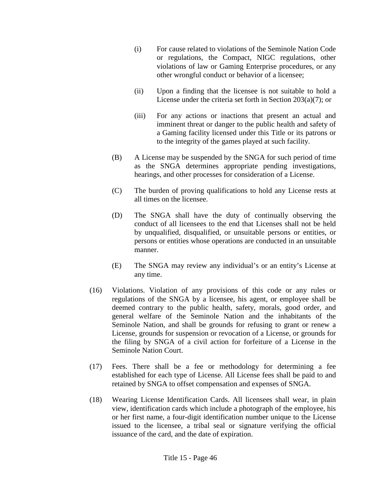- (i) For cause related to violations of the Seminole Nation Code or regulations, the Compact, NIGC regulations, other violations of law or Gaming Enterprise procedures, or any other wrongful conduct or behavior of a licensee;
- (ii) Upon a finding that the licensee is not suitable to hold a License under the criteria set forth in Section 203(a)(7); or
- (iii) For any actions or inactions that present an actual and imminent threat or danger to the public health and safety of a Gaming facility licensed under this Title or its patrons or to the integrity of the games played at such facility.
- (B) A License may be suspended by the SNGA for such period of time as the SNGA determines appropriate pending investigations, hearings, and other processes for consideration of a License.
- (C) The burden of proving qualifications to hold any License rests at all times on the licensee.
- (D) The SNGA shall have the duty of continually observing the conduct of all licensees to the end that Licenses shall not be held by unqualified, disqualified, or unsuitable persons or entities, or persons or entities whose operations are conducted in an unsuitable manner.
- (E) The SNGA may review any individual's or an entity's License at any time.
- (16) Violations. Violation of any provisions of this code or any rules or regulations of the SNGA by a licensee, his agent, or employee shall be deemed contrary to the public health, safety, morals, good order, and general welfare of the Seminole Nation and the inhabitants of the Seminole Nation, and shall be grounds for refusing to grant or renew a License, grounds for suspension or revocation of a License, or grounds for the filing by SNGA of a civil action for forfeiture of a License in the Seminole Nation Court.
- (17) Fees. There shall be a fee or methodology for determining a fee established for each type of License. All License fees shall be paid to and retained by SNGA to offset compensation and expenses of SNGA.
- (18) Wearing License Identification Cards. All licensees shall wear, in plain view, identification cards which include a photograph of the employee, his or her first name, a four-digit identification number unique to the License issued to the licensee, a tribal seal or signature verifying the official issuance of the card, and the date of expiration.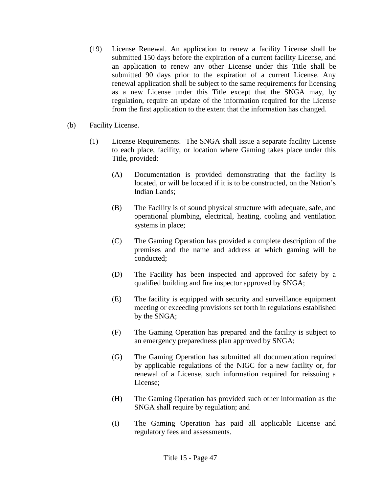- (19) License Renewal. An application to renew a facility License shall be submitted 150 days before the expiration of a current facility License, and an application to renew any other License under this Title shall be submitted 90 days prior to the expiration of a current License. Any renewal application shall be subject to the same requirements for licensing as a new License under this Title except that the SNGA may, by regulation, require an update of the information required for the License from the first application to the extent that the information has changed.
- (b) Facility License.
	- (1) License Requirements. The SNGA shall issue a separate facility License to each place, facility, or location where Gaming takes place under this Title, provided:
		- (A) Documentation is provided demonstrating that the facility is located, or will be located if it is to be constructed, on the Nation's Indian Lands;
		- (B) The Facility is of sound physical structure with adequate, safe, and operational plumbing, electrical, heating, cooling and ventilation systems in place;
		- (C) The Gaming Operation has provided a complete description of the premises and the name and address at which gaming will be conducted;
		- (D) The Facility has been inspected and approved for safety by a qualified building and fire inspector approved by SNGA;
		- (E) The facility is equipped with security and surveillance equipment meeting or exceeding provisions set forth in regulations established by the SNGA;
		- (F) The Gaming Operation has prepared and the facility is subject to an emergency preparedness plan approved by SNGA;
		- (G) The Gaming Operation has submitted all documentation required by applicable regulations of the NIGC for a new facility or, for renewal of a License, such information required for reissuing a License;
		- (H) The Gaming Operation has provided such other information as the SNGA shall require by regulation; and
		- (I) The Gaming Operation has paid all applicable License and regulatory fees and assessments.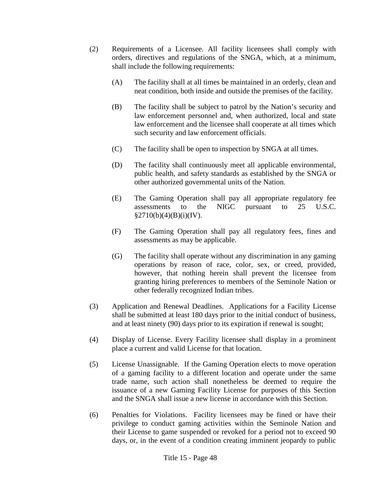- (2) Requirements of a Licensee. All facility licensees shall comply with orders, directives and regulations of the SNGA, which, at a minimum, shall include the following requirements:
	- (A) The facility shall at all times be maintained in an orderly, clean and neat condition, both inside and outside the premises of the facility.
	- (B) The facility shall be subject to patrol by the Nation's security and law enforcement personnel and, when authorized, local and state law enforcement and the licensee shall cooperate at all times which such security and law enforcement officials.
	- (C) The facility shall be open to inspection by SNGA at all times.
	- (D) The facility shall continuously meet all applicable environmental, public health, and safety standards as established by the SNGA or other authorized governmental units of the Nation.
	- (E) The Gaming Operation shall pay all appropriate regulatory fee assessments to the NIGC pursuant to 25 U.S.C.  $§2710(b)(4)(B)(i)(IV).$
	- (F) The Gaming Operation shall pay all regulatory fees, fines and assessments as may be applicable.
	- (G) The facility shall operate without any discrimination in any gaming operations by reason of race, color, sex, or creed, provided, however, that nothing herein shall prevent the licensee from granting hiring preferences to members of the Seminole Nation or other federally recognized Indian tribes.
- (3) Application and Renewal Deadlines. Applications for a Facility License shall be submitted at least 180 days prior to the initial conduct of business, and at least ninety (90) days prior to its expiration if renewal is sought;
- (4) Display of License. Every Facility licensee shall display in a prominent place a current and valid License for that location.
- (5) License Unassignable. If the Gaming Operation elects to move operation of a gaming facility to a different location and operate under the same trade name, such action shall nonetheless be deemed to require the issuance of a new Gaming Facility License for purposes of this Section and the SNGA shall issue a new license in accordance with this Section.
- (6) Penalties for Violations. Facility licensees may be fined or have their privilege to conduct gaming activities within the Seminole Nation and their License to game suspended or revoked for a period not to exceed 90 days, or, in the event of a condition creating imminent jeopardy to public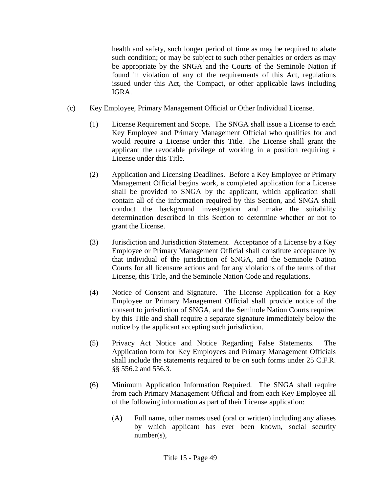health and safety, such longer period of time as may be required to abate such condition; or may be subject to such other penalties or orders as may be appropriate by the SNGA and the Courts of the Seminole Nation if found in violation of any of the requirements of this Act, regulations issued under this Act, the Compact, or other applicable laws including IGRA.

- (c) Key Employee, Primary Management Official or Other Individual License.
	- (1) License Requirement and Scope. The SNGA shall issue a License to each Key Employee and Primary Management Official who qualifies for and would require a License under this Title. The License shall grant the applicant the revocable privilege of working in a position requiring a License under this Title.
	- (2) Application and Licensing Deadlines. Before a Key Employee or Primary Management Official begins work, a completed application for a License shall be provided to SNGA by the applicant, which application shall contain all of the information required by this Section, and SNGA shall conduct the background investigation and make the suitability determination described in this Section to determine whether or not to grant the License.
	- (3) Jurisdiction and Jurisdiction Statement. Acceptance of a License by a Key Employee or Primary Management Official shall constitute acceptance by that individual of the jurisdiction of SNGA, and the Seminole Nation Courts for all licensure actions and for any violations of the terms of that License, this Title, and the Seminole Nation Code and regulations.
	- (4) Notice of Consent and Signature. The License Application for a Key Employee or Primary Management Official shall provide notice of the consent to jurisdiction of SNGA, and the Seminole Nation Courts required by this Title and shall require a separate signature immediately below the notice by the applicant accepting such jurisdiction.
	- (5) Privacy Act Notice and Notice Regarding False Statements. The Application form for Key Employees and Primary Management Officials shall include the statements required to be on such forms under 25 C.F.R. §§ 556.2 and 556.3.
	- (6) Minimum Application Information Required. The SNGA shall require from each Primary Management Official and from each Key Employee all of the following information as part of their License application:
		- (A) Full name, other names used (oral or written) including any aliases by which applicant has ever been known, social security number(s),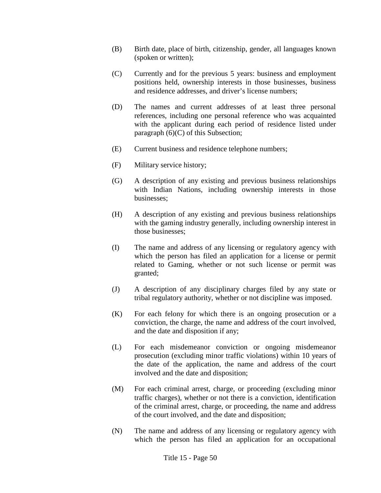- (B) Birth date, place of birth, citizenship, gender, all languages known (spoken or written);
- (C) Currently and for the previous 5 years: business and employment positions held, ownership interests in those businesses, business and residence addresses, and driver's license numbers;
- (D) The names and current addresses of at least three personal references, including one personal reference who was acquainted with the applicant during each period of residence listed under paragraph  $(6)(C)$  of this Subsection;
- (E) Current business and residence telephone numbers;
- (F) Military service history;
- (G) A description of any existing and previous business relationships with Indian Nations, including ownership interests in those businesses;
- (H) A description of any existing and previous business relationships with the gaming industry generally, including ownership interest in those businesses;
- (I) The name and address of any licensing or regulatory agency with which the person has filed an application for a license or permit related to Gaming, whether or not such license or permit was granted;
- (J) A description of any disciplinary charges filed by any state or tribal regulatory authority, whether or not discipline was imposed.
- (K) For each felony for which there is an ongoing prosecution or a conviction, the charge, the name and address of the court involved, and the date and disposition if any;
- (L) For each misdemeanor conviction or ongoing misdemeanor prosecution (excluding minor traffic violations) within 10 years of the date of the application, the name and address of the court involved and the date and disposition;
- (M) For each criminal arrest, charge, or proceeding (excluding minor traffic charges), whether or not there is a conviction, identification of the criminal arrest, charge, or proceeding, the name and address of the court involved, and the date and disposition;
- (N) The name and address of any licensing or regulatory agency with which the person has filed an application for an occupational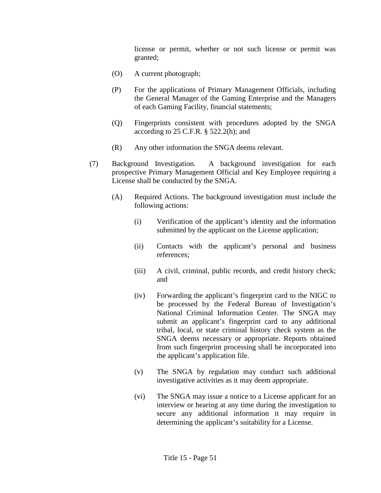license or permit, whether or not such license or permit was granted;

- (O) A current photograph;
- (P) For the applications of Primary Management Officials, including the General Manager of the Gaming Enterprise and the Managers of each Gaming Facility, financial statements;
- (Q) Fingerprints consistent with procedures adopted by the SNGA according to  $25$  C.F.R. §  $522.2(h)$ ; and
- (R) Any other information the SNGA deems relevant.
- (7) Background Investigation. A background investigation for each prospective Primary Management Official and Key Employee requiring a License shall be conducted by the SNGA.
	- (A) Required Actions. The background investigation must include the following actions:
		- (i) Verification of the applicant's identity and the information submitted by the applicant on the License application;
		- (ii) Contacts with the applicant's personal and business references;
		- (iii) A civil, criminal, public records, and credit history check; and
		- (iv) Forwarding the applicant's fingerprint card to the NIGC to be processed by the Federal Bureau of Investigation's National Criminal Information Center. The SNGA may submit an applicant's fingerprint card to any additional tribal, local, or state criminal history check system as the SNGA deems necessary or appropriate. Reports obtained from such fingerprint processing shall be incorporated into the applicant's application file.
		- (v) The SNGA by regulation may conduct such additional investigative activities as it may deem appropriate.
		- (vi) The SNGA may issue a notice to a License applicant for an interview or hearing at any time during the investigation to secure any additional information it may require in determining the applicant's suitability for a License.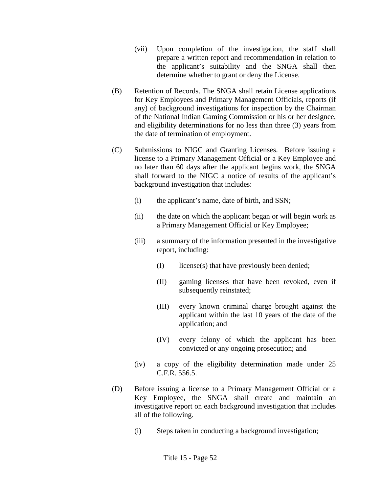- (vii) Upon completion of the investigation, the staff shall prepare a written report and recommendation in relation to the applicant's suitability and the SNGA shall then determine whether to grant or deny the License.
- (B) Retention of Records. The SNGA shall retain License applications for Key Employees and Primary Management Officials, reports (if any) of background investigations for inspection by the Chairman of the National Indian Gaming Commission or his or her designee, and eligibility determinations for no less than three (3) years from the date of termination of employment.
- (C) Submissions to NIGC and Granting Licenses. Before issuing a license to a Primary Management Official or a Key Employee and no later than 60 days after the applicant begins work, the SNGA shall forward to the NIGC a notice of results of the applicant's background investigation that includes:
	- (i) the applicant's name, date of birth, and SSN;
	- (ii) the date on which the applicant began or will begin work as a Primary Management Official or Key Employee;
	- (iii) a summary of the information presented in the investigative report, including:
		- (I) license(s) that have previously been denied;
		- (II) gaming licenses that have been revoked, even if subsequently reinstated;
		- (III) every known criminal charge brought against the applicant within the last 10 years of the date of the application; and
		- (IV) every felony of which the applicant has been convicted or any ongoing prosecution; and
	- (iv) a copy of the eligibility determination made under 25 C.F.R. 556.5.
- (D) Before issuing a license to a Primary Management Official or a Key Employee, the SNGA shall create and maintain an investigative report on each background investigation that includes all of the following.
	- (i) Steps taken in conducting a background investigation;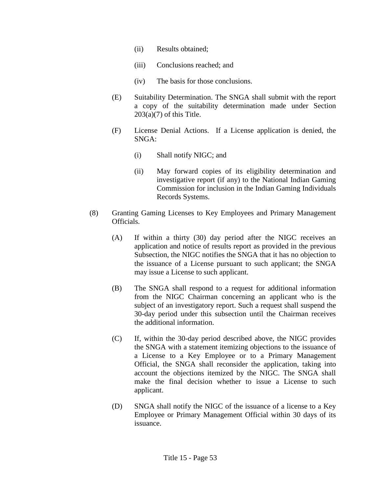- (ii) Results obtained;
- (iii) Conclusions reached; and
- (iv) The basis for those conclusions.
- (E) Suitability Determination. The SNGA shall submit with the report a copy of the suitability determination made under Section  $203(a)(7)$  of this Title.
- (F) License Denial Actions. If a License application is denied, the SNGA:
	- (i) Shall notify NIGC; and
	- (ii) May forward copies of its eligibility determination and investigative report (if any) to the National Indian Gaming Commission for inclusion in the Indian Gaming Individuals Records Systems.
- (8) Granting Gaming Licenses to Key Employees and Primary Management Officials.
	- (A) If within a thirty (30) day period after the NIGC receives an application and notice of results report as provided in the previous Subsection, the NIGC notifies the SNGA that it has no objection to the issuance of a License pursuant to such applicant; the SNGA may issue a License to such applicant.
	- (B) The SNGA shall respond to a request for additional information from the NIGC Chairman concerning an applicant who is the subject of an investigatory report. Such a request shall suspend the 30-day period under this subsection until the Chairman receives the additional information.
	- (C) If, within the 30-day period described above, the NIGC provides the SNGA with a statement itemizing objections to the issuance of a License to a Key Employee or to a Primary Management Official, the SNGA shall reconsider the application, taking into account the objections itemized by the NIGC. The SNGA shall make the final decision whether to issue a License to such applicant.
	- (D) SNGA shall notify the NIGC of the issuance of a license to a Key Employee or Primary Management Official within 30 days of its issuance.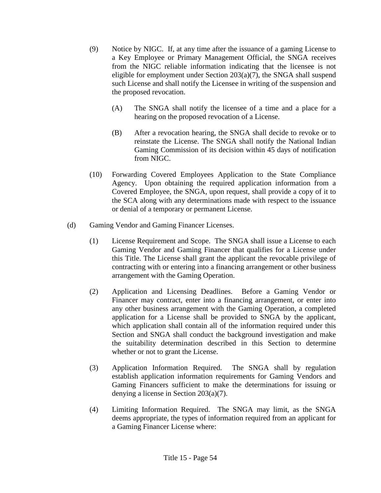- (9) Notice by NIGC. If, at any time after the issuance of a gaming License to a Key Employee or Primary Management Official, the SNGA receives from the NIGC reliable information indicating that the licensee is not eligible for employment under Section  $203(a)(7)$ , the SNGA shall suspend such License and shall notify the Licensee in writing of the suspension and the proposed revocation.
	- (A) The SNGA shall notify the licensee of a time and a place for a hearing on the proposed revocation of a License.
	- (B) After a revocation hearing, the SNGA shall decide to revoke or to reinstate the License. The SNGA shall notify the National Indian Gaming Commission of its decision within 45 days of notification from NIGC.
- (10) Forwarding Covered Employees Application to the State Compliance Agency. Upon obtaining the required application information from a Covered Employee, the SNGA, upon request, shall provide a copy of it to the SCA along with any determinations made with respect to the issuance or denial of a temporary or permanent License.
- (d) Gaming Vendor and Gaming Financer Licenses.
	- (1) License Requirement and Scope. The SNGA shall issue a License to each Gaming Vendor and Gaming Financer that qualifies for a License under this Title. The License shall grant the applicant the revocable privilege of contracting with or entering into a financing arrangement or other business arrangement with the Gaming Operation.
	- (2) Application and Licensing Deadlines. Before a Gaming Vendor or Financer may contract, enter into a financing arrangement, or enter into any other business arrangement with the Gaming Operation, a completed application for a License shall be provided to SNGA by the applicant, which application shall contain all of the information required under this Section and SNGA shall conduct the background investigation and make the suitability determination described in this Section to determine whether or not to grant the License.
	- (3) Application Information Required. The SNGA shall by regulation establish application information requirements for Gaming Vendors and Gaming Financers sufficient to make the determinations for issuing or denying a license in Section 203(a)(7).
	- (4) Limiting Information Required. The SNGA may limit, as the SNGA deems appropriate, the types of information required from an applicant for a Gaming Financer License where: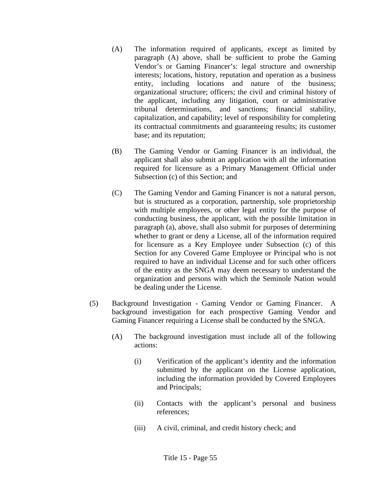- (A) The information required of applicants, except as limited by paragraph (A) above, shall be sufficient to probe the Gaming Vendor's or Gaming Financer's: legal structure and ownership interests; locations, history, reputation and operation as a business entity, including locations and nature of the business; organizational structure; officers; the civil and criminal history of the applicant, including any litigation, court or administrative tribunal determinations, and sanctions; financial stability, capitalization, and capability; level of responsibility for completing its contractual commitments and guaranteeing results; its customer base; and its reputation;
- (B) The Gaming Vendor or Gaming Financer is an individual, the applicant shall also submit an application with all the information required for licensure as a Primary Management Official under Subsection (c) of this Section; and
- (C) The Gaming Vendor and Gaming Financer is not a natural person, but is structured as a corporation, partnership, sole proprietorship with multiple employees, or other legal entity for the purpose of conducting business, the applicant, with the possible limitation in paragraph (a), above, shall also submit for purposes of determining whether to grant or deny a License, all of the information required for licensure as a Key Employee under Subsection (c) of this Section for any Covered Game Employee or Principal who is not required to have an individual License and for such other officers of the entity as the SNGA may deem necessary to understand the organization and persons with which the Seminole Nation would be dealing under the License.
- (5) Background Investigation Gaming Vendor or Gaming Financer. A background investigation for each prospective Gaming Vendor and Gaming Financer requiring a License shall be conducted by the SNGA.
	- (A) The background investigation must include all of the following actions:
		- (i) Verification of the applicant's identity and the information submitted by the applicant on the License application, including the information provided by Covered Employees and Principals;
		- (ii) Contacts with the applicant's personal and business references;
		- (iii) A civil, criminal, and credit history check; and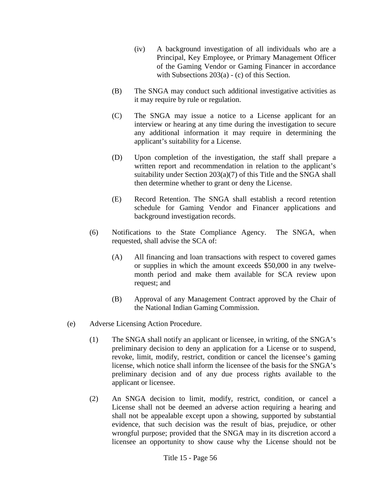- (iv) A background investigation of all individuals who are a Principal, Key Employee, or Primary Management Officer of the Gaming Vendor or Gaming Financer in accordance with Subsections 203(a) - (c) of this Section.
- (B) The SNGA may conduct such additional investigative activities as it may require by rule or regulation.
- (C) The SNGA may issue a notice to a License applicant for an interview or hearing at any time during the investigation to secure any additional information it may require in determining the applicant's suitability for a License.
- (D) Upon completion of the investigation, the staff shall prepare a written report and recommendation in relation to the applicant's suitability under Section 203(a)(7) of this Title and the SNGA shall then determine whether to grant or deny the License.
- (E) Record Retention. The SNGA shall establish a record retention schedule for Gaming Vendor and Financer applications and background investigation records.
- (6) Notifications to the State Compliance Agency. The SNGA, when requested, shall advise the SCA of:
	- (A) All financing and loan transactions with respect to covered games or supplies in which the amount exceeds \$50,000 in any twelvemonth period and make them available for SCA review upon request; and
	- (B) Approval of any Management Contract approved by the Chair of the National Indian Gaming Commission.
- (e) Adverse Licensing Action Procedure.
	- (1) The SNGA shall notify an applicant or licensee, in writing, of the SNGA's preliminary decision to deny an application for a License or to suspend, revoke, limit, modify, restrict, condition or cancel the licensee's gaming license, which notice shall inform the licensee of the basis for the SNGA's preliminary decision and of any due process rights available to the applicant or licensee.
	- (2) An SNGA decision to limit, modify, restrict, condition, or cancel a License shall not be deemed an adverse action requiring a hearing and shall not be appealable except upon a showing, supported by substantial evidence, that such decision was the result of bias, prejudice, or other wrongful purpose; provided that the SNGA may in its discretion accord a licensee an opportunity to show cause why the License should not be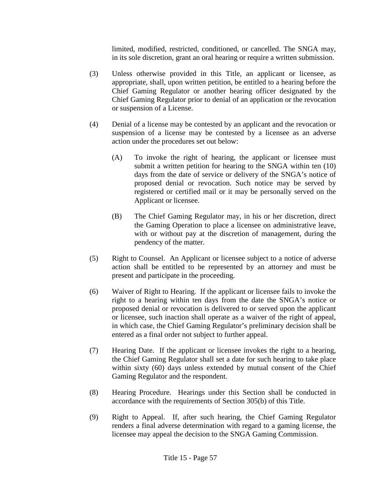limited, modified, restricted, conditioned, or cancelled. The SNGA may, in its sole discretion, grant an oral hearing or require a written submission.

- (3) Unless otherwise provided in this Title, an applicant or licensee, as appropriate, shall, upon written petition, be entitled to a hearing before the Chief Gaming Regulator or another hearing officer designated by the Chief Gaming Regulator prior to denial of an application or the revocation or suspension of a License.
- (4) Denial of a license may be contested by an applicant and the revocation or suspension of a license may be contested by a licensee as an adverse action under the procedures set out below:
	- (A) To invoke the right of hearing, the applicant or licensee must submit a written petition for hearing to the SNGA within ten (10) days from the date of service or delivery of the SNGA's notice of proposed denial or revocation. Such notice may be served by registered or certified mail or it may be personally served on the Applicant or licensee.
	- (B) The Chief Gaming Regulator may, in his or her discretion, direct the Gaming Operation to place a licensee on administrative leave, with or without pay at the discretion of management, during the pendency of the matter.
- (5) Right to Counsel. An Applicant or licensee subject to a notice of adverse action shall be entitled to be represented by an attorney and must be present and participate in the proceeding.
- (6) Waiver of Right to Hearing. If the applicant or licensee fails to invoke the right to a hearing within ten days from the date the SNGA's notice or proposed denial or revocation is delivered to or served upon the applicant or licensee, such inaction shall operate as a waiver of the right of appeal, in which case, the Chief Gaming Regulator's preliminary decision shall be entered as a final order not subject to further appeal.
- (7) Hearing Date. If the applicant or licensee invokes the right to a hearing, the Chief Gaming Regulator shall set a date for such hearing to take place within sixty (60) days unless extended by mutual consent of the Chief Gaming Regulator and the respondent.
- (8) Hearing Procedure. Hearings under this Section shall be conducted in accordance with the requirements of Section 305(b) of this Title.
- (9) Right to Appeal. If, after such hearing, the Chief Gaming Regulator renders a final adverse determination with regard to a gaming license, the licensee may appeal the decision to the SNGA Gaming Commission.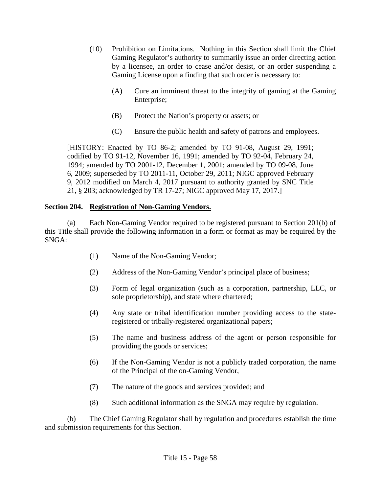- (10) Prohibition on Limitations. Nothing in this Section shall limit the Chief Gaming Regulator's authority to summarily issue an order directing action by a licensee, an order to cease and/or desist, or an order suspending a Gaming License upon a finding that such order is necessary to:
	- (A) Cure an imminent threat to the integrity of gaming at the Gaming Enterprise;
	- (B) Protect the Nation's property or assets; or
	- (C) Ensure the public health and safety of patrons and employees.

[HISTORY: Enacted by TO 86-2; amended by TO 91-08, August 29, 1991; codified by TO 91-12, November 16, 1991; amended by TO 92-04, February 24, 1994; amended by TO 2001-12, December 1, 2001; amended by TO 09-08, June 6, 2009; superseded by TO 2011-11, October 29, 2011; NIGC approved February 9, 2012 modified on March 4, 2017 pursuant to authority granted by SNC Title 21, § 203; acknowledged by TR 17-27; NIGC approved May 17, 2017.]

#### **Section 204. Registration of Non-Gaming Vendors.**

(a) Each Non-Gaming Vendor required to be registered pursuant to Section 201(b) of this Title shall provide the following information in a form or format as may be required by the SNGA:

- (1) Name of the Non-Gaming Vendor;
- (2) Address of the Non-Gaming Vendor's principal place of business;
- (3) Form of legal organization (such as a corporation, partnership, LLC, or sole proprietorship), and state where chartered;
- (4) Any state or tribal identification number providing access to the stateregistered or tribally-registered organizational papers;
- (5) The name and business address of the agent or person responsible for providing the goods or services;
- (6) If the Non-Gaming Vendor is not a publicly traded corporation, the name of the Principal of the on-Gaming Vendor,
- (7) The nature of the goods and services provided; and
- (8) Such additional information as the SNGA may require by regulation.

(b) The Chief Gaming Regulator shall by regulation and procedures establish the time and submission requirements for this Section.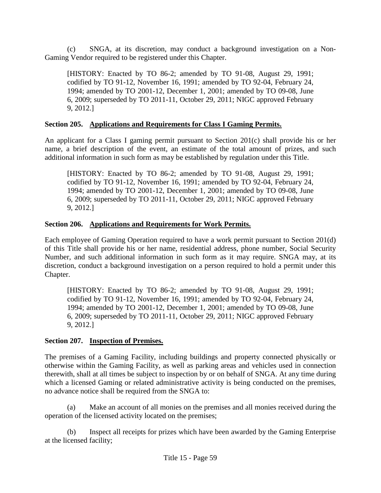(c) SNGA, at its discretion, may conduct a background investigation on a Non-Gaming Vendor required to be registered under this Chapter.

[HISTORY: Enacted by TO 86-2; amended by TO 91-08, August 29, 1991; codified by TO 91-12, November 16, 1991; amended by TO 92-04, February 24, 1994; amended by TO 2001-12, December 1, 2001; amended by TO 09-08, June 6, 2009; superseded by TO 2011-11, October 29, 2011; NIGC approved February 9, 2012.]

## **Section 205. Applications and Requirements for Class I Gaming Permits.**

An applicant for a Class I gaming permit pursuant to Section 201(c) shall provide his or her name, a brief description of the event, an estimate of the total amount of prizes, and such additional information in such form as may be established by regulation under this Title.

[HISTORY: Enacted by TO 86-2; amended by TO 91-08, August 29, 1991; codified by TO 91-12, November 16, 1991; amended by TO 92-04, February 24, 1994; amended by TO 2001-12, December 1, 2001; amended by TO 09-08, June 6, 2009; superseded by TO 2011-11, October 29, 2011; NIGC approved February 9, 2012.]

## **Section 206. Applications and Requirements for Work Permits.**

Each employee of Gaming Operation required to have a work permit pursuant to Section 201(d) of this Title shall provide his or her name, residential address, phone number, Social Security Number, and such additional information in such form as it may require. SNGA may, at its discretion, conduct a background investigation on a person required to hold a permit under this Chapter.

[HISTORY: Enacted by TO 86-2; amended by TO 91-08, August 29, 1991; codified by TO 91-12, November 16, 1991; amended by TO 92-04, February 24, 1994; amended by TO 2001-12, December 1, 2001; amended by TO 09-08, June 6, 2009; superseded by TO 2011-11, October 29, 2011; NIGC approved February 9, 2012.]

## **Section 207. Inspection of Premises.**

The premises of a Gaming Facility, including buildings and property connected physically or otherwise within the Gaming Facility, as well as parking areas and vehicles used in connection therewith, shall at all times be subject to inspection by or on behalf of SNGA. At any time during which a licensed Gaming or related administrative activity is being conducted on the premises, no advance notice shall be required from the SNGA to:

(a) Make an account of all monies on the premises and all monies received during the operation of the licensed activity located on the premises;

(b) Inspect all receipts for prizes which have been awarded by the Gaming Enterprise at the licensed facility;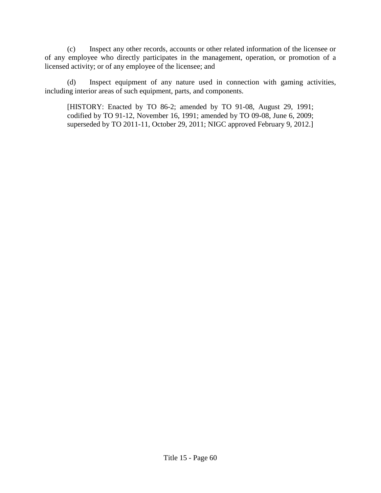(c) Inspect any other records, accounts or other related information of the licensee or of any employee who directly participates in the management, operation, or promotion of a licensed activity; or of any employee of the licensee; and

(d) Inspect equipment of any nature used in connection with gaming activities, including interior areas of such equipment, parts, and components.

[HISTORY: Enacted by TO 86-2; amended by TO 91-08, August 29, 1991; codified by TO 91-12, November 16, 1991; amended by TO 09-08, June 6, 2009; superseded by TO 2011-11, October 29, 2011; NIGC approved February 9, 2012.]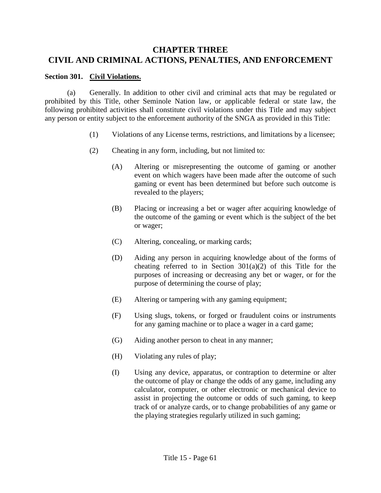# **CHAPTER THREE CIVIL AND CRIMINAL ACTIONS, PENALTIES, AND ENFORCEMENT**

#### **Section 301. Civil Violations.**

(a) Generally. In addition to other civil and criminal acts that may be regulated or prohibited by this Title, other Seminole Nation law, or applicable federal or state law, the following prohibited activities shall constitute civil violations under this Title and may subject any person or entity subject to the enforcement authority of the SNGA as provided in this Title:

- (1) Violations of any License terms, restrictions, and limitations by a licensee;
- (2) Cheating in any form, including, but not limited to:
	- (A) Altering or misrepresenting the outcome of gaming or another event on which wagers have been made after the outcome of such gaming or event has been determined but before such outcome is revealed to the players;
	- (B) Placing or increasing a bet or wager after acquiring knowledge of the outcome of the gaming or event which is the subject of the bet or wager;
	- (C) Altering, concealing, or marking cards;
	- (D) Aiding any person in acquiring knowledge about of the forms of cheating referred to in Section  $301(a)(2)$  of this Title for the purposes of increasing or decreasing any bet or wager, or for the purpose of determining the course of play;
	- (E) Altering or tampering with any gaming equipment;
	- (F) Using slugs, tokens, or forged or fraudulent coins or instruments for any gaming machine or to place a wager in a card game;
	- (G) Aiding another person to cheat in any manner;
	- (H) Violating any rules of play;
	- (I) Using any device, apparatus, or contraption to determine or alter the outcome of play or change the odds of any game, including any calculator, computer, or other electronic or mechanical device to assist in projecting the outcome or odds of such gaming, to keep track of or analyze cards, or to change probabilities of any game or the playing strategies regularly utilized in such gaming;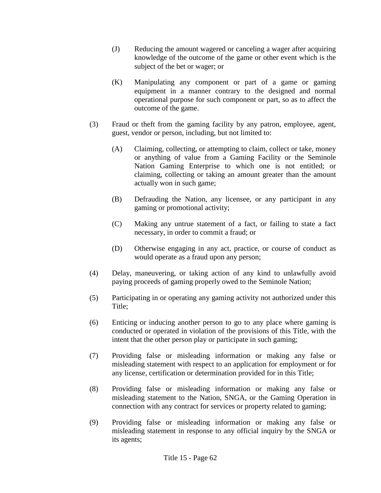- (J) Reducing the amount wagered or canceling a wager after acquiring knowledge of the outcome of the game or other event which is the subject of the bet or wager; or
- (K) Manipulating any component or part of a game or gaming equipment in a manner contrary to the designed and normal operational purpose for such component or part, so as to affect the outcome of the game.
- (3) Fraud or theft from the gaming facility by any patron, employee, agent, guest, vendor or person, including, but not limited to:
	- (A) Claiming, collecting, or attempting to claim, collect or take, money or anything of value from a Gaming Facility or the Seminole Nation Gaming Enterprise to which one is not entitled; or claiming, collecting or taking an amount greater than the amount actually won in such game;
	- (B) Defrauding the Nation, any licensee, or any participant in any gaming or promotional activity;
	- (C) Making any untrue statement of a fact, or failing to state a fact necessary, in order to commit a fraud; or
	- (D) Otherwise engaging in any act, practice, or course of conduct as would operate as a fraud upon any person;
- (4) Delay, maneuvering, or taking action of any kind to unlawfully avoid paying proceeds of gaming properly owed to the Seminole Nation;
- (5) Participating in or operating any gaming activity not authorized under this Title;
- (6) Enticing or inducing another person to go to any place where gaming is conducted or operated in violation of the provisions of this Title, with the intent that the other person play or participate in such gaming;
- (7) Providing false or misleading information or making any false or misleading statement with respect to an application for employment or for any license, certification or determination provided for in this Title;
- (8) Providing false or misleading information or making any false or misleading statement to the Nation, SNGA, or the Gaming Operation in connection with any contract for services or property related to gaming;
- (9) Providing false or misleading information or making any false or misleading statement in response to any official inquiry by the SNGA or its agents;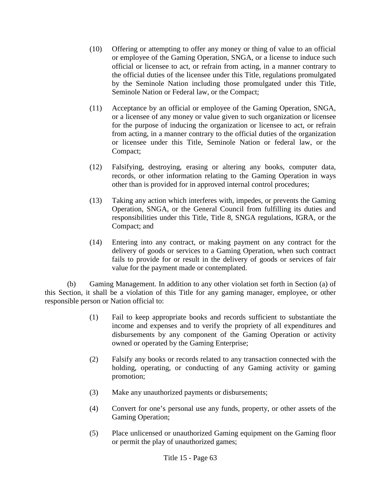- (10) Offering or attempting to offer any money or thing of value to an official or employee of the Gaming Operation, SNGA, or a license to induce such official or licensee to act, or refrain from acting, in a manner contrary to the official duties of the licensee under this Title, regulations promulgated by the Seminole Nation including those promulgated under this Title, Seminole Nation or Federal law, or the Compact;
- (11) Acceptance by an official or employee of the Gaming Operation, SNGA, or a licensee of any money or value given to such organization or licensee for the purpose of inducing the organization or licensee to act, or refrain from acting, in a manner contrary to the official duties of the organization or licensee under this Title, Seminole Nation or federal law, or the Compact;
- (12) Falsifying, destroying, erasing or altering any books, computer data, records, or other information relating to the Gaming Operation in ways other than is provided for in approved internal control procedures;
- (13) Taking any action which interferes with, impedes, or prevents the Gaming Operation, SNGA, or the General Council from fulfilling its duties and responsibilities under this Title, Title 8, SNGA regulations, IGRA, or the Compact; and
- (14) Entering into any contract, or making payment on any contract for the delivery of goods or services to a Gaming Operation, when such contract fails to provide for or result in the delivery of goods or services of fair value for the payment made or contemplated.

(b) Gaming Management. In addition to any other violation set forth in Section (a) of this Section, it shall be a violation of this Title for any gaming manager, employee, or other responsible person or Nation official to:

- (1) Fail to keep appropriate books and records sufficient to substantiate the income and expenses and to verify the propriety of all expenditures and disbursements by any component of the Gaming Operation or activity owned or operated by the Gaming Enterprise;
- (2) Falsify any books or records related to any transaction connected with the holding, operating, or conducting of any Gaming activity or gaming promotion;
- (3) Make any unauthorized payments or disbursements;
- (4) Convert for one's personal use any funds, property, or other assets of the Gaming Operation;
- (5) Place unlicensed or unauthorized Gaming equipment on the Gaming floor or permit the play of unauthorized games;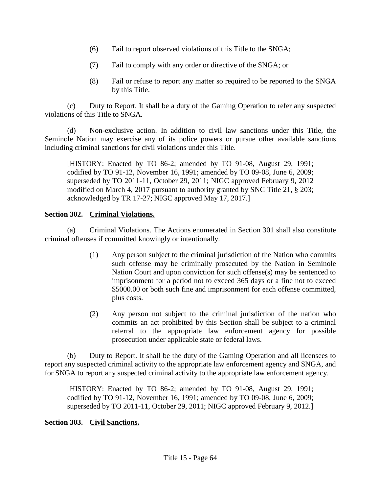- (6) Fail to report observed violations of this Title to the SNGA;
- (7) Fail to comply with any order or directive of the SNGA; or
- (8) Fail or refuse to report any matter so required to be reported to the SNGA by this Title.

(c) Duty to Report. It shall be a duty of the Gaming Operation to refer any suspected violations of this Title to SNGA.

(d) Non-exclusive action. In addition to civil law sanctions under this Title, the Seminole Nation may exercise any of its police powers or pursue other available sanctions including criminal sanctions for civil violations under this Title.

[HISTORY: Enacted by TO 86-2; amended by TO 91-08, August 29, 1991; codified by TO 91-12, November 16, 1991; amended by TO 09-08, June 6, 2009; superseded by TO 2011-11, October 29, 2011; NIGC approved February 9, 2012 modified on March 4, 2017 pursuant to authority granted by SNC Title 21, § 203; acknowledged by TR 17-27; NIGC approved May 17, 2017.]

## **Section 302. Criminal Violations.**

(a) Criminal Violations. The Actions enumerated in Section 301 shall also constitute criminal offenses if committed knowingly or intentionally.

- (1) Any person subject to the criminal jurisdiction of the Nation who commits such offense may be criminally prosecuted by the Nation in Seminole Nation Court and upon conviction for such offense(s) may be sentenced to imprisonment for a period not to exceed 365 days or a fine not to exceed \$5000.00 or both such fine and imprisonment for each offense committed, plus costs.
- (2) Any person not subject to the criminal jurisdiction of the nation who commits an act prohibited by this Section shall be subject to a criminal referral to the appropriate law enforcement agency for possible prosecution under applicable state or federal laws.

(b) Duty to Report. It shall be the duty of the Gaming Operation and all licensees to report any suspected criminal activity to the appropriate law enforcement agency and SNGA, and for SNGA to report any suspected criminal activity to the appropriate law enforcement agency.

[HISTORY: Enacted by TO 86-2; amended by TO 91-08, August 29, 1991; codified by TO 91-12, November 16, 1991; amended by TO 09-08, June 6, 2009; superseded by TO 2011-11, October 29, 2011; NIGC approved February 9, 2012.]

#### **Section 303. Civil Sanctions.**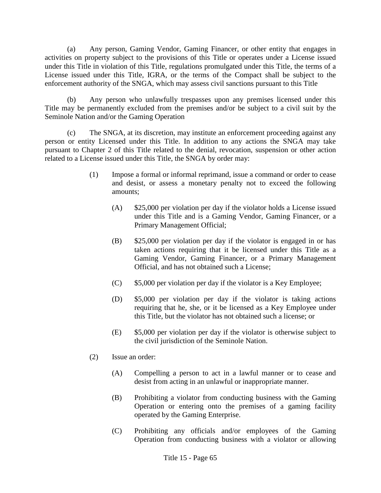(a) Any person, Gaming Vendor, Gaming Financer, or other entity that engages in activities on property subject to the provisions of this Title or operates under a License issued under this Title in violation of this Title, regulations promulgated under this Title, the terms of a License issued under this Title, IGRA, or the terms of the Compact shall be subject to the enforcement authority of the SNGA, which may assess civil sanctions pursuant to this Title

(b) Any person who unlawfully trespasses upon any premises licensed under this Title may be permanently excluded from the premises and/or be subject to a civil suit by the Seminole Nation and/or the Gaming Operation

(c) The SNGA, at its discretion, may institute an enforcement proceeding against any person or entity Licensed under this Title. In addition to any actions the SNGA may take pursuant to Chapter 2 of this Title related to the denial, revocation, suspension or other action related to a License issued under this Title, the SNGA by order may:

- (1) Impose a formal or informal reprimand, issue a command or order to cease and desist, or assess a monetary penalty not to exceed the following amounts;
	- (A) \$25,000 per violation per day if the violator holds a License issued under this Title and is a Gaming Vendor, Gaming Financer, or a Primary Management Official;
	- (B) \$25,000 per violation per day if the violator is engaged in or has taken actions requiring that it be licensed under this Title as a Gaming Vendor, Gaming Financer, or a Primary Management Official, and has not obtained such a License;
	- (C) \$5,000 per violation per day if the violator is a Key Employee;
	- (D) \$5,000 per violation per day if the violator is taking actions requiring that he, she, or it be licensed as a Key Employee under this Title, but the violator has not obtained such a license; or
	- (E) \$5,000 per violation per day if the violator is otherwise subject to the civil jurisdiction of the Seminole Nation.
- (2) Issue an order:
	- (A) Compelling a person to act in a lawful manner or to cease and desist from acting in an unlawful or inappropriate manner.
	- (B) Prohibiting a violator from conducting business with the Gaming Operation or entering onto the premises of a gaming facility operated by the Gaming Enterprise.
	- (C) Prohibiting any officials and/or employees of the Gaming Operation from conducting business with a violator or allowing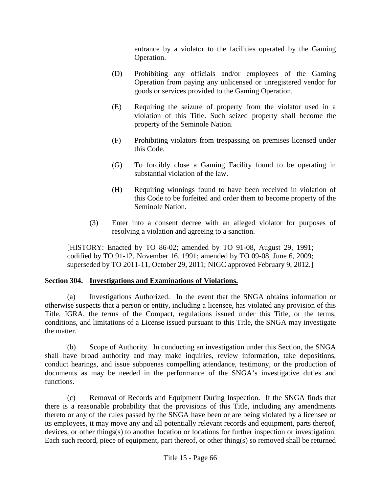entrance by a violator to the facilities operated by the Gaming Operation.

- (D) Prohibiting any officials and/or employees of the Gaming Operation from paying any unlicensed or unregistered vendor for goods or services provided to the Gaming Operation.
- (E) Requiring the seizure of property from the violator used in a violation of this Title. Such seized property shall become the property of the Seminole Nation.
- (F) Prohibiting violators from trespassing on premises licensed under this Code.
- (G) To forcibly close a Gaming Facility found to be operating in substantial violation of the law.
- (H) Requiring winnings found to have been received in violation of this Code to be forfeited and order them to become property of the Seminole Nation.
- (3) Enter into a consent decree with an alleged violator for purposes of resolving a violation and agreeing to a sanction.

[HISTORY: Enacted by TO 86-02; amended by TO 91-08, August 29, 1991; codified by TO 91-12, November 16, 1991; amended by TO 09-08, June 6, 2009; superseded by TO 2011-11, October 29, 2011; NIGC approved February 9, 2012.]

## **Section 304. Investigations and Examinations of Violations.**

(a) Investigations Authorized. In the event that the SNGA obtains information or otherwise suspects that a person or entity, including a licensee, has violated any provision of this Title, IGRA, the terms of the Compact, regulations issued under this Title, or the terms, conditions, and limitations of a License issued pursuant to this Title, the SNGA may investigate the matter.

(b) Scope of Authority. In conducting an investigation under this Section, the SNGA shall have broad authority and may make inquiries, review information, take depositions, conduct hearings, and issue subpoenas compelling attendance, testimony, or the production of documents as may be needed in the performance of the SNGA's investigative duties and functions.

(c) Removal of Records and Equipment During Inspection. If the SNGA finds that there is a reasonable probability that the provisions of this Title, including any amendments thereto or any of the rules passed by the SNGA have been or are being violated by a licensee or its employees, it may move any and all potentially relevant records and equipment, parts thereof, devices, or other things(s) to another location or locations for further inspection or investigation. Each such record, piece of equipment, part thereof, or other thing(s) so removed shall be returned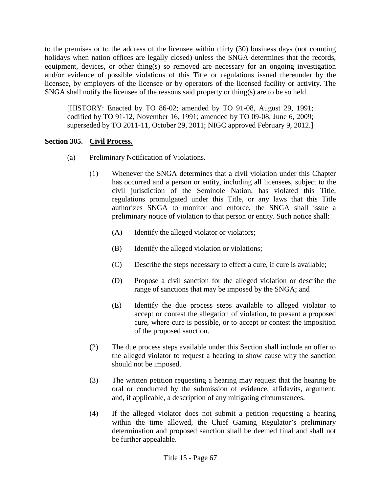to the premises or to the address of the licensee within thirty (30) business days (not counting holidays when nation offices are legally closed) unless the SNGA determines that the records, equipment, devices, or other thing(s) so removed are necessary for an ongoing investigation and/or evidence of possible violations of this Title or regulations issued thereunder by the licensee, by employers of the licensee or by operators of the licensed facility or activity. The SNGA shall notify the licensee of the reasons said property or thing(s) are to be so held.

[HISTORY: Enacted by TO 86-02; amended by TO 91-08, August 29, 1991; codified by TO 91-12, November 16, 1991; amended by TO 09-08, June 6, 2009; superseded by TO 2011-11, October 29, 2011; NIGC approved February 9, 2012.]

### **Section 305. Civil Process.**

- (a) Preliminary Notification of Violations.
	- (1) Whenever the SNGA determines that a civil violation under this Chapter has occurred and a person or entity, including all licensees, subject to the civil jurisdiction of the Seminole Nation, has violated this Title, regulations promulgated under this Title, or any laws that this Title authorizes SNGA to monitor and enforce, the SNGA shall issue a preliminary notice of violation to that person or entity. Such notice shall:
		- (A) Identify the alleged violator or violators;
		- (B) Identify the alleged violation or violations;
		- (C) Describe the steps necessary to effect a cure, if cure is available;
		- (D) Propose a civil sanction for the alleged violation or describe the range of sanctions that may be imposed by the SNGA; and
		- (E) Identify the due process steps available to alleged violator to accept or contest the allegation of violation, to present a proposed cure, where cure is possible, or to accept or contest the imposition of the proposed sanction.
	- (2) The due process steps available under this Section shall include an offer to the alleged violator to request a hearing to show cause why the sanction should not be imposed.
	- (3) The written petition requesting a hearing may request that the hearing be oral or conducted by the submission of evidence, affidavits, argument, and, if applicable, a description of any mitigating circumstances.
	- (4) If the alleged violator does not submit a petition requesting a hearing within the time allowed, the Chief Gaming Regulator's preliminary determination and proposed sanction shall be deemed final and shall not be further appealable.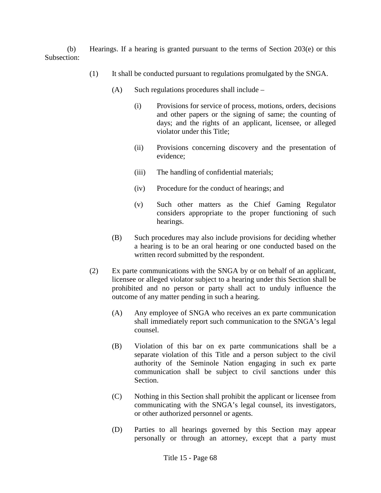(b) Hearings. If a hearing is granted pursuant to the terms of Section 203(e) or this Subsection:

- (1) It shall be conducted pursuant to regulations promulgated by the SNGA.
	- $(A)$  Such regulations procedures shall include
		- (i) Provisions for service of process, motions, orders, decisions and other papers or the signing of same; the counting of days; and the rights of an applicant, licensee, or alleged violator under this Title;
		- (ii) Provisions concerning discovery and the presentation of evidence;
		- (iii) The handling of confidential materials;
		- (iv) Procedure for the conduct of hearings; and
		- (v) Such other matters as the Chief Gaming Regulator considers appropriate to the proper functioning of such hearings.
	- (B) Such procedures may also include provisions for deciding whether a hearing is to be an oral hearing or one conducted based on the written record submitted by the respondent.
- (2) Ex parte communications with the SNGA by or on behalf of an applicant, licensee or alleged violator subject to a hearing under this Section shall be prohibited and no person or party shall act to unduly influence the outcome of any matter pending in such a hearing.
	- (A) Any employee of SNGA who receives an ex parte communication shall immediately report such communication to the SNGA's legal counsel.
	- (B) Violation of this bar on ex parte communications shall be a separate violation of this Title and a person subject to the civil authority of the Seminole Nation engaging in such ex parte communication shall be subject to civil sanctions under this Section.
	- (C) Nothing in this Section shall prohibit the applicant or licensee from communicating with the SNGA's legal counsel, its investigators, or other authorized personnel or agents.
	- (D) Parties to all hearings governed by this Section may appear personally or through an attorney, except that a party must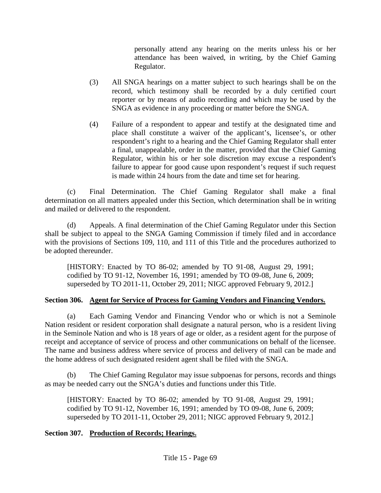personally attend any hearing on the merits unless his or her attendance has been waived, in writing, by the Chief Gaming Regulator.

- (3) All SNGA hearings on a matter subject to such hearings shall be on the record, which testimony shall be recorded by a duly certified court reporter or by means of audio recording and which may be used by the SNGA as evidence in any proceeding or matter before the SNGA.
- (4) Failure of a respondent to appear and testify at the designated time and place shall constitute a waiver of the applicant's, licensee's, or other respondent's right to a hearing and the Chief Gaming Regulator shall enter a final, unappealable, order in the matter, provided that the Chief Gaming Regulator, within his or her sole discretion may excuse a respondent's failure to appear for good cause upon respondent's request if such request is made within 24 hours from the date and time set for hearing.

(c) Final Determination. The Chief Gaming Regulator shall make a final determination on all matters appealed under this Section, which determination shall be in writing and mailed or delivered to the respondent.

(d) Appeals. A final determination of the Chief Gaming Regulator under this Section shall be subject to appeal to the SNGA Gaming Commission if timely filed and in accordance with the provisions of Sections 109, 110, and 111 of this Title and the procedures authorized to be adopted thereunder.

[HISTORY: Enacted by TO 86-02; amended by TO 91-08, August 29, 1991; codified by TO 91-12, November 16, 1991; amended by TO 09-08, June 6, 2009; superseded by TO 2011-11, October 29, 2011; NIGC approved February 9, 2012.]

## **Section 306. Agent for Service of Process for Gaming Vendors and Financing Vendors.**

(a) Each Gaming Vendor and Financing Vendor who or which is not a Seminole Nation resident or resident corporation shall designate a natural person, who is a resident living in the Seminole Nation and who is 18 years of age or older, as a resident agent for the purpose of receipt and acceptance of service of process and other communications on behalf of the licensee. The name and business address where service of process and delivery of mail can be made and the home address of such designated resident agent shall be filed with the SNGA.

(b) The Chief Gaming Regulator may issue subpoenas for persons, records and things as may be needed carry out the SNGA's duties and functions under this Title.

[HISTORY: Enacted by TO 86-02; amended by TO 91-08, August 29, 1991; codified by TO 91-12, November 16, 1991; amended by TO 09-08, June 6, 2009; superseded by TO 2011-11, October 29, 2011; NIGC approved February 9, 2012.]

# **Section 307. Production of Records; Hearings.**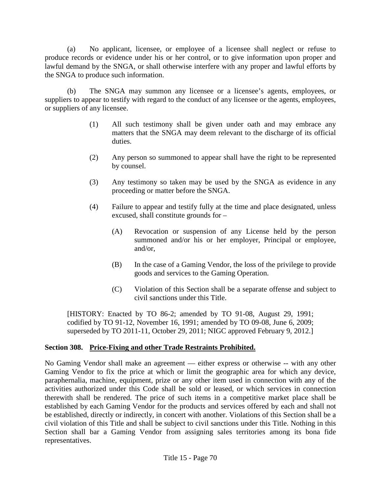(a) No applicant, licensee, or employee of a licensee shall neglect or refuse to produce records or evidence under his or her control, or to give information upon proper and lawful demand by the SNGA, or shall otherwise interfere with any proper and lawful efforts by the SNGA to produce such information.

(b) The SNGA may summon any licensee or a licensee's agents, employees, or suppliers to appear to testify with regard to the conduct of any licensee or the agents, employees, or suppliers of any licensee.

- (1) All such testimony shall be given under oath and may embrace any matters that the SNGA may deem relevant to the discharge of its official duties.
- (2) Any person so summoned to appear shall have the right to be represented by counsel.
- (3) Any testimony so taken may be used by the SNGA as evidence in any proceeding or matter before the SNGA.
- (4) Failure to appear and testify fully at the time and place designated, unless excused, shall constitute grounds for –
	- (A) Revocation or suspension of any License held by the person summoned and/or his or her employer, Principal or employee, and/or,
	- (B) In the case of a Gaming Vendor, the loss of the privilege to provide goods and services to the Gaming Operation.
	- (C) Violation of this Section shall be a separate offense and subject to civil sanctions under this Title.

[HISTORY: Enacted by TO 86-2; amended by TO 91-08, August 29, 1991; codified by TO 91-12, November 16, 1991; amended by TO 09-08, June 6, 2009; superseded by TO 2011-11, October 29, 2011; NIGC approved February 9, 2012.]

## **Section 308. Price-Fixing and other Trade Restraints Prohibited.**

No Gaming Vendor shall make an agreement — either express or otherwise -- with any other Gaming Vendor to fix the price at which or limit the geographic area for which any device, paraphernalia, machine, equipment, prize or any other item used in connection with any of the activities authorized under this Code shall be sold or leased, or which services in connection therewith shall be rendered. The price of such items in a competitive market place shall be established by each Gaming Vendor for the products and services offered by each and shall not be established, directly or indirectly, in concert with another. Violations of this Section shall be a civil violation of this Title and shall be subject to civil sanctions under this Title. Nothing in this Section shall bar a Gaming Vendor from assigning sales territories among its bona fide representatives.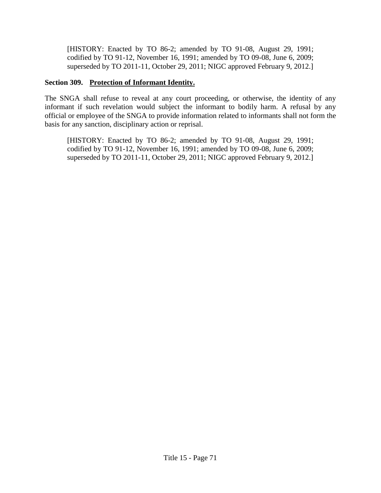[HISTORY: Enacted by TO 86-2; amended by TO 91-08, August 29, 1991; codified by TO 91-12, November 16, 1991; amended by TO 09-08, June 6, 2009; superseded by TO 2011-11, October 29, 2011; NIGC approved February 9, 2012.]

### **Section 309. Protection of Informant Identity.**

The SNGA shall refuse to reveal at any court proceeding, or otherwise, the identity of any informant if such revelation would subject the informant to bodily harm. A refusal by any official or employee of the SNGA to provide information related to informants shall not form the basis for any sanction, disciplinary action or reprisal.

[HISTORY: Enacted by TO 86-2; amended by TO 91-08, August 29, 1991; codified by TO 91-12, November 16, 1991; amended by TO 09-08, June 6, 2009; superseded by TO 2011-11, October 29, 2011; NIGC approved February 9, 2012.]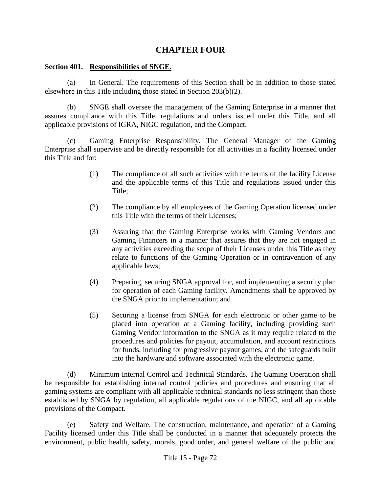## **CHAPTER FOUR**

### **Section 401. Responsibilities of SNGE.**

(a) In General. The requirements of this Section shall be in addition to those stated elsewhere in this Title including those stated in Section 203(b)(2).

(b) SNGE shall oversee the management of the Gaming Enterprise in a manner that assures compliance with this Title, regulations and orders issued under this Title, and all applicable provisions of IGRA, NIGC regulation, and the Compact.

(c) Gaming Enterprise Responsibility. The General Manager of the Gaming Enterprise shall supervise and be directly responsible for all activities in a facility licensed under this Title and for:

- (1) The compliance of all such activities with the terms of the facility License and the applicable terms of this Title and regulations issued under this Title;
- (2) The compliance by all employees of the Gaming Operation licensed under this Title with the terms of their Licenses;
- (3) Assuring that the Gaming Enterprise works with Gaming Vendors and Gaming Financers in a manner that assures that they are not engaged in any activities exceeding the scope of their Licenses under this Title as they relate to functions of the Gaming Operation or in contravention of any applicable laws;
- (4) Preparing, securing SNGA approval for, and implementing a security plan for operation of each Gaming facility. Amendments shall be approved by the SNGA prior to implementation; and
- (5) Securing a license from SNGA for each electronic or other game to be placed into operation at a Gaming facility, including providing such Gaming Vendor information to the SNGA as it may require related to the procedures and policies for payout, accumulation, and account restrictions for funds, including for progressive payout games, and the safeguards built into the hardware and software associated with the electronic game.

(d) Minimum Internal Control and Technical Standards. The Gaming Operation shall be responsible for establishing internal control policies and procedures and ensuring that all gaming systems are compliant with all applicable technical standards no less stringent than those established by SNGA by regulation, all applicable regulations of the NIGC, and all applicable provisions of the Compact.

(e) Safety and Welfare. The construction, maintenance, and operation of a Gaming Facility licensed under this Title shall be conducted in a manner that adequately protects the environment, public health, safety, morals, good order, and general welfare of the public and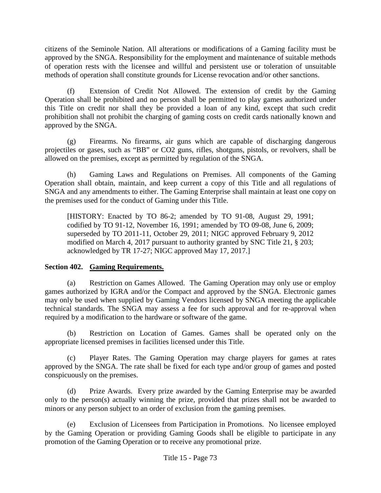citizens of the Seminole Nation. All alterations or modifications of a Gaming facility must be approved by the SNGA. Responsibility for the employment and maintenance of suitable methods of operation rests with the licensee and willful and persistent use or toleration of unsuitable methods of operation shall constitute grounds for License revocation and/or other sanctions.

(f) Extension of Credit Not Allowed. The extension of credit by the Gaming Operation shall be prohibited and no person shall be permitted to play games authorized under this Title on credit nor shall they be provided a loan of any kind, except that such credit prohibition shall not prohibit the charging of gaming costs on credit cards nationally known and approved by the SNGA.

(g) Firearms. No firearms, air guns which are capable of discharging dangerous projectiles or gases, such as "BB" or CO2 guns, rifles, shotguns, pistols, or revolvers, shall be allowed on the premises, except as permitted by regulation of the SNGA.

(h) Gaming Laws and Regulations on Premises. All components of the Gaming Operation shall obtain, maintain, and keep current a copy of this Title and all regulations of SNGA and any amendments to either. The Gaming Enterprise shall maintain at least one copy on the premises used for the conduct of Gaming under this Title.

[HISTORY: Enacted by TO 86-2; amended by TO 91-08, August 29, 1991; codified by TO 91-12, November 16, 1991; amended by TO 09-08, June 6, 2009; superseded by TO 2011-11, October 29, 2011; NIGC approved February 9, 2012 modified on March 4, 2017 pursuant to authority granted by SNC Title 21, § 203; acknowledged by TR 17-27; NIGC approved May 17, 2017.]

## **Section 402. Gaming Requirements.**

(a) Restriction on Games Allowed. The Gaming Operation may only use or employ games authorized by IGRA and/or the Compact and approved by the SNGA. Electronic games may only be used when supplied by Gaming Vendors licensed by SNGA meeting the applicable technical standards. The SNGA may assess a fee for such approval and for re-approval when required by a modification to the hardware or software of the game.

(b) Restriction on Location of Games. Games shall be operated only on the appropriate licensed premises in facilities licensed under this Title.

(c) Player Rates. The Gaming Operation may charge players for games at rates approved by the SNGA. The rate shall be fixed for each type and/or group of games and posted conspicuously on the premises.

(d) Prize Awards. Every prize awarded by the Gaming Enterprise may be awarded only to the person(s) actually winning the prize, provided that prizes shall not be awarded to minors or any person subject to an order of exclusion from the gaming premises.

(e) Exclusion of Licensees from Participation in Promotions. No licensee employed by the Gaming Operation or providing Gaming Goods shall be eligible to participate in any promotion of the Gaming Operation or to receive any promotional prize.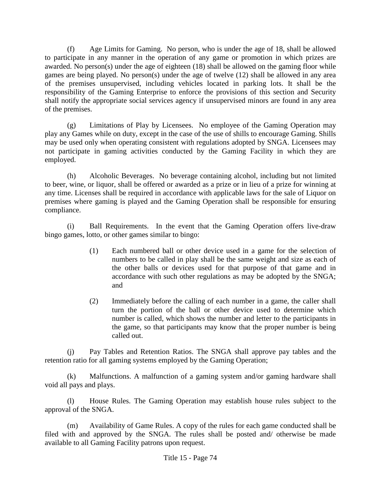(f) Age Limits for Gaming. No person, who is under the age of 18, shall be allowed to participate in any manner in the operation of any game or promotion in which prizes are awarded. No person(s) under the age of eighteen (18) shall be allowed on the gaming floor while games are being played. No person(s) under the age of twelve (12) shall be allowed in any area of the premises unsupervised, including vehicles located in parking lots. It shall be the responsibility of the Gaming Enterprise to enforce the provisions of this section and Security shall notify the appropriate social services agency if unsupervised minors are found in any area of the premises.

(g) Limitations of Play by Licensees. No employee of the Gaming Operation may play any Games while on duty, except in the case of the use of shills to encourage Gaming. Shills may be used only when operating consistent with regulations adopted by SNGA. Licensees may not participate in gaming activities conducted by the Gaming Facility in which they are employed.

(h) Alcoholic Beverages. No beverage containing alcohol, including but not limited to beer, wine, or liquor, shall be offered or awarded as a prize or in lieu of a prize for winning at any time. Licenses shall be required in accordance with applicable laws for the sale of Liquor on premises where gaming is played and the Gaming Operation shall be responsible for ensuring compliance.

(i) Ball Requirements. In the event that the Gaming Operation offers live-draw bingo games, lotto, or other games similar to bingo:

- (1) Each numbered ball or other device used in a game for the selection of numbers to be called in play shall be the same weight and size as each of the other balls or devices used for that purpose of that game and in accordance with such other regulations as may be adopted by the SNGA; and
- (2) Immediately before the calling of each number in a game, the caller shall turn the portion of the ball or other device used to determine which number is called, which shows the number and letter to the participants in the game, so that participants may know that the proper number is being called out.

(j) Pay Tables and Retention Ratios. The SNGA shall approve pay tables and the retention ratio for all gaming systems employed by the Gaming Operation;

(k) Malfunctions. A malfunction of a gaming system and/or gaming hardware shall void all pays and plays.

(l) House Rules. The Gaming Operation may establish house rules subject to the approval of the SNGA.

(m) Availability of Game Rules. A copy of the rules for each game conducted shall be filed with and approved by the SNGA. The rules shall be posted and/ otherwise be made available to all Gaming Facility patrons upon request.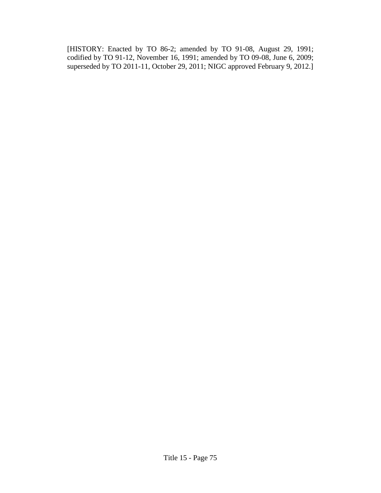[HISTORY: Enacted by TO 86-2; amended by TO 91-08, August 29, 1991; codified by TO 91-12, November 16, 1991; amended by TO 09-08, June 6, 2009; superseded by TO 2011-11, October 29, 2011; NIGC approved February 9, 2012.]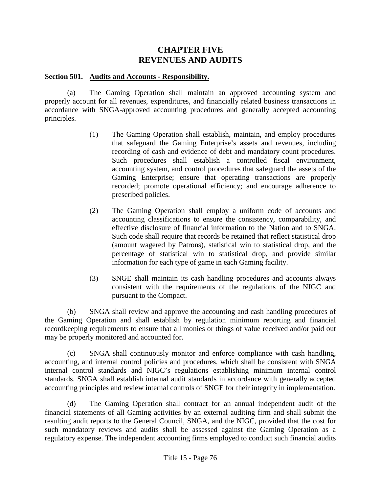# **CHAPTER FIVE REVENUES AND AUDITS**

### **Section 501. Audits and Accounts - Responsibility.**

(a) The Gaming Operation shall maintain an approved accounting system and properly account for all revenues, expenditures, and financially related business transactions in accordance with SNGA-approved accounting procedures and generally accepted accounting principles.

- (1) The Gaming Operation shall establish, maintain, and employ procedures that safeguard the Gaming Enterprise's assets and revenues, including recording of cash and evidence of debt and mandatory count procedures. Such procedures shall establish a controlled fiscal environment, accounting system, and control procedures that safeguard the assets of the Gaming Enterprise; ensure that operating transactions are properly recorded; promote operational efficiency; and encourage adherence to prescribed policies.
- (2) The Gaming Operation shall employ a uniform code of accounts and accounting classifications to ensure the consistency, comparability, and effective disclosure of financial information to the Nation and to SNGA. Such code shall require that records be retained that reflect statistical drop (amount wagered by Patrons), statistical win to statistical drop, and the percentage of statistical win to statistical drop, and provide similar information for each type of game in each Gaming facility.
- (3) SNGE shall maintain its cash handling procedures and accounts always consistent with the requirements of the regulations of the NIGC and pursuant to the Compact.

(b) SNGA shall review and approve the accounting and cash handling procedures of the Gaming Operation and shall establish by regulation minimum reporting and financial recordkeeping requirements to ensure that all monies or things of value received and/or paid out may be properly monitored and accounted for.

(c) SNGA shall continuously monitor and enforce compliance with cash handling, accounting, and internal control policies and procedures, which shall be consistent with SNGA internal control standards and NIGC's regulations establishing minimum internal control standards. SNGA shall establish internal audit standards in accordance with generally accepted accounting principles and review internal controls of SNGE for their integrity in implementation.

(d) The Gaming Operation shall contract for an annual independent audit of the financial statements of all Gaming activities by an external auditing firm and shall submit the resulting audit reports to the General Council, SNGA, and the NIGC, provided that the cost for such mandatory reviews and audits shall be assessed against the Gaming Operation as a regulatory expense. The independent accounting firms employed to conduct such financial audits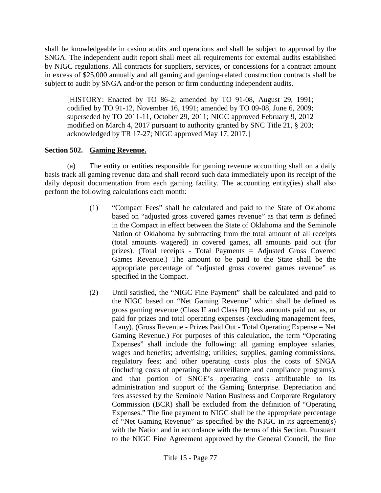shall be knowledgeable in casino audits and operations and shall be subject to approval by the SNGA. The independent audit report shall meet all requirements for external audits established by NIGC regulations. All contracts for suppliers, services, or concessions for a contract amount in excess of \$25,000 annually and all gaming and gaming-related construction contracts shall be subject to audit by SNGA and/or the person or firm conducting independent audits.

[HISTORY: Enacted by TO 86-2; amended by TO 91-08, August 29, 1991; codified by TO 91-12, November 16, 1991; amended by TO 09-08, June 6, 2009; superseded by TO 2011-11, October 29, 2011; NIGC approved February 9, 2012 modified on March 4, 2017 pursuant to authority granted by SNC Title 21, § 203; acknowledged by TR 17-27; NIGC approved May 17, 2017.]

### **Section 502. Gaming Revenue.**

(a) The entity or entities responsible for gaming revenue accounting shall on a daily basis track all gaming revenue data and shall record such data immediately upon its receipt of the daily deposit documentation from each gaming facility. The accounting entity(ies) shall also perform the following calculations each month:

- (1) "Compact Fees" shall be calculated and paid to the State of Oklahoma based on "adjusted gross covered games revenue" as that term is defined in the Compact in effect between the State of Oklahoma and the Seminole Nation of Oklahoma by subtracting from the total amount of all receipts (total amounts wagered) in covered games, all amounts paid out (for prizes). (Total receipts - Total Payments = Adjusted Gross Covered Games Revenue.) The amount to be paid to the State shall be the appropriate percentage of "adjusted gross covered games revenue" as specified in the Compact.
- (2) Until satisfied, the "NIGC Fine Payment" shall be calculated and paid to the NIGC based on "Net Gaming Revenue" which shall be defined as gross gaming revenue (Class II and Class III) less amounts paid out as, or paid for prizes and total operating expenses (excluding management fees, if any). (Gross Revenue - Prizes Paid Out - Total Operating Expense = Net Gaming Revenue.) For purposes of this calculation, the term "Operating Expenses" shall include the following: all gaming employee salaries, wages and benefits; advertising; utilities; supplies; gaming commissions; regulatory fees; and other operating costs plus the costs of SNGA (including costs of operating the surveillance and compliance programs), and that portion of SNGE's operating costs attributable to its administration and support of the Gaming Enterprise. Depreciation and fees assessed by the Seminole Nation Business and Corporate Regulatory Commission (BCR) shall be excluded from the definition of "Operating Expenses." The fine payment to NIGC shall be the appropriate percentage of "Net Gaming Revenue" as specified by the NIGC in its agreement(s) with the Nation and in accordance with the terms of this Section. Pursuant to the NIGC Fine Agreement approved by the General Council, the fine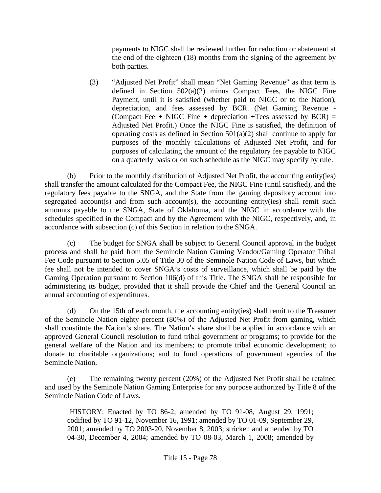payments to NIGC shall be reviewed further for reduction or abatement at the end of the eighteen (18) months from the signing of the agreement by both parties.

(3) "Adjusted Net Profit" shall mean "Net Gaming Revenue" as that term is defined in Section 502(a)(2) minus Compact Fees, the NIGC Fine Payment, until it is satisfied (whether paid to NIGC or to the Nation), depreciation, and fees assessed by BCR. (Net Gaming Revenue - (Compact Fee + NIGC Fine + depreciation +Tees assessed by  $BCR$ ) = Adjusted Net Profit.) Once the NIGC Fine is satisfied, the definition of operating costs as defined in Section  $501(a)(2)$  shall continue to apply for purposes of the monthly calculations of Adjusted Net Profit, and for purposes of calculating the amount of the regulatory fee payable to NIGC on a quarterly basis or on such schedule as the NIGC may specify by rule.

(b) Prior to the monthly distribution of Adjusted Net Profit, the accounting entity(ies) shall transfer the amount calculated for the Compact Fee, the NIGC Fine (until satisfied), and the regulatory fees payable to the SNGA, and the State from the gaming depository account into segregated account(s) and from such account(s), the accounting entity(ies) shall remit such amounts payable to the SNGA, State of Oklahoma, and the NIGC in accordance with the schedules specified in the Compact and by the Agreement with the NIGC, respectively, and, in accordance with subsection (c) of this Section in relation to the SNGA.

(c) The budget for SNGA shall be subject to General Council approval in the budget process and shall be paid from the Seminole Nation Gaming Vendor/Gaming Operator Tribal Fee Code pursuant to Section 5.05 of Title 30 of the Seminole Nation Code of Laws, but which fee shall not be intended to cover SNGA's costs of surveillance, which shall be paid by the Gaming Operation pursuant to Section 106(d) of this Title. The SNGA shall be responsible for administering its budget, provided that it shall provide the Chief and the General Council an annual accounting of expenditures.

(d) On the 15th of each month, the accounting entity(ies) shall remit to the Treasurer of the Seminole Nation eighty percent (80%) of the Adjusted Net Profit from gaming, which shall constitute the Nation's share. The Nation's share shall be applied in accordance with an approved General Council resolution to fund tribal government or programs; to provide for the general welfare of the Nation and its members; to promote tribal economic development; to donate to charitable organizations; and to fund operations of government agencies of the Seminole Nation.

(e) The remaining twenty percent (20%) of the Adjusted Net Profit shall be retained and used by the Seminole Nation Gaming Enterprise for any purpose authorized by Title 8 of the Seminole Nation Code of Laws.

[HISTORY: Enacted by TO 86-2; amended by TO 91-08, August 29, 1991; codified by TO 91-12, November 16, 1991; amended by TO 01-09, September 29, 2001; amended by TO 2003-20, November 8, 2003; stricken and amended by TO 04-30, December 4, 2004; amended by TO 08-03, March 1, 2008; amended by